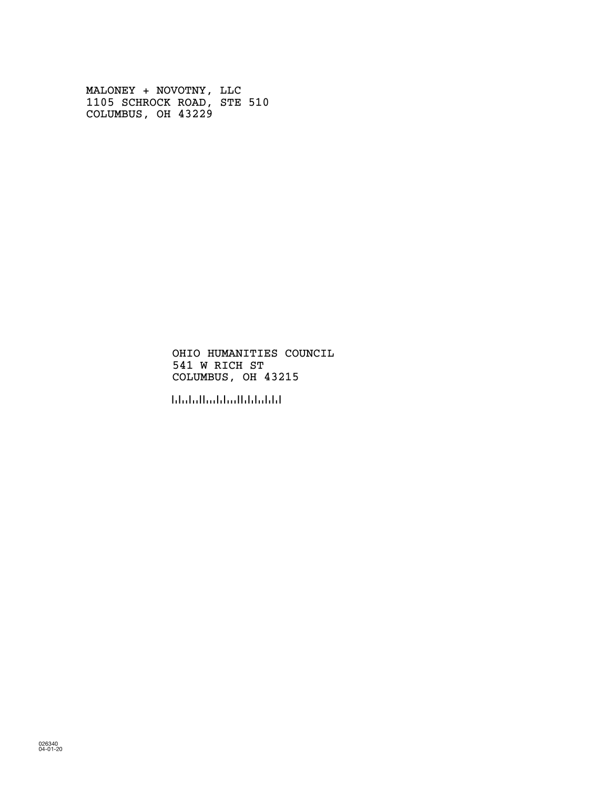MALONEY + NOVOTNY, LLC 1105 SCHROCK ROAD, STE 510 COLUMBUS, OH 43229

> OHIO HUMANITIES COUNCIL 541 W RICH ST COLUMBUS, OH 43215

!432155!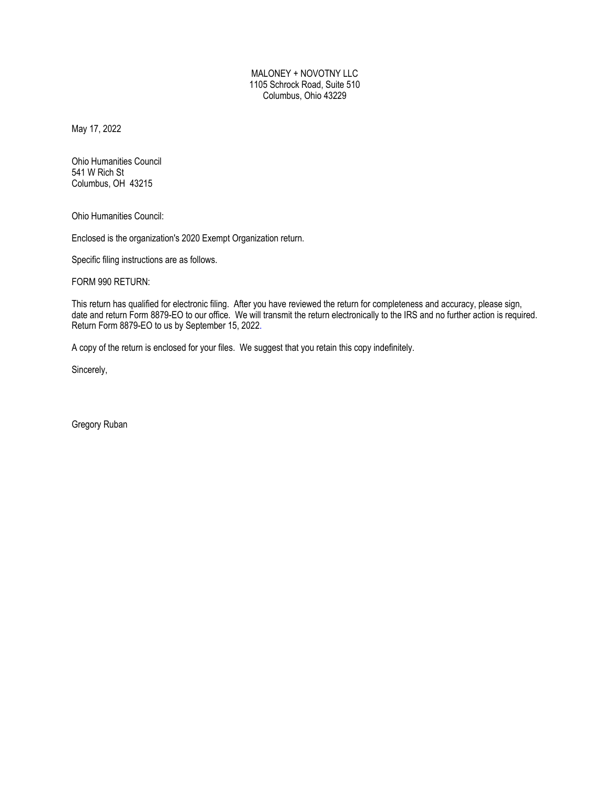MALONEY + NOVOTNY LLC 1105 Schrock Road, Suite 510 Columbus, Ohio 43229

May 17, 2022

Ohio Humanities Council 541 W Rich St Columbus, OH 43215

Ohio Humanities Council:

Enclosed is the organization's 2020 Exempt Organization return.

Specific filing instructions are as follows.

FORM 990 RETURN:

This return has qualified for electronic filing. After you have reviewed the return for completeness and accuracy, please sign, date and return Form 8879-EO to our office. We will transmit the return electronically to the IRS and no further action is required. Return Form 8879-EO to us by September 15, 2022.

A copy of the return is enclosed for your files. We suggest that you retain this copy indefinitely.

Sincerely,

Gregory Ruban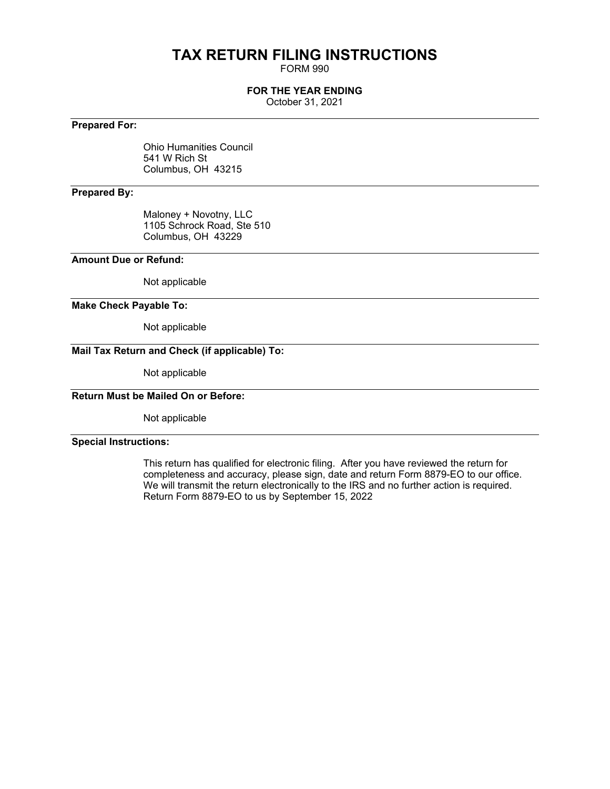# **TAX RETURN FILING INSTRUCTIONS**

FORM 990

### **FOR THE YEAR ENDING**

October 31, 2021

### **Prepared For:**

Ohio Humanities Council 541 W Rich St Columbus, OH 43215

### **Prepared By:**

Maloney + Novotny, LLC 1105 Schrock Road, Ste 510 Columbus, OH 43229

### **Amount Due or Refund:**

Not applicable

### **Make Check Payable To:**

Not applicable

### **Mail Tax Return and Check (if applicable) To:**

Not applicable

### **Return Must be Mailed On or Before:**

Not applicable

### **Special Instructions:**

This return has qualified for electronic filing. After you have reviewed the return for completeness and accuracy, please sign, date and return Form 8879-EO to our office. We will transmit the return electronically to the IRS and no further action is required. Return Form 8879-EO to us by September 15, 2022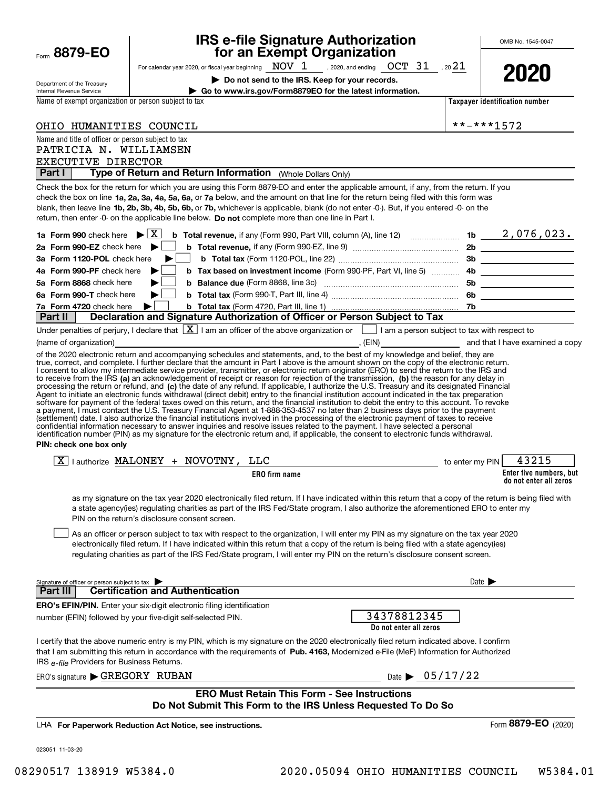| Department of the Treasury                                                   |   |                                         | Do not send to the IRS. Keep for your records.                                                                                                                                                                                                                                                                                                                                                                                                                                                                                                       |                                       |                                | LULU                                                                                                           |
|------------------------------------------------------------------------------|---|-----------------------------------------|------------------------------------------------------------------------------------------------------------------------------------------------------------------------------------------------------------------------------------------------------------------------------------------------------------------------------------------------------------------------------------------------------------------------------------------------------------------------------------------------------------------------------------------------------|---------------------------------------|--------------------------------|----------------------------------------------------------------------------------------------------------------|
| Internal Revenue Service                                                     |   |                                         | Go to www.irs.gov/Form8879EO for the latest information.                                                                                                                                                                                                                                                                                                                                                                                                                                                                                             |                                       |                                |                                                                                                                |
| Name of exempt organization or person subject to tax                         |   |                                         |                                                                                                                                                                                                                                                                                                                                                                                                                                                                                                                                                      |                                       |                                | Taxpayer identification number                                                                                 |
| OHIO HUMANITIES COUNCIL                                                      |   |                                         |                                                                                                                                                                                                                                                                                                                                                                                                                                                                                                                                                      |                                       |                                | **-***1572                                                                                                     |
| Name and title of officer or person subject to tax                           |   |                                         |                                                                                                                                                                                                                                                                                                                                                                                                                                                                                                                                                      |                                       |                                |                                                                                                                |
| PATRICIA N. WILLIAMSEN                                                       |   |                                         |                                                                                                                                                                                                                                                                                                                                                                                                                                                                                                                                                      |                                       |                                |                                                                                                                |
| EXECUTIVE DIRECTOR<br><b>Part I</b>                                          |   |                                         | Type of Return and Return Information (Whole Dollars Only)                                                                                                                                                                                                                                                                                                                                                                                                                                                                                           |                                       |                                |                                                                                                                |
|                                                                              |   |                                         | Check the box for the return for which you are using this Form 8879-EO and enter the applicable amount, if any, from the return. If you                                                                                                                                                                                                                                                                                                                                                                                                              |                                       |                                |                                                                                                                |
|                                                                              |   |                                         | check the box on line 1a, 2a, 3a, 4a, 5a, 6a, or 7a below, and the amount on that line for the return being filed with this form was<br>blank, then leave line 1b, 2b, 3b, 4b, 5b, 6b, or 7b, whichever is applicable, blank (do not enter -0-). But, if you entered -0- on the<br>return, then enter -0- on the applicable line below. Do not complete more than one line in Part I.                                                                                                                                                                |                                       |                                |                                                                                                                |
| 1a Form 990 check here $\blacktriangleright$ $\mid$ X $\mid$                 |   |                                         |                                                                                                                                                                                                                                                                                                                                                                                                                                                                                                                                                      |                                       |                                |                                                                                                                |
| 2a Form 990-EZ check here                                                    |   |                                         |                                                                                                                                                                                                                                                                                                                                                                                                                                                                                                                                                      |                                       |                                |                                                                                                                |
| 3a Form 1120-POL check here                                                  |   |                                         |                                                                                                                                                                                                                                                                                                                                                                                                                                                                                                                                                      |                                       |                                |                                                                                                                |
| 4a Form 990-PF check here                                                    |   |                                         | <b>b</b> Tax based on investment income (Form 990-PF, Part VI, line 5)                                                                                                                                                                                                                                                                                                                                                                                                                                                                               |                                       |                                |                                                                                                                |
| 5a Form 8868 check here                                                      |   |                                         |                                                                                                                                                                                                                                                                                                                                                                                                                                                                                                                                                      |                                       |                                | 5b ____________________                                                                                        |
| 6a Form 990-T check here                                                     | ▶ |                                         |                                                                                                                                                                                                                                                                                                                                                                                                                                                                                                                                                      |                                       |                                |                                                                                                                |
| 7a Form 4720 check here                                                      | ▶ |                                         |                                                                                                                                                                                                                                                                                                                                                                                                                                                                                                                                                      |                                       |                                |                                                                                                                |
| ∣ Part II∶                                                                   |   |                                         | Declaration and Signature Authorization of Officer or Person Subject to Tax                                                                                                                                                                                                                                                                                                                                                                                                                                                                          |                                       |                                |                                                                                                                |
|                                                                              |   |                                         | Under penalties of perjury, I declare that $\boxed{\mathbf{X}}$ I am an officer of the above organization or $\boxed{\phantom{\mathbf{X}}}$ I am a person subject to tax with respect to                                                                                                                                                                                                                                                                                                                                                             |                                       |                                | (name of organization) and that I have examined a copy of the state of the state of the state of organization) |
|                                                                              |   |                                         | of the 2020 electronic return and accompanying schedules and statements, and, to the best of my knowledge and belief, they are                                                                                                                                                                                                                                                                                                                                                                                                                       |                                       |                                |                                                                                                                |
| PIN: check one box only                                                      |   |                                         | a payment, I must contact the U.S. Treasury Financial Agent at 1-888-353-4537 no later than 2 business days prior to the payment<br>(settlement) date. I also authorize the financial institutions involved in the processing of the electronic payment of taxes to receive<br>confidential information necessary to answer inquiries and resolve issues related to the payment. I have selected a personal<br>identification number (PIN) as my signature for the electronic return and, if applicable, the consent to electronic funds withdrawal. |                                       |                                |                                                                                                                |
| $\boxed{X}$   authorize MALONEY + NOVOTNY, LLC                               |   |                                         |                                                                                                                                                                                                                                                                                                                                                                                                                                                                                                                                                      | to enter my PIN                       |                                | 43215                                                                                                          |
|                                                                              |   |                                         | <b>ERO</b> firm name                                                                                                                                                                                                                                                                                                                                                                                                                                                                                                                                 |                                       |                                | Enter five numbers, but<br>do not enter all zeros                                                              |
| PIN on the return's disclosure consent screen.                               |   |                                         | as my signature on the tax year 2020 electronically filed return. If I have indicated within this return that a copy of the return is being filed with<br>a state agency(ies) regulating charities as part of the IRS Fed/State program, I also authorize the aforementioned ERO to enter my<br>As an officer or person subject to tax with respect to the organization, I will enter my PIN as my signature on the tax year 2020                                                                                                                    |                                       |                                |                                                                                                                |
|                                                                              |   |                                         | electronically filed return. If I have indicated within this return that a copy of the return is being filed with a state agency(ies)<br>regulating charities as part of the IRS Fed/State program, I will enter my PIN on the return's disclosure consent screen.                                                                                                                                                                                                                                                                                   |                                       |                                |                                                                                                                |
| Signature of officer or person subject to tax                                |   |                                         |                                                                                                                                                                                                                                                                                                                                                                                                                                                                                                                                                      |                                       |                                | Date $\blacktriangleright$                                                                                     |
| Part III                                                                     |   | <b>Certification and Authentication</b> |                                                                                                                                                                                                                                                                                                                                                                                                                                                                                                                                                      |                                       |                                |                                                                                                                |
| <b>ERO's EFIN/PIN.</b> Enter your six-digit electronic filing identification |   |                                         |                                                                                                                                                                                                                                                                                                                                                                                                                                                                                                                                                      |                                       |                                |                                                                                                                |
| number (EFIN) followed by your five-digit self-selected PIN.                 |   |                                         |                                                                                                                                                                                                                                                                                                                                                                                                                                                                                                                                                      | 34378812345<br>Do not enter all zeros |                                |                                                                                                                |
| IRS e-file Providers for Business Returns.                                   |   |                                         | I certify that the above numeric entry is my PIN, which is my signature on the 2020 electronically filed return indicated above. I confirm<br>that I am submitting this return in accordance with the requirements of Pub. 4163, Modernized e-File (MeF) Information for Authorized                                                                                                                                                                                                                                                                  |                                       |                                |                                                                                                                |
| ERO's signature GREGORY RUBAN                                                |   |                                         |                                                                                                                                                                                                                                                                                                                                                                                                                                                                                                                                                      |                                       | Date $\triangleright$ 05/17/22 |                                                                                                                |
|                                                                              |   |                                         | <b>ERO Must Retain This Form - See Instructions</b>                                                                                                                                                                                                                                                                                                                                                                                                                                                                                                  |                                       |                                |                                                                                                                |
|                                                                              |   |                                         | Do Not Submit This Form to the IRS Unless Requested To Do So                                                                                                                                                                                                                                                                                                                                                                                                                                                                                         |                                       |                                |                                                                                                                |
| LHA For Paperwork Reduction Act Notice, see instructions.                    |   |                                         |                                                                                                                                                                                                                                                                                                                                                                                                                                                                                                                                                      |                                       |                                | Form 8879-EO (2020)                                                                                            |
| 023051 11-03-20                                                              |   |                                         |                                                                                                                                                                                                                                                                                                                                                                                                                                                                                                                                                      |                                       |                                |                                                                                                                |

For calendar year 2020, or fiscal year beginning , 2020, and ending , 20

**for an Exempt Organization**

**IRS e-file Signature Authorization**

NOV 1 OCT 31 21

Form **8879-EO**

OMB No. 1545-0047

**2020**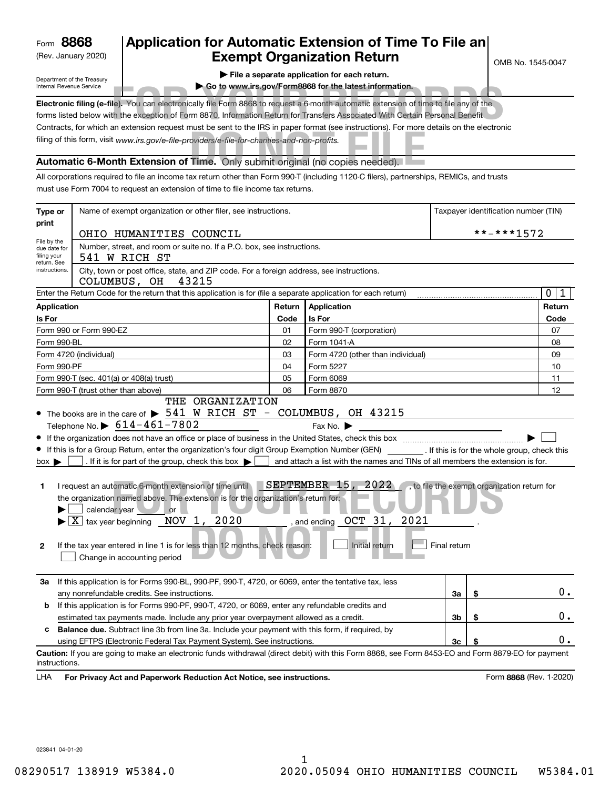(Rev. January 2020)

## **Application for Automatic Extension of Time To File an Exempt Organization Return**

OMB No. 1545-0047

Department of the Treasury Internal Revenue Service

| File a separate application for each return. |  |
|----------------------------------------------|--|
|----------------------------------------------|--|

**| Go to www.irs.gov/Form8868 for the latest information.**

| internal Revenue Service | GO to www.irs.dov/Formoobo for the latest information.                                                                                   |
|--------------------------|------------------------------------------------------------------------------------------------------------------------------------------|
|                          | Electronic filing (e-file). You can electronically file Form 8868 to request a 6-month automatic extension of time to file any of the    |
|                          | forms listed below with the exception of Form 8870, Information Return for Transfers Associated With Certain Personal Benefit            |
|                          | Contracts, for which an extension request must be sent to the IRS in paper format (see instructions). For more details on the electronic |
|                          | filing of this form, visit www.irs.gov/e-file-providers/e-file-for-charities-and-non-profits.                                            |
|                          | Automatic 6-Month Extension of Time. Only submit original (no copies needed).                                                            |

All corporations required to file an income tax return other than Form 990-T (including 1120-C filers), partnerships, REMICs, and trusts must use Form 7004 to request an extension of time to file income tax returns.

| Type or                                        | Name of exempt organization or other filer, see instructions.                                                                                                                                                                                                                                                                                                                                                                                                                                                                                                                                          |        |                                                                                                                                                                                                                                    | Taxpayer identification number (TIN) |            |                                              |  |
|------------------------------------------------|--------------------------------------------------------------------------------------------------------------------------------------------------------------------------------------------------------------------------------------------------------------------------------------------------------------------------------------------------------------------------------------------------------------------------------------------------------------------------------------------------------------------------------------------------------------------------------------------------------|--------|------------------------------------------------------------------------------------------------------------------------------------------------------------------------------------------------------------------------------------|--------------------------------------|------------|----------------------------------------------|--|
| print                                          | OHIO HUMANITIES COUNCIL                                                                                                                                                                                                                                                                                                                                                                                                                                                                                                                                                                                |        |                                                                                                                                                                                                                                    |                                      | **-***1572 |                                              |  |
| File by the<br>due date for<br>filing your     | Number, street, and room or suite no. If a P.O. box, see instructions.<br>541 W RICH ST                                                                                                                                                                                                                                                                                                                                                                                                                                                                                                                |        |                                                                                                                                                                                                                                    |                                      |            |                                              |  |
| return. See<br>instructions.                   | City, town or post office, state, and ZIP code. For a foreign address, see instructions.<br>COLUMBUS, OH<br>43215                                                                                                                                                                                                                                                                                                                                                                                                                                                                                      |        |                                                                                                                                                                                                                                    |                                      |            |                                              |  |
|                                                | Enter the Return Code for the return that this application is for (file a separate application for each return)                                                                                                                                                                                                                                                                                                                                                                                                                                                                                        |        |                                                                                                                                                                                                                                    |                                      |            | $\mathbf 0$<br>1                             |  |
| <b>Application</b>                             |                                                                                                                                                                                                                                                                                                                                                                                                                                                                                                                                                                                                        | Return | Application                                                                                                                                                                                                                        |                                      |            | Return                                       |  |
| Is For                                         |                                                                                                                                                                                                                                                                                                                                                                                                                                                                                                                                                                                                        | Code   | Is For                                                                                                                                                                                                                             |                                      |            | Code                                         |  |
|                                                | Form 990 or Form 990-EZ                                                                                                                                                                                                                                                                                                                                                                                                                                                                                                                                                                                | 01     | Form 990-T (corporation)                                                                                                                                                                                                           |                                      |            | 07                                           |  |
| Form 990-BL                                    |                                                                                                                                                                                                                                                                                                                                                                                                                                                                                                                                                                                                        | 02     | Form 1041-A                                                                                                                                                                                                                        |                                      |            | 08                                           |  |
|                                                | Form 4720 (individual)                                                                                                                                                                                                                                                                                                                                                                                                                                                                                                                                                                                 | 03     | Form 4720 (other than individual)                                                                                                                                                                                                  |                                      |            | 09                                           |  |
| Form 990-PF                                    |                                                                                                                                                                                                                                                                                                                                                                                                                                                                                                                                                                                                        | 04     | Form 5227                                                                                                                                                                                                                          |                                      |            | 10                                           |  |
|                                                | Form 990-T (sec. 401(a) or 408(a) trust)                                                                                                                                                                                                                                                                                                                                                                                                                                                                                                                                                               | 05     | Form 6069                                                                                                                                                                                                                          |                                      |            | 11                                           |  |
|                                                | Form 990-T (trust other than above)                                                                                                                                                                                                                                                                                                                                                                                                                                                                                                                                                                    | 06     | Form 8870                                                                                                                                                                                                                          |                                      |            | 12                                           |  |
| $box \blacktriangleright$<br>1<br>$\mathbf{2}$ | Telephone No. $\triangleright$ 614-461-7802<br>If this is for a Group Return, enter the organization's four digit Group Exemption Number (GEN) [If this is for the whole group, check this<br>. If it is for part of the group, check this box $\blacktriangleright$<br>I request an automatic 6-month extension of time until<br>the organization named above. The extension is for the organization's return for:<br>calendar year or<br>$\overline{X}$ tax year beginning NOV 1, 2020<br>If the tax year entered in line 1 is for less than 12 months, check reason:<br>Change in accounting period |        | Fax No. $\blacktriangleright$<br>and attach a list with the names and TINs of all members the extension is for.<br>SEPTEMBER 15, 2022<br>, and ending $\overline{\phantom{0} \rm O C T}$ $\,\,$ $\,31$ ,<br>2021<br>Initial return | Final return                         |            | , to file the exempt organization return for |  |
| За                                             | If this application is for Forms 990-BL, 990-PF, 990-T, 4720, or 6069, enter the tentative tax, less<br>any nonrefundable credits. See instructions.                                                                                                                                                                                                                                                                                                                                                                                                                                                   |        |                                                                                                                                                                                                                                    | За                                   | \$         | 0.                                           |  |
| b                                              | If this application is for Forms 990-PF, 990-T, 4720, or 6069, enter any refundable credits and                                                                                                                                                                                                                                                                                                                                                                                                                                                                                                        |        |                                                                                                                                                                                                                                    |                                      |            |                                              |  |
|                                                | estimated tax payments made. Include any prior year overpayment allowed as a credit.                                                                                                                                                                                                                                                                                                                                                                                                                                                                                                                   |        |                                                                                                                                                                                                                                    | 3b                                   | \$         | 0.                                           |  |
| c                                              | <b>Balance due.</b> Subtract line 3b from line 3a. Include your payment with this form, if required, by                                                                                                                                                                                                                                                                                                                                                                                                                                                                                                |        |                                                                                                                                                                                                                                    |                                      |            |                                              |  |
|                                                | using EFTPS (Electronic Federal Tax Payment System). See instructions.                                                                                                                                                                                                                                                                                                                                                                                                                                                                                                                                 |        |                                                                                                                                                                                                                                    | 3c                                   | S          | 0.                                           |  |
| instructions.<br>LHA                           | Caution: If you are going to make an electronic funds withdrawal (direct debit) with this Form 8868, see Form 8453-EO and Form 8879-EO for payment<br>For Privacy Act and Paperwork Reduction Act Notice, see instructions.                                                                                                                                                                                                                                                                                                                                                                            |        |                                                                                                                                                                                                                                    |                                      |            | Form 8868 (Rev. 1-2020)                      |  |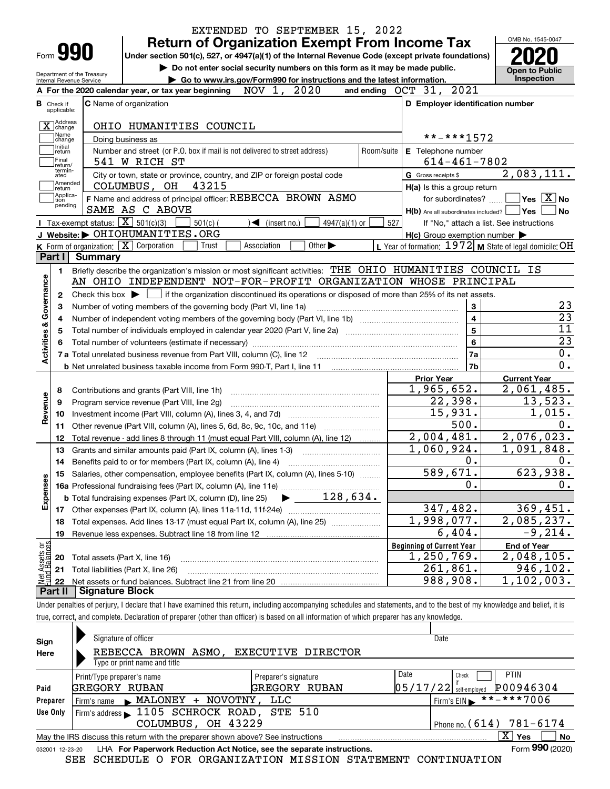|                                                      |         |                                                                                                                                           | <b>Return of Organization Exempt From Income Tax</b>                        |             |                              |                             |            |                                  |                                                     | OMB No. 1545-0047                                                                                                                                   |
|------------------------------------------------------|---------|-------------------------------------------------------------------------------------------------------------------------------------------|-----------------------------------------------------------------------------|-------------|------------------------------|-----------------------------|------------|----------------------------------|-----------------------------------------------------|-----------------------------------------------------------------------------------------------------------------------------------------------------|
| Form <b>990</b>                                      |         | Under section 501(c), 527, or 4947(a)(1) of the Internal Revenue Code (except private foundations)                                        |                                                                             |             |                              |                             |            |                                  |                                                     |                                                                                                                                                     |
| Department of the Treasury                           |         |                                                                                                                                           | Do not enter social security numbers on this form as it may be made public. |             |                              |                             |            |                                  |                                                     | <b>Open to Public</b>                                                                                                                               |
| Internal Revenue Service                             |         |                                                                                                                                           | Go to www.irs.gov/Form990 for instructions and the latest information.      |             |                              |                             |            |                                  |                                                     | <b>Inspection</b>                                                                                                                                   |
|                                                      |         | A For the 2020 calendar year, or tax year beginning                                                                                       |                                                                             | NOV 1,      | 2020                         |                             |            |                                  | and ending OCT 31, 2021                             |                                                                                                                                                     |
| <b>B</b> Check if<br>applicable:                     |         | <b>C</b> Name of organization                                                                                                             |                                                                             |             |                              |                             |            |                                  | D Employer identification number                    |                                                                                                                                                     |
| X change                                             |         | OHIO HUMANITIES COUNCIL                                                                                                                   |                                                                             |             |                              |                             |            |                                  |                                                     |                                                                                                                                                     |
| Name<br>change                                       |         | Doing business as                                                                                                                         |                                                                             |             |                              |                             |            |                                  | **-***1572                                          |                                                                                                                                                     |
| Initial<br>return                                    |         | Number and street (or P.O. box if mail is not delivered to street address)                                                                |                                                                             |             |                              |                             | Room/suite |                                  | E Telephone number                                  |                                                                                                                                                     |
| Final<br>return/                                     |         | 541 W RICH ST                                                                                                                             |                                                                             |             |                              |                             |            |                                  | $614 - 461 - 7802$                                  |                                                                                                                                                     |
| termin-<br>ated                                      |         | City or town, state or province, country, and ZIP or foreign postal code                                                                  |                                                                             |             |                              |                             |            | G Gross receipts \$              |                                                     | 2,083,111.                                                                                                                                          |
| Amended<br>return]                                   |         | COLUMBUS, OH                                                                                                                              | 43215                                                                       |             |                              |                             |            |                                  | H(a) Is this a group return                         |                                                                                                                                                     |
| Applica-<br>tion                                     |         | F Name and address of principal officer: REBECCA BROWN ASMO                                                                               |                                                                             |             |                              |                             |            |                                  | for subordinates?                                   | $\sqrt{}$ Yes $\sqrt{X}$ No                                                                                                                         |
| pending                                              |         | SAME AS C ABOVE                                                                                                                           |                                                                             |             |                              |                             |            |                                  | $H(b)$ Are all subordinates included? $\Box$ Yes    | l No                                                                                                                                                |
|                                                      |         | Tax-exempt status: $\boxed{\mathbf{X}}$ 501(c)(3)                                                                                         | $501(c)$ (                                                                  |             | $\triangleleft$ (insert no.) | $4947(a)(1)$ or             | 527        |                                  |                                                     | If "No," attach a list. See instructions                                                                                                            |
|                                                      |         | J Website: OHIOHUMANITIES.ORG                                                                                                             |                                                                             |             |                              |                             |            |                                  | $H(c)$ Group exemption number $\blacktriangleright$ |                                                                                                                                                     |
|                                                      |         | K Form of organization: $\boxed{\mathbf{X}}$ Corporation                                                                                  | Trust                                                                       | Association |                              | Other $\blacktriangleright$ |            |                                  |                                                     | L Year of formation: $1972$ M State of legal domicile: OH                                                                                           |
| Part I                                               | Summary |                                                                                                                                           |                                                                             |             |                              |                             |            |                                  |                                                     |                                                                                                                                                     |
| 1.                                                   |         | Briefly describe the organization's mission or most significant activities: THE OHIO HUMANITIES COUNCIL IS                                |                                                                             |             |                              |                             |            |                                  |                                                     |                                                                                                                                                     |
|                                                      |         | AN OHIO INDEPENDENT NOT-FOR-PROFIT ORGANIZATION WHOSE PRINCIPAL                                                                           |                                                                             |             |                              |                             |            |                                  |                                                     |                                                                                                                                                     |
| 2                                                    |         | Check this box $\blacktriangleright \Box$ if the organization discontinued its operations or disposed of more than 25% of its net assets. |                                                                             |             |                              |                             |            |                                  |                                                     |                                                                                                                                                     |
| З                                                    |         |                                                                                                                                           |                                                                             |             |                              |                             |            |                                  |                                                     |                                                                                                                                                     |
|                                                      |         |                                                                                                                                           | Number of voting members of the governing body (Part VI, line 1a)           |             |                              |                             |            |                                  | 3                                                   |                                                                                                                                                     |
| 4                                                    |         |                                                                                                                                           |                                                                             |             |                              |                             |            |                                  | $\overline{\mathbf{4}}$                             |                                                                                                                                                     |
| 5                                                    |         |                                                                                                                                           |                                                                             |             |                              |                             |            |                                  | $5\phantom{a}$                                      |                                                                                                                                                     |
|                                                      |         |                                                                                                                                           |                                                                             |             |                              |                             |            |                                  | 6                                                   |                                                                                                                                                     |
|                                                      |         |                                                                                                                                           |                                                                             |             |                              |                             |            |                                  | 7a                                                  |                                                                                                                                                     |
|                                                      |         |                                                                                                                                           |                                                                             |             |                              |                             |            |                                  | 7b                                                  |                                                                                                                                                     |
|                                                      |         |                                                                                                                                           |                                                                             |             |                              |                             |            | <b>Prior Year</b>                |                                                     | <b>Current Year</b>                                                                                                                                 |
| 8                                                    |         | Contributions and grants (Part VIII, line 1h)                                                                                             |                                                                             |             |                              |                             |            |                                  | 1,965,652.                                          |                                                                                                                                                     |
| 9                                                    |         | Program service revenue (Part VIII, line 2g)                                                                                              |                                                                             |             |                              |                             |            |                                  | 22,398.                                             |                                                                                                                                                     |
| 10                                                   |         |                                                                                                                                           |                                                                             |             |                              |                             |            |                                  | 15,931.                                             |                                                                                                                                                     |
| 11                                                   |         | Other revenue (Part VIII, column (A), lines 5, 6d, 8c, 9c, 10c, and 11e)                                                                  |                                                                             |             |                              |                             |            |                                  | 500.                                                |                                                                                                                                                     |
| 12                                                   |         | Total revenue - add lines 8 through 11 (must equal Part VIII, column (A), line 12)                                                        |                                                                             |             |                              |                             |            |                                  | 2,004,481.                                          |                                                                                                                                                     |
| 13                                                   |         | Grants and similar amounts paid (Part IX, column (A), lines 1-3)                                                                          |                                                                             |             |                              |                             |            |                                  | 1,060,924.                                          |                                                                                                                                                     |
| 14                                                   |         |                                                                                                                                           |                                                                             |             |                              |                             |            |                                  | 0.                                                  |                                                                                                                                                     |
|                                                      |         | 15 Salaries, other compensation, employee benefits (Part IX, column (A), lines 5-10)                                                      |                                                                             |             |                              |                             |            |                                  | 589,671.                                            |                                                                                                                                                     |
|                                                      |         |                                                                                                                                           |                                                                             |             |                              |                             |            |                                  | 0.                                                  |                                                                                                                                                     |
|                                                      |         | <b>b</b> Total fundraising expenses (Part IX, column (D), line 25)                                                                        |                                                                             |             |                              | 128,634.                    |            |                                  |                                                     |                                                                                                                                                     |
| 17                                                   |         |                                                                                                                                           |                                                                             |             |                              |                             |            |                                  | 347,482.                                            |                                                                                                                                                     |
| 18                                                   |         | Total expenses. Add lines 13-17 (must equal Part IX, column (A), line 25)                                                                 |                                                                             |             |                              |                             |            |                                  | 1,998,077.                                          |                                                                                                                                                     |
| 19                                                   |         | Revenue less expenses. Subtract line 18 from line 12                                                                                      |                                                                             |             |                              |                             |            |                                  | 6,404.                                              |                                                                                                                                                     |
|                                                      |         |                                                                                                                                           |                                                                             |             |                              |                             |            | <b>Beginning of Current Year</b> |                                                     | $\overline{2,061,485}$ .<br>13,523.<br>1,015.<br>2,076,023.<br>1,091,848.<br>623,938.<br>369,451.<br>2,085,237.<br>$-9, 214.$<br><b>End of Year</b> |
| Activities & Governance<br>Revenue<br>Expenses<br>20 |         | Total assets (Part X, line 16)                                                                                                            |                                                                             |             |                              |                             |            |                                  | 1,250,769.                                          | 2,048,105.                                                                                                                                          |
| : Assets or<br>d Balances<br>21<br>Net<br>22         |         | Total liabilities (Part X, line 26)                                                                                                       |                                                                             |             |                              |                             |            |                                  | 261,861.<br>988,908.                                | 946,102.<br>1,102,003.                                                                                                                              |

true, correct, and complete. Declaration of preparer (other than officer) is based on all information of which preparer has any knowledge.

| Sign            | Signature of officer                                                                                      | Date                                     |  |  |  |  |  |
|-----------------|-----------------------------------------------------------------------------------------------------------|------------------------------------------|--|--|--|--|--|
| Here            | EXECUTIVE DIRECTOR<br>REBECCA BROWN ASMO,                                                                 |                                          |  |  |  |  |  |
|                 | Type or print name and title                                                                              |                                          |  |  |  |  |  |
|                 | Print/Type preparer's name<br>Preparer's signature                                                        | Date<br><b>PTIN</b><br>Check             |  |  |  |  |  |
| Paid            | GREGORY<br>GREGORY<br>RUBAN<br>RUBAN                                                                      | P00946304<br> 05/17/22 <br>self-emploved |  |  |  |  |  |
| Preparer        | Firm's name MALONEY<br>+ NOVOTNY,<br>LLC                                                                  | **-***7006<br>Firm's $EIN$               |  |  |  |  |  |
| Use Only        | Firm's address 1105 SCHROCK ROAD, STE 510                                                                 |                                          |  |  |  |  |  |
|                 | COLUMBUS, OH 43229                                                                                        | 781-6174<br>$'$ Phone no. ( $614$ )      |  |  |  |  |  |
|                 | ΧI<br>Yes<br><b>No</b><br>May the IRS discuss this return with the preparer shown above? See instructions |                                          |  |  |  |  |  |
| 032001 12-23-20 | LHA For Paperwork Reduction Act Notice, see the separate instructions.                                    | Form 990 (2020)                          |  |  |  |  |  |

SEE SCHEDULE O FOR ORGANIZATION MISSION STATEMENT CONTINUATION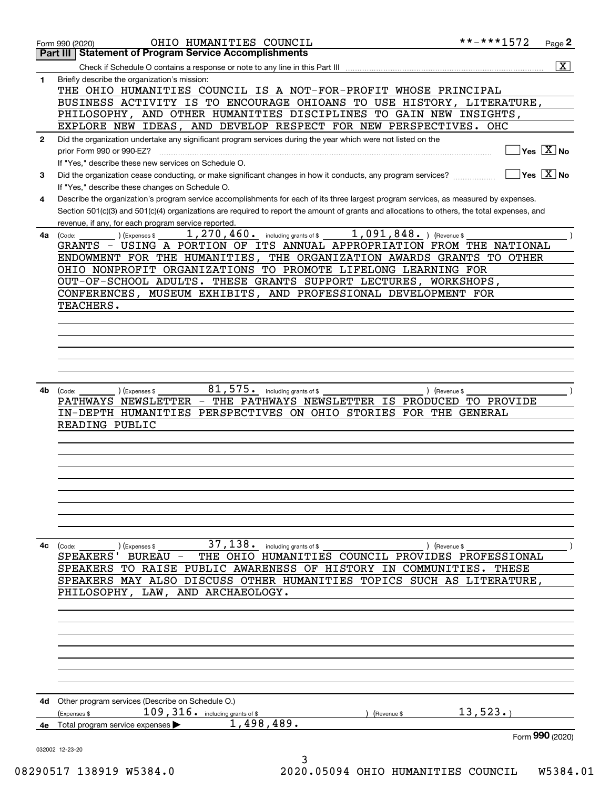|              | OHIO HUMANITIES COUNCIL<br>Form 990 (2020)                                                                                                   | **-***1572                  | Page 2                                  |
|--------------|----------------------------------------------------------------------------------------------------------------------------------------------|-----------------------------|-----------------------------------------|
|              | Part III   Statement of Program Service Accomplishments                                                                                      |                             |                                         |
|              |                                                                                                                                              |                             | $\overline{\mathbf{X}}$                 |
| 1            | Briefly describe the organization's mission:                                                                                                 |                             |                                         |
|              | THE OHIO HUMANITIES COUNCIL IS A NOT-FOR-PROFIT WHOSE PRINCIPAL                                                                              |                             |                                         |
|              | BUSINESS ACTIVITY IS TO ENCOURAGE OHIOANS TO USE HISTORY, LITERATURE,                                                                        |                             |                                         |
|              | PHILOSOPHY, AND OTHER HUMANITIES DISCIPLINES TO GAIN NEW INSIGHTS,                                                                           |                             |                                         |
|              | EXPLORE NEW IDEAS, AND DEVELOP RESPECT FOR NEW PERSPECTIVES. OHC                                                                             |                             |                                         |
| $\mathbf{2}$ | Did the organization undertake any significant program services during the year which were not listed on the                                 |                             |                                         |
|              | prior Form 990 or 990-EZ?                                                                                                                    |                             | $\Box$ Yes $[\overline{\mathrm{X}}]$ No |
|              | If "Yes," describe these new services on Schedule O.                                                                                         |                             |                                         |
| 3            | Did the organization cease conducting, or make significant changes in how it conducts, any program services?                                 | $\sqrt{}$ Yes $\sqrt{X}$ No |                                         |
|              | If "Yes," describe these changes on Schedule O.                                                                                              |                             |                                         |
| 4            | Describe the organization's program service accomplishments for each of its three largest program services, as measured by expenses.         |                             |                                         |
|              | Section 501(c)(3) and 501(c)(4) organizations are required to report the amount of grants and allocations to others, the total expenses, and |                             |                                         |
|              | revenue, if any, for each program service reported.                                                                                          |                             |                                         |
|              | 1, 270, 460. including grants of \$ 1, 091, 848. ) (Revenue \$<br>$(1)$ (Expenses \$<br>$4a$ (Code:                                          |                             |                                         |
|              | GRANTS - USING A PORTION OF ITS ANNUAL APPROPRIATION FROM THE NATIONAL                                                                       |                             |                                         |
|              | ENDOWMENT FOR THE HUMANITIES, THE ORGANIZATION AWARDS GRANTS TO OTHER                                                                        |                             |                                         |
|              | OHIO NONPROFIT ORGANIZATIONS TO PROMOTE LIFELONG LEARNING FOR                                                                                |                             |                                         |
|              | OUT-OF-SCHOOL ADULTS. THESE GRANTS SUPPORT LECTURES, WORKSHOPS,                                                                              |                             |                                         |
|              | CONFERENCES, MUSEUM EXHIBITS, AND PROFESSIONAL DEVELOPMENT FOR                                                                               |                             |                                         |
|              | TEACHERS.                                                                                                                                    |                             |                                         |
|              |                                                                                                                                              |                             |                                         |
|              |                                                                                                                                              |                             |                                         |
|              |                                                                                                                                              |                             |                                         |
|              |                                                                                                                                              |                             |                                         |
|              |                                                                                                                                              |                             |                                         |
|              |                                                                                                                                              |                             |                                         |
|              |                                                                                                                                              |                             |                                         |
| 4b l         | $81,575$ . including grants of \$<br>) (Expenses \$<br>) (Revenue \$<br>(Code:                                                               |                             |                                         |
|              | PATHWAYS NEWSLETTER - THE PATHWAYS NEWSLETTER IS PRODUCED TO PROVIDE                                                                         |                             |                                         |
|              | IN-DEPTH HUMANITIES PERSPECTIVES ON OHIO STORIES FOR THE GENERAL                                                                             |                             |                                         |
|              | READING PUBLIC                                                                                                                               |                             |                                         |
|              |                                                                                                                                              |                             |                                         |
|              |                                                                                                                                              |                             |                                         |
|              |                                                                                                                                              |                             |                                         |
|              |                                                                                                                                              |                             |                                         |
|              |                                                                                                                                              |                             |                                         |
|              |                                                                                                                                              |                             |                                         |
|              |                                                                                                                                              |                             |                                         |
|              |                                                                                                                                              |                             |                                         |
|              |                                                                                                                                              |                             |                                         |
| 4с           | $37,138$ $\cdot$ including grants of \$<br>(Revenue \$<br>(Code:<br>(Expenses \$                                                             |                             |                                         |
|              | THE OHIO HUMANITIES COUNCIL PROVIDES PROFESSIONAL<br><b>SPEAKERS</b><br>BUREAU -                                                             |                             |                                         |
|              | SPEAKERS TO RAISE PUBLIC AWARENESS OF HISTORY IN COMMUNITIES.                                                                                | THESE                       |                                         |
|              | SPEAKERS MAY ALSO DISCUSS OTHER HUMANITIES TOPICS SUCH AS                                                                                    | <b>LITERATURE,</b>          |                                         |
|              | LAW,<br>AND ARCHAEOLOGY.<br>PHILOSOPHY,                                                                                                      |                             |                                         |
|              |                                                                                                                                              |                             |                                         |
|              |                                                                                                                                              |                             |                                         |
|              |                                                                                                                                              |                             |                                         |
|              |                                                                                                                                              |                             |                                         |
|              |                                                                                                                                              |                             |                                         |
|              |                                                                                                                                              |                             |                                         |
|              |                                                                                                                                              |                             |                                         |
|              |                                                                                                                                              |                             |                                         |
| 4d           | Other program services (Describe on Schedule O.)                                                                                             |                             |                                         |
|              | $109$ , $316$ . including grants of \$<br>(Expenses \$<br>(Revenue \$                                                                        | 13,523.                     |                                         |
| 4е           | 1,498,489.<br>Total program service expenses                                                                                                 |                             |                                         |
|              |                                                                                                                                              |                             | Form 990 (2020)                         |
|              | 032002 12-23-20                                                                                                                              |                             |                                         |
|              | 3                                                                                                                                            |                             |                                         |

08290517 138919 W5384.0 2020.05094 OHIO HUMANITIES COUNCIL W5384.01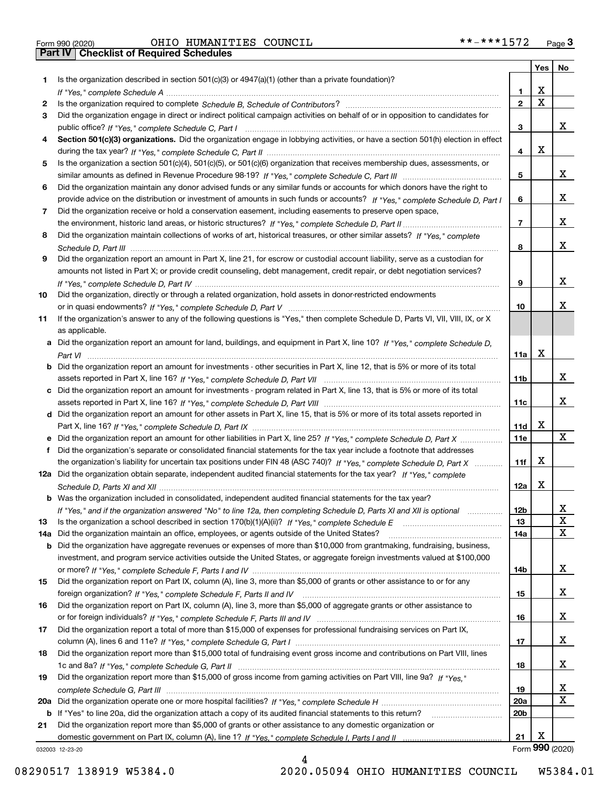|     |                                                                                                                                       |                 | Yes                     | No              |
|-----|---------------------------------------------------------------------------------------------------------------------------------------|-----------------|-------------------------|-----------------|
| 1.  | Is the organization described in section $501(c)(3)$ or $4947(a)(1)$ (other than a private foundation)?                               |                 |                         |                 |
|     |                                                                                                                                       | 1.              | X                       |                 |
| 2   |                                                                                                                                       | $\overline{2}$  | $\overline{\mathbf{x}}$ |                 |
| 3   | Did the organization engage in direct or indirect political campaign activities on behalf of or in opposition to candidates for       |                 |                         |                 |
|     |                                                                                                                                       | 3               |                         | x               |
| 4   | Section 501(c)(3) organizations. Did the organization engage in lobbying activities, or have a section 501(h) election in effect      |                 |                         |                 |
|     |                                                                                                                                       | 4               | X                       |                 |
| 5   | Is the organization a section 501(c)(4), 501(c)(5), or 501(c)(6) organization that receives membership dues, assessments, or          |                 |                         |                 |
|     |                                                                                                                                       | 5               |                         | x               |
| 6   | Did the organization maintain any donor advised funds or any similar funds or accounts for which donors have the right to             |                 |                         |                 |
|     | provide advice on the distribution or investment of amounts in such funds or accounts? If "Yes," complete Schedule D, Part I          | 6               |                         | x               |
| 7   | Did the organization receive or hold a conservation easement, including easements to preserve open space,                             |                 |                         |                 |
|     |                                                                                                                                       | $\overline{7}$  |                         | X               |
| 8   | Did the organization maintain collections of works of art, historical treasures, or other similar assets? If "Yes," complete          |                 |                         | x               |
|     |                                                                                                                                       | 8               |                         |                 |
| 9   | Did the organization report an amount in Part X, line 21, for escrow or custodial account liability, serve as a custodian for         |                 |                         |                 |
|     | amounts not listed in Part X; or provide credit counseling, debt management, credit repair, or debt negotiation services?             |                 |                         | x               |
|     |                                                                                                                                       | 9               |                         |                 |
| 10  | Did the organization, directly or through a related organization, hold assets in donor-restricted endowments                          | 10              |                         | х               |
| 11  | If the organization's answer to any of the following questions is "Yes," then complete Schedule D, Parts VI, VIII, VIII, IX, or X     |                 |                         |                 |
|     | as applicable.                                                                                                                        |                 |                         |                 |
|     | a Did the organization report an amount for land, buildings, and equipment in Part X, line 10? If "Yes," complete Schedule D,         |                 |                         |                 |
|     |                                                                                                                                       | 11a             | X                       |                 |
|     | <b>b</b> Did the organization report an amount for investments - other securities in Part X, line 12, that is 5% or more of its total |                 |                         |                 |
|     |                                                                                                                                       | 11b             |                         | x               |
|     | c Did the organization report an amount for investments - program related in Part X, line 13, that is 5% or more of its total         |                 |                         |                 |
|     |                                                                                                                                       | 11c             |                         | x               |
|     | d Did the organization report an amount for other assets in Part X, line 15, that is 5% or more of its total assets reported in       |                 |                         |                 |
|     |                                                                                                                                       | 11d             | х                       |                 |
|     | e Did the organization report an amount for other liabilities in Part X, line 25? If "Yes," complete Schedule D, Part X               | <b>11e</b>      |                         | X               |
| f   | Did the organization's separate or consolidated financial statements for the tax year include a footnote that addresses               |                 |                         |                 |
|     | the organization's liability for uncertain tax positions under FIN 48 (ASC 740)? If "Yes," complete Schedule D, Part X                | 11f             | X                       |                 |
|     | 12a Did the organization obtain separate, independent audited financial statements for the tax year? If "Yes," complete               |                 |                         |                 |
|     |                                                                                                                                       | 12a             | X                       |                 |
|     | <b>b</b> Was the organization included in consolidated, independent audited financial statements for the tax year?                    |                 |                         |                 |
|     | If "Yes," and if the organization answered "No" to line 12a, then completing Schedule D, Parts XI and XII is optional                 | 12D             |                         | ᅀ               |
| 13  |                                                                                                                                       | 13              |                         | $\mathbf X$     |
| 14a | Did the organization maintain an office, employees, or agents outside of the United States?                                           | 14a             |                         | $\mathbf X$     |
|     | <b>b</b> Did the organization have aggregate revenues or expenses of more than \$10,000 from grantmaking, fundraising, business,      |                 |                         |                 |
|     | investment, and program service activities outside the United States, or aggregate foreign investments valued at \$100,000            |                 |                         |                 |
|     |                                                                                                                                       | 14b             |                         | x               |
| 15  | Did the organization report on Part IX, column (A), line 3, more than \$5,000 of grants or other assistance to or for any             |                 |                         |                 |
|     |                                                                                                                                       | 15              |                         | x               |
| 16  | Did the organization report on Part IX, column (A), line 3, more than \$5,000 of aggregate grants or other assistance to              |                 |                         |                 |
|     |                                                                                                                                       | 16              |                         | X               |
| 17  | Did the organization report a total of more than \$15,000 of expenses for professional fundraising services on Part IX,               |                 |                         |                 |
|     |                                                                                                                                       | 17              |                         | X               |
| 18  | Did the organization report more than \$15,000 total of fundraising event gross income and contributions on Part VIII, lines          |                 |                         |                 |
|     |                                                                                                                                       | 18              |                         | x               |
| 19  | Did the organization report more than \$15,000 of gross income from gaming activities on Part VIII, line 9a? If "Yes."                |                 |                         |                 |
|     |                                                                                                                                       | 19              |                         | X               |
|     |                                                                                                                                       | 20a             |                         | $\mathbf X$     |
|     | b If "Yes" to line 20a, did the organization attach a copy of its audited financial statements to this return?                        | 20 <sub>b</sub> |                         |                 |
| 21  | Did the organization report more than \$5,000 of grants or other assistance to any domestic organization or                           |                 |                         |                 |
|     |                                                                                                                                       | 21              | X                       |                 |
|     | 032003 12-23-20                                                                                                                       |                 |                         | Form 990 (2020) |

032003 12-23-20

08290517 138919 W5384.0 2020.05094 OHIO HUMANITIES COUNCIL W5384.01

4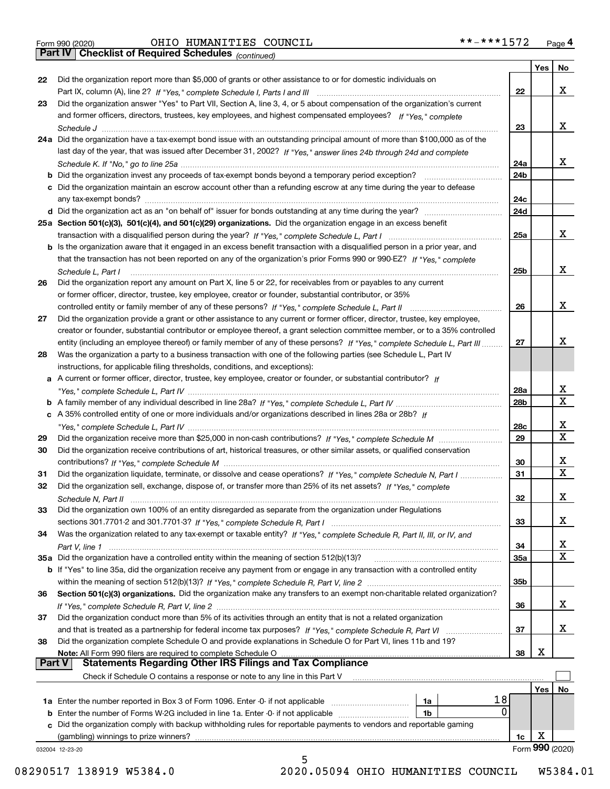|  | Form 990 (2020) |
|--|-----------------|

*(continued)*

|               |                                                                                                                                   |                 | Yes | No              |
|---------------|-----------------------------------------------------------------------------------------------------------------------------------|-----------------|-----|-----------------|
| 22            | Did the organization report more than \$5,000 of grants or other assistance to or for domestic individuals on                     |                 |     |                 |
|               |                                                                                                                                   | 22              |     | x               |
| 23            | Did the organization answer "Yes" to Part VII, Section A, line 3, 4, or 5 about compensation of the organization's current        |                 |     |                 |
|               | and former officers, directors, trustees, key employees, and highest compensated employees? If "Yes," complete                    |                 |     |                 |
|               |                                                                                                                                   | 23              |     | x               |
|               | 24a Did the organization have a tax-exempt bond issue with an outstanding principal amount of more than \$100,000 as of the       |                 |     |                 |
|               | last day of the year, that was issued after December 31, 2002? If "Yes," answer lines 24b through 24d and complete                |                 |     |                 |
|               |                                                                                                                                   | 24a             |     | x               |
|               | b Did the organization invest any proceeds of tax-exempt bonds beyond a temporary period exception?                               | 24b             |     |                 |
|               | c Did the organization maintain an escrow account other than a refunding escrow at any time during the year to defease            |                 |     |                 |
|               | any tax-exempt bonds?                                                                                                             | 24c             |     |                 |
|               |                                                                                                                                   | 24d             |     |                 |
|               | 25a Section 501(c)(3), 501(c)(4), and 501(c)(29) organizations. Did the organization engage in an excess benefit                  |                 |     |                 |
|               |                                                                                                                                   | 25a             |     | x               |
|               | b Is the organization aware that it engaged in an excess benefit transaction with a disqualified person in a prior year, and      |                 |     |                 |
|               | that the transaction has not been reported on any of the organization's prior Forms 990 or 990-EZ? If "Yes," complete             |                 |     |                 |
|               | Schedule L. Part I                                                                                                                | 25b             |     | x               |
| 26            | Did the organization report any amount on Part X, line 5 or 22, for receivables from or payables to any current                   |                 |     |                 |
|               | or former officer, director, trustee, key employee, creator or founder, substantial contributor, or 35%                           |                 |     |                 |
|               |                                                                                                                                   | 26              |     | x               |
| 27            | Did the organization provide a grant or other assistance to any current or former officer, director, trustee, key employee,       |                 |     |                 |
|               | creator or founder, substantial contributor or employee thereof, a grant selection committee member, or to a 35% controlled       |                 |     |                 |
|               | entity (including an employee thereof) or family member of any of these persons? If "Yes," complete Schedule L, Part III          | 27              |     | x               |
| 28            | Was the organization a party to a business transaction with one of the following parties (see Schedule L, Part IV                 |                 |     |                 |
|               | instructions, for applicable filing thresholds, conditions, and exceptions):                                                      |                 |     |                 |
|               | a A current or former officer, director, trustee, key employee, creator or founder, or substantial contributor? If                |                 |     |                 |
|               |                                                                                                                                   | 28a             |     | х               |
|               |                                                                                                                                   | 28 <sub>b</sub> |     | Χ               |
|               | c A 35% controlled entity of one or more individuals and/or organizations described in lines 28a or 28b? If                       |                 |     |                 |
|               |                                                                                                                                   | 28c             |     | x               |
| 29            |                                                                                                                                   | 29              |     | $\mathbf X$     |
| 30            | Did the organization receive contributions of art, historical treasures, or other similar assets, or qualified conservation       |                 |     |                 |
|               |                                                                                                                                   | 30              |     | x               |
| 31            | Did the organization liquidate, terminate, or dissolve and cease operations? If "Yes," complete Schedule N, Part I                | 31              |     | $\mathbf X$     |
| 32            | Did the organization sell, exchange, dispose of, or transfer more than 25% of its net assets? If "Yes," complete                  |                 |     |                 |
|               |                                                                                                                                   | 32              |     | х               |
|               |                                                                                                                                   |                 |     |                 |
| 33            | Did the organization own 100% of an entity disregarded as separate from the organization under Regulations                        |                 |     | х               |
|               |                                                                                                                                   | 33              |     |                 |
| 34            | Was the organization related to any tax-exempt or taxable entity? If "Yes," complete Schedule R, Part II, III, or IV, and         |                 |     |                 |
|               |                                                                                                                                   | 34              |     | X<br>Χ          |
|               | 35a Did the organization have a controlled entity within the meaning of section 512(b)(13)?                                       | 35a             |     |                 |
|               | b If "Yes" to line 35a, did the organization receive any payment from or engage in any transaction with a controlled entity       |                 |     |                 |
|               |                                                                                                                                   | 35 <sub>b</sub> |     |                 |
| 36            | Section 501(c)(3) organizations. Did the organization make any transfers to an exempt non-charitable related organization?        |                 |     |                 |
|               |                                                                                                                                   | 36              |     | x               |
| 37            | Did the organization conduct more than 5% of its activities through an entity that is not a related organization                  |                 |     |                 |
|               |                                                                                                                                   | 37              |     | х               |
| 38            | Did the organization complete Schedule O and provide explanations in Schedule O for Part VI, lines 11b and 19?                    |                 |     |                 |
| <b>Part V</b> | Note: All Form 990 filers are required to complete Schedule O<br><b>Statements Regarding Other IRS Filings and Tax Compliance</b> | 38              | X   |                 |
|               |                                                                                                                                   |                 |     |                 |
|               | Check if Schedule O contains a response or note to any line in this Part V                                                        |                 |     |                 |
|               |                                                                                                                                   |                 | Yes | No              |
|               | 18<br><b>1a</b> Enter the number reported in Box 3 of Form 1096. Enter -0- if not applicable <i>manumumumum</i><br>1a             |                 |     |                 |
|               | 0<br><b>b</b> Enter the number of Forms W-2G included in line 1a. Enter -0- if not applicable <i>manumumumum</i><br>1b            |                 |     |                 |
|               | c Did the organization comply with backup withholding rules for reportable payments to vendors and reportable gaming              |                 |     |                 |
|               | (gambling) winnings to prize winners?                                                                                             | 1c              | х   | Form 990 (2020) |
|               | 032004 12-23-20<br>5                                                                                                              |                 |     |                 |
|               |                                                                                                                                   |                 |     |                 |

 <sup>08290517 138919</sup> W5384.0 2020.05094 OHIO HUMANITIES COUNCIL W5384.01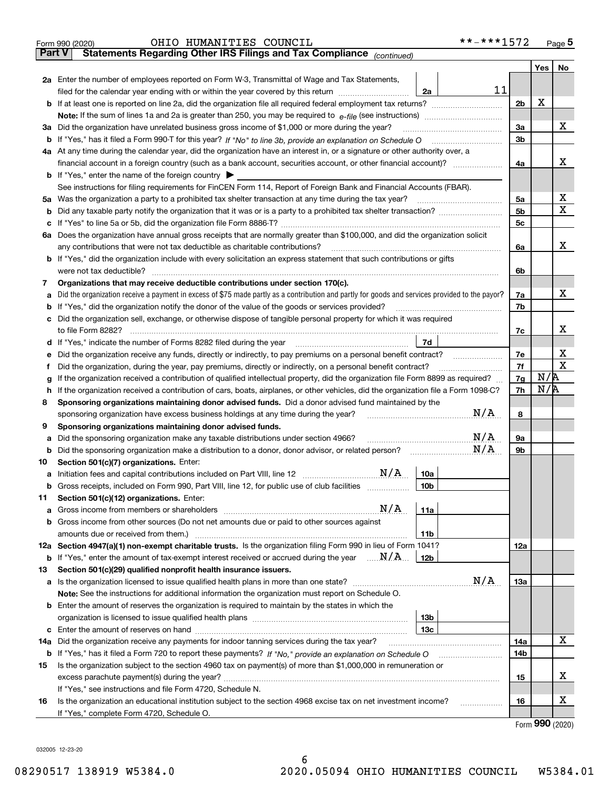|               | **-***1572<br>OHIO HUMANITIES COUNCIL<br>Form 990 (2020)                                                                                                                                                                                                                                                                                                  |                |         | Page 5                      |
|---------------|-----------------------------------------------------------------------------------------------------------------------------------------------------------------------------------------------------------------------------------------------------------------------------------------------------------------------------------------------------------|----------------|---------|-----------------------------|
| <b>Part V</b> | Statements Regarding Other IRS Filings and Tax Compliance (continued)                                                                                                                                                                                                                                                                                     |                |         |                             |
|               |                                                                                                                                                                                                                                                                                                                                                           |                | Yes $ $ | N <sub>o</sub>              |
|               | 2a Enter the number of employees reported on Form W-3, Transmittal of Wage and Tax Statements,                                                                                                                                                                                                                                                            |                |         |                             |
|               | 11<br>filed for the calendar year ending with or within the year covered by this return [11] [11] the calendar year ending with or within the year covered by this return<br>2a                                                                                                                                                                           |                |         |                             |
|               |                                                                                                                                                                                                                                                                                                                                                           | 2 <sub>b</sub> | X       |                             |
|               |                                                                                                                                                                                                                                                                                                                                                           |                |         |                             |
|               | 3a Did the organization have unrelated business gross income of \$1,000 or more during the year?                                                                                                                                                                                                                                                          | За             |         | x                           |
|               |                                                                                                                                                                                                                                                                                                                                                           | 3 <sub>b</sub> |         |                             |
|               | 4a At any time during the calendar year, did the organization have an interest in, or a signature or other authority over, a                                                                                                                                                                                                                              |                |         |                             |
|               | financial account in a foreign country (such as a bank account, securities account, or other financial account)?                                                                                                                                                                                                                                          | 4a             |         | x                           |
|               | <b>b</b> If "Yes," enter the name of the foreign country $\triangleright$                                                                                                                                                                                                                                                                                 |                |         |                             |
|               | See instructions for filing requirements for FinCEN Form 114, Report of Foreign Bank and Financial Accounts (FBAR).                                                                                                                                                                                                                                       |                |         |                             |
|               | 5a Was the organization a party to a prohibited tax shelter transaction at any time during the tax year?                                                                                                                                                                                                                                                  | 5a             |         | х                           |
|               |                                                                                                                                                                                                                                                                                                                                                           | 5 <sub>b</sub> |         | Х                           |
|               |                                                                                                                                                                                                                                                                                                                                                           | 5c             |         |                             |
|               | 6a Does the organization have annual gross receipts that are normally greater than \$100,000, and did the organization solicit                                                                                                                                                                                                                            |                |         |                             |
|               | any contributions that were not tax deductible as charitable contributions?                                                                                                                                                                                                                                                                               | 6a             |         | x                           |
|               | <b>b</b> If "Yes," did the organization include with every solicitation an express statement that such contributions or gifts                                                                                                                                                                                                                             |                |         |                             |
|               | were not tax deductible?                                                                                                                                                                                                                                                                                                                                  | 6b             |         |                             |
| 7             | Organizations that may receive deductible contributions under section 170(c).                                                                                                                                                                                                                                                                             |                |         |                             |
| а             | Did the organization receive a payment in excess of \$75 made partly as a contribution and partly for goods and services provided to the payor?                                                                                                                                                                                                           | 7a             |         | х                           |
|               | <b>b</b> If "Yes," did the organization notify the donor of the value of the goods or services provided?                                                                                                                                                                                                                                                  | 7b             |         |                             |
|               | c Did the organization sell, exchange, or otherwise dispose of tangible personal property for which it was required                                                                                                                                                                                                                                       |                |         |                             |
|               | to file Form 8282?                                                                                                                                                                                                                                                                                                                                        | 7c             |         | x                           |
|               | 7d<br>d If "Yes," indicate the number of Forms 8282 filed during the year manufactured in the second of the New York                                                                                                                                                                                                                                      |                |         |                             |
|               | e Did the organization receive any funds, directly or indirectly, to pay premiums on a personal benefit contract?                                                                                                                                                                                                                                         | 7e             |         | х                           |
|               | Did the organization, during the year, pay premiums, directly or indirectly, on a personal benefit contract?                                                                                                                                                                                                                                              | 7f             |         | X                           |
| g             | If the organization received a contribution of qualified intellectual property, did the organization file Form 8899 as required?                                                                                                                                                                                                                          | 7g             | N/R     |                             |
|               | h If the organization received a contribution of cars, boats, airplanes, or other vehicles, did the organization file a Form 1098-C?                                                                                                                                                                                                                      | 7h             | N/R     |                             |
| 8             | Sponsoring organizations maintaining donor advised funds. Did a donor advised fund maintained by the                                                                                                                                                                                                                                                      |                |         |                             |
|               | N/A<br>sponsoring organization have excess business holdings at any time during the year?                                                                                                                                                                                                                                                                 | 8              |         |                             |
| 9             | Sponsoring organizations maintaining donor advised funds.                                                                                                                                                                                                                                                                                                 |                |         |                             |
| а             | N/A<br>Did the sponsoring organization make any taxable distributions under section 4966?<br>N/A                                                                                                                                                                                                                                                          | 9a             |         |                             |
|               |                                                                                                                                                                                                                                                                                                                                                           | 9b             |         |                             |
| 10            | Section 501(c)(7) organizations. Enter:<br>a Initiation fees and capital contributions included on Part VIII, line 12 $\ldots$ $\ldots$ $\ldots$ $\ldots$ $\ldots$ $\ldots$ $\ldots$ $\ldots$ $\ldots$ $\ldots$ $\ldots$ $\ldots$ $\ldots$ $\ldots$ $\ldots$ $\ldots$ $\ldots$ $\ldots$ $\ldots$ $\ldots$ $\ldots$ $\ldots$ $\ldots$ $\ldots$ $\$<br> 10a |                |         |                             |
|               |                                                                                                                                                                                                                                                                                                                                                           |                |         |                             |
| 11            | <b>b</b> Gross receipts, included on Form 990, Part VIII, line 12, for public use of club facilities <i>manument</i><br>10b<br>Section 501(c)(12) organizations. Enter:                                                                                                                                                                                   |                |         |                             |
|               | 11a                                                                                                                                                                                                                                                                                                                                                       |                |         |                             |
|               | <b>b</b> Gross income from other sources (Do not net amounts due or paid to other sources against                                                                                                                                                                                                                                                         |                |         |                             |
|               | amounts due or received from them.)<br>11b                                                                                                                                                                                                                                                                                                                |                |         |                             |
|               | 12a Section 4947(a)(1) non-exempt charitable trusts. Is the organization filing Form 990 in lieu of Form 1041?                                                                                                                                                                                                                                            | 12a            |         |                             |
|               | <b>b</b> If "Yes," enter the amount of tax-exempt interest received or accrued during the year $\ldots \mathbf{N}/\mathbf{A}$ .<br>12b                                                                                                                                                                                                                    |                |         |                             |
| 13            | Section 501(c)(29) qualified nonprofit health insurance issuers.                                                                                                                                                                                                                                                                                          |                |         |                             |
|               | N/A<br>a Is the organization licensed to issue qualified health plans in more than one state?                                                                                                                                                                                                                                                             | 13а            |         |                             |
|               | Note: See the instructions for additional information the organization must report on Schedule O.                                                                                                                                                                                                                                                         |                |         |                             |
|               | <b>b</b> Enter the amount of reserves the organization is required to maintain by the states in which the                                                                                                                                                                                                                                                 |                |         |                             |
|               | 13 <sub>b</sub>                                                                                                                                                                                                                                                                                                                                           |                |         |                             |
|               | 13с                                                                                                                                                                                                                                                                                                                                                       |                |         |                             |
| 14a           | Did the organization receive any payments for indoor tanning services during the tax year?                                                                                                                                                                                                                                                                | 14a            |         | х                           |
|               |                                                                                                                                                                                                                                                                                                                                                           | 14b            |         |                             |
| 15            | Is the organization subject to the section 4960 tax on payment(s) of more than \$1,000,000 in remuneration or                                                                                                                                                                                                                                             |                |         |                             |
|               |                                                                                                                                                                                                                                                                                                                                                           | 15             |         | х                           |
|               | If "Yes," see instructions and file Form 4720, Schedule N.                                                                                                                                                                                                                                                                                                |                |         |                             |
| 16            | Is the organization an educational institution subject to the section 4968 excise tax on net investment income?<br>.                                                                                                                                                                                                                                      | 16             |         | х                           |
|               | If "Yes," complete Form 4720, Schedule O.                                                                                                                                                                                                                                                                                                                 |                |         |                             |
|               |                                                                                                                                                                                                                                                                                                                                                           |                |         | $F_{\text{arm}}$ 990 (2020) |

Form (2020) **990**

032005 12-23-20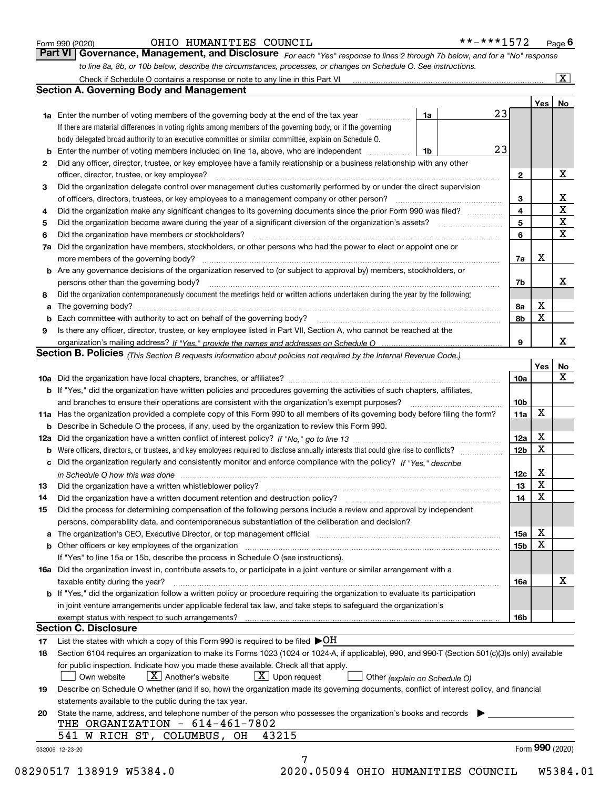|  | Form 990 (2020) |
|--|-----------------|
|  |                 |

### OHIO HUMANITIES COUNCIL \*\*-\*\*\*1572

*For each "Yes" response to lines 2 through 7b below, and for a "No" response to line 8a, 8b, or 10b below, describe the circumstances, processes, or changes on Schedule O. See instructions.* Form 990 (2020) **CHIO HUMANITIES COUNCIL the set of the set of the set of the Secure 1572** Page 6<br>**Part VI Governance, Management, and Disclosure** For each "Yes" response to lines 2 through 7b below, and for a "No" res Check if Schedule O contains a response or note to any line in this Part VI

|    | Check if Schedule O contains a response or note to any line in this Part VI                                                                                                   |    |    |                 |     | X               |  |  |
|----|-------------------------------------------------------------------------------------------------------------------------------------------------------------------------------|----|----|-----------------|-----|-----------------|--|--|
|    | <b>Section A. Governing Body and Management</b>                                                                                                                               |    |    |                 |     |                 |  |  |
|    |                                                                                                                                                                               |    |    |                 | Yes | No              |  |  |
|    | <b>1a</b> Enter the number of voting members of the governing body at the end of the tax year                                                                                 | 1a | 23 |                 |     |                 |  |  |
|    | If there are material differences in voting rights among members of the governing body, or if the governing                                                                   |    |    |                 |     |                 |  |  |
|    | body delegated broad authority to an executive committee or similar committee, explain on Schedule O.                                                                         |    |    |                 |     |                 |  |  |
| b  | Enter the number of voting members included on line 1a, above, who are independent                                                                                            | 1b | 23 |                 |     |                 |  |  |
| 2  | Did any officer, director, trustee, or key employee have a family relationship or a business relationship with any other                                                      |    |    |                 |     |                 |  |  |
|    | officer, director, trustee, or key employee?                                                                                                                                  |    |    |                 |     |                 |  |  |
| 3  | Did the organization delegate control over management duties customarily performed by or under the direct supervision                                                         |    |    | 2               |     | X               |  |  |
|    | of officers, directors, trustees, or key employees to a management company or other person?                                                                                   |    |    | 3               |     | x               |  |  |
| 4  | Did the organization make any significant changes to its governing documents since the prior Form 990 was filed?                                                              |    |    | $\overline{4}$  |     | $\mathbf X$     |  |  |
|    | 5                                                                                                                                                                             |    |    |                 |     |                 |  |  |
| 6  | Did the organization have members or stockholders?                                                                                                                            |    |    | 5<br>6          |     | X<br>X          |  |  |
| 7a | Did the organization have members, stockholders, or other persons who had the power to elect or appoint one or                                                                |    |    |                 |     |                 |  |  |
|    | more members of the governing body?                                                                                                                                           |    |    | 7a              | х   |                 |  |  |
|    | <b>b</b> Are any governance decisions of the organization reserved to (or subject to approval by) members, stockholders, or                                                   |    |    |                 |     |                 |  |  |
|    | persons other than the governing body?                                                                                                                                        |    |    | 7b              |     | х               |  |  |
|    | Did the organization contemporaneously document the meetings held or written actions undertaken during the year by the following:                                             |    |    |                 |     |                 |  |  |
| 8  |                                                                                                                                                                               |    |    |                 | х   |                 |  |  |
| a  |                                                                                                                                                                               |    |    | 8а              | x   |                 |  |  |
| b  | Each committee with authority to act on behalf of the governing body?                                                                                                         |    |    | 8b              |     |                 |  |  |
| 9  | Is there any officer, director, trustee, or key employee listed in Part VII, Section A, who cannot be reached at the                                                          |    |    |                 |     | x               |  |  |
|    |                                                                                                                                                                               |    |    | 9               |     |                 |  |  |
|    | <b>Section B. Policies</b> (This Section B requests information about policies not required by the Internal Revenue Code.)                                                    |    |    |                 |     |                 |  |  |
|    |                                                                                                                                                                               |    |    |                 | Yes | No              |  |  |
|    |                                                                                                                                                                               |    |    | 10a             |     | x               |  |  |
|    | <b>b</b> If "Yes," did the organization have written policies and procedures governing the activities of such chapters, affiliates,                                           |    |    |                 |     |                 |  |  |
|    | and branches to ensure their operations are consistent with the organization's exempt purposes?                                                                               |    |    | 10 <sub>b</sub> |     |                 |  |  |
|    | 11a Has the organization provided a complete copy of this Form 990 to all members of its governing body before filing the form?                                               |    |    | 11a             | X   |                 |  |  |
|    | <b>b</b> Describe in Schedule O the process, if any, used by the organization to review this Form 990.                                                                        |    |    |                 |     |                 |  |  |
|    |                                                                                                                                                                               |    |    | 12a             | х   |                 |  |  |
| b  |                                                                                                                                                                               |    |    | 12 <sub>b</sub> | X   |                 |  |  |
|    | c Did the organization regularly and consistently monitor and enforce compliance with the policy? If "Yes." describe                                                          |    |    |                 |     |                 |  |  |
|    | in Schedule O how this was done measured and contained a strategie of the state of the state of the strategie o                                                               |    |    | 12c             | х   |                 |  |  |
| 13 | Did the organization have a written whistleblower policy?                                                                                                                     |    |    | 13              | x   |                 |  |  |
| 14 | Did the organization have a written document retention and destruction policy?                                                                                                |    |    | 14              | X   |                 |  |  |
| 15 | Did the process for determining compensation of the following persons include a review and approval by independent                                                            |    |    |                 |     |                 |  |  |
|    | persons, comparability data, and contemporaneous substantiation of the deliberation and decision?                                                                             |    |    |                 |     |                 |  |  |
| a  | The organization's CEO, Executive Director, or top management official manufactured content content of the organization's CEO, Executive Director, or top management official |    |    | 15a             | Χ   |                 |  |  |
|    | <b>b</b> Other officers or key employees of the organization                                                                                                                  |    |    | 15b             | x   |                 |  |  |
|    | If "Yes" to line 15a or 15b, describe the process in Schedule O (see instructions).                                                                                           |    |    |                 |     |                 |  |  |
|    | 16a Did the organization invest in, contribute assets to, or participate in a joint venture or similar arrangement with a                                                     |    |    |                 |     |                 |  |  |
|    | taxable entity during the year?                                                                                                                                               |    |    | 16a             |     | х               |  |  |
|    | b If "Yes," did the organization follow a written policy or procedure requiring the organization to evaluate its participation                                                |    |    |                 |     |                 |  |  |
|    | in joint venture arrangements under applicable federal tax law, and take steps to safequard the organization's                                                                |    |    |                 |     |                 |  |  |
|    | exempt status with respect to such arrangements?                                                                                                                              |    |    | 16b             |     |                 |  |  |
|    | <b>Section C. Disclosure</b>                                                                                                                                                  |    |    |                 |     |                 |  |  |
| 17 | List the states with which a copy of this Form 990 is required to be filed $\blacktriangleright$ OH                                                                           |    |    |                 |     |                 |  |  |
| 18 | Section 6104 requires an organization to make its Forms 1023 (1024 or 1024-A, if applicable), 990, and 990-T (Section 501(c)(3)s only) available                              |    |    |                 |     |                 |  |  |
|    | for public inspection. Indicate how you made these available. Check all that apply.                                                                                           |    |    |                 |     |                 |  |  |
|    | $X$ Another's website<br>$\lfloor x \rfloor$ Upon request<br>Own website<br>Other (explain on Schedule O)                                                                     |    |    |                 |     |                 |  |  |
| 19 | Describe on Schedule O whether (and if so, how) the organization made its governing documents, conflict of interest policy, and financial                                     |    |    |                 |     |                 |  |  |
|    | statements available to the public during the tax year.                                                                                                                       |    |    |                 |     |                 |  |  |
| 20 | State the name, address, and telephone number of the person who possesses the organization's books and records                                                                |    |    |                 |     |                 |  |  |
|    | THE ORGANIZATION - 614-461-7802                                                                                                                                               |    |    |                 |     |                 |  |  |
|    | 541 W RICH ST, COLUMBUS, OH<br>43215                                                                                                                                          |    |    |                 |     |                 |  |  |
|    | 032006 12-23-20                                                                                                                                                               |    |    |                 |     | Form 990 (2020) |  |  |
|    | 7                                                                                                                                                                             |    |    |                 |     |                 |  |  |

08290517 138919 W5384.0 2020.05094 OHIO HUMANITIES COUNCIL W5384.01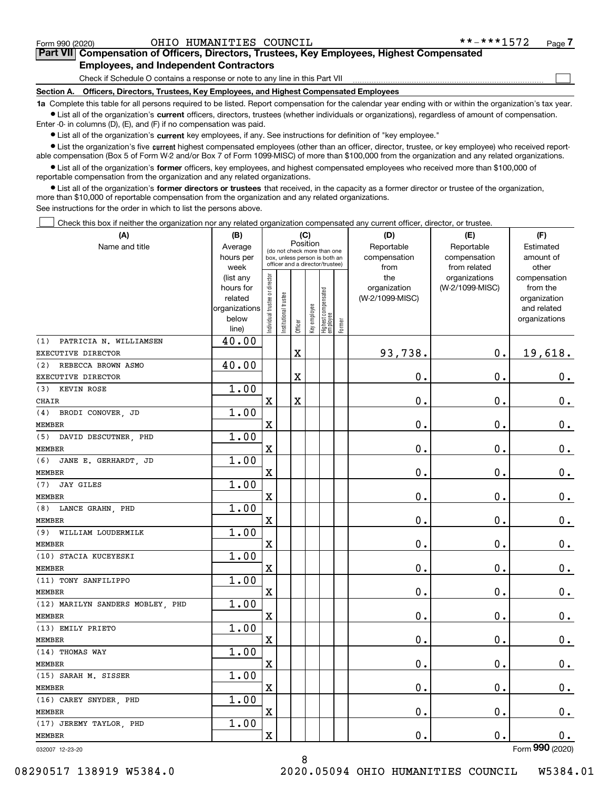$\mathcal{L}^{\text{max}}$ 

# **7Part VII Compensation of Officers, Directors, Trustees, Key Employees, Highest Compensated Employees, and Independent Contractors**

Check if Schedule O contains a response or note to any line in this Part VII

**Section A. Officers, Directors, Trustees, Key Employees, and Highest Compensated Employees**

**1a**  Complete this table for all persons required to be listed. Report compensation for the calendar year ending with or within the organization's tax year. **•** List all of the organization's current officers, directors, trustees (whether individuals or organizations), regardless of amount of compensation.

Enter -0- in columns (D), (E), and (F) if no compensation was paid.

 $\bullet$  List all of the organization's  $\,$ current key employees, if any. See instructions for definition of "key employee."

**•** List the organization's five current highest compensated employees (other than an officer, director, trustee, or key employee) who received reportable compensation (Box 5 of Form W-2 and/or Box 7 of Form 1099-MISC) of more than \$100,000 from the organization and any related organizations.

**•** List all of the organization's former officers, key employees, and highest compensated employees who received more than \$100,000 of reportable compensation from the organization and any related organizations.

**former directors or trustees**  ¥ List all of the organization's that received, in the capacity as a former director or trustee of the organization, more than \$10,000 of reportable compensation from the organization and any related organizations.

See instructions for the order in which to list the persons above.

Check this box if neither the organization nor any related organization compensated any current officer, director, or trustee.  $\mathcal{L}^{\text{max}}$ 

| (A)                              | (B)                    |                                         |                      | (C)                                                              |              |                                  |        | (D)                             | (E)                              | (F)                      |
|----------------------------------|------------------------|-----------------------------------------|----------------------|------------------------------------------------------------------|--------------|----------------------------------|--------|---------------------------------|----------------------------------|--------------------------|
| Name and title                   | Average                | Position<br>(do not check more than one |                      | Reportable                                                       | Reportable   | Estimated                        |        |                                 |                                  |                          |
|                                  | hours per              |                                         |                      | box, unless person is both an<br>officer and a director/trustee) |              |                                  |        | compensation                    | compensation                     | amount of                |
|                                  | week                   |                                         |                      |                                                                  |              |                                  |        | from                            | from related                     | other                    |
|                                  | (list any<br>hours for |                                         |                      |                                                                  |              |                                  |        | the                             | organizations<br>(W-2/1099-MISC) | compensation<br>from the |
|                                  | related                |                                         |                      |                                                                  |              |                                  |        | organization<br>(W-2/1099-MISC) |                                  | organization             |
|                                  | organizations          |                                         |                      |                                                                  |              |                                  |        |                                 |                                  | and related              |
|                                  | below                  | ndividual trustee or director           | nstitutional trustee |                                                                  |              |                                  |        |                                 |                                  | organizations            |
|                                  | line)                  |                                         |                      | Officer                                                          | Key employee | Highest compensated<br> employee | Former |                                 |                                  |                          |
| PATRICIA N. WILLIAMSEN<br>(1)    | 40.00                  |                                         |                      |                                                                  |              |                                  |        |                                 |                                  |                          |
| EXECUTIVE DIRECTOR               |                        |                                         |                      | $\mathbf X$                                                      |              |                                  |        | 93,738.                         | $\mathbf 0$ .                    | 19,618.                  |
| REBECCA BROWN ASMO<br>(2)        | 40.00                  |                                         |                      |                                                                  |              |                                  |        |                                 |                                  |                          |
| EXECUTIVE DIRECTOR               |                        |                                         |                      | X                                                                |              |                                  |        | 0.                              | $\mathbf 0$ .                    | 0.                       |
| <b>KEVIN ROSE</b><br>(3)         | 1.00                   |                                         |                      |                                                                  |              |                                  |        |                                 |                                  |                          |
| <b>CHAIR</b>                     |                        | $\rm X$                                 |                      | $\rm X$                                                          |              |                                  |        | $\mathbf 0$ .                   | $\mathbf 0$ .                    | $0$ .                    |
| (4)<br>BRODI CONOVER, JD         | 1.00                   |                                         |                      |                                                                  |              |                                  |        |                                 |                                  |                          |
| <b>MEMBER</b>                    |                        | X                                       |                      |                                                                  |              |                                  |        | 0.                              | $\mathbf 0$ .                    | 0.                       |
| (5)<br>DAVID DESCUTNER, PHD      | 1.00                   |                                         |                      |                                                                  |              |                                  |        |                                 |                                  |                          |
| <b>MEMBER</b>                    |                        | $\overline{\mathbf{X}}$                 |                      |                                                                  |              |                                  |        | 0.                              | $\mathbf 0$ .                    | $\mathbf 0$ .            |
| (6)<br>JANE E. GERHARDT, JD      | 1.00                   |                                         |                      |                                                                  |              |                                  |        |                                 |                                  |                          |
| <b>MEMBER</b>                    |                        | $\overline{\mathbf{X}}$                 |                      |                                                                  |              |                                  |        | 0.                              | $\mathbf 0$ .                    | $\mathbf 0$ .            |
| <b>JAY GILES</b><br>(7)          | 1.00                   |                                         |                      |                                                                  |              |                                  |        |                                 |                                  |                          |
| <b>MEMBER</b>                    |                        | $\overline{\mathbf{X}}$                 |                      |                                                                  |              |                                  |        | $\mathbf 0$ .                   | $\mathbf 0$ .                    | $0_{.}$                  |
| (8)<br>LANCE GRAHN, PHD          | 1.00                   |                                         |                      |                                                                  |              |                                  |        |                                 |                                  |                          |
| <b>MEMBER</b>                    |                        | $\overline{\mathbf{X}}$                 |                      |                                                                  |              |                                  |        | $\mathbf 0$ .                   | 0.                               | $0_{.}$                  |
| WILLIAM LOUDERMILK<br>(9)        | 1.00                   |                                         |                      |                                                                  |              |                                  |        |                                 |                                  |                          |
| <b>MEMBER</b>                    |                        | $\overline{\textbf{X}}$                 |                      |                                                                  |              |                                  |        | 0.                              | $\mathbf 0$ .                    | 0.                       |
| (10) STACIA KUCEYESKI            | 1.00                   |                                         |                      |                                                                  |              |                                  |        |                                 |                                  |                          |
| <b>MEMBER</b>                    |                        | $\overline{\mathbf{X}}$                 |                      |                                                                  |              |                                  |        | 0.                              | $\mathbf 0$ .                    | $\mathbf 0$ .            |
| (11) TONY SANFILIPPO             | 1.00                   |                                         |                      |                                                                  |              |                                  |        |                                 |                                  |                          |
| <b>MEMBER</b>                    |                        | $\rm X$                                 |                      |                                                                  |              |                                  |        | 0.                              | $\mathbf 0$ .                    | 0.                       |
| (12) MARILYN SANDERS MOBLEY, PHD | 1.00                   |                                         |                      |                                                                  |              |                                  |        |                                 |                                  |                          |
| <b>MEMBER</b>                    |                        | $\overline{\mathbf{X}}$                 |                      |                                                                  |              |                                  |        | 0.                              | $\mathbf 0$ .                    | $0_{.}$                  |
| (13) EMILY PRIETO                | 1.00                   |                                         |                      |                                                                  |              |                                  |        |                                 |                                  |                          |
| <b>MEMBER</b>                    |                        | $\overline{\mathbf{X}}$                 |                      |                                                                  |              |                                  |        | 0.                              | $\mathbf 0$ .                    | $\mathbf 0$ .            |
| (14) THOMAS WAY                  | 1.00                   |                                         |                      |                                                                  |              |                                  |        |                                 |                                  |                          |
| <b>MEMBER</b>                    |                        | $\overline{\mathbf{X}}$                 |                      |                                                                  |              |                                  |        | $\mathbf{0}$ .                  | 0.                               | $\mathbf 0$ .            |
| (15) SARAH M. SISSER             | 1.00                   |                                         |                      |                                                                  |              |                                  |        |                                 |                                  |                          |
| <b>MEMBER</b>                    |                        | $\overline{\mathbf{X}}$                 |                      |                                                                  |              |                                  |        | $\mathbf 0$ .                   | $\mathbf 0$ .                    | 0.                       |
| (16) CAREY SNYDER, PHD           | 1.00                   |                                         |                      |                                                                  |              |                                  |        |                                 |                                  |                          |
| <b>MEMBER</b>                    |                        | X                                       |                      |                                                                  |              |                                  |        | 0.                              | 0.                               | 0.                       |
| (17) JEREMY TAYLOR, PHD          | 1.00                   |                                         |                      |                                                                  |              |                                  |        |                                 |                                  |                          |
| <b>MEMBER</b>                    |                        | $\overline{\mathbf{X}}$                 |                      |                                                                  |              |                                  |        | 0.                              | $\mathbf 0$ .                    | 0.                       |

8

032007 12-23-20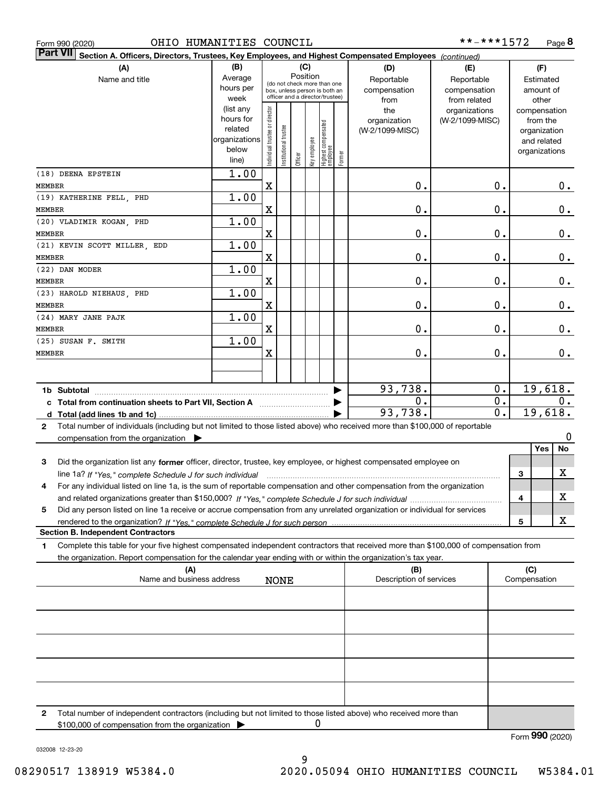| Form 990 (2020)                                                                                                                                                                                                                                             | OHIO HUMANITIES COUNCIL          |                                                                      |                                |                       |                                                                                                                    |              |                                 |        |                                                                                                        | **-***1572                                         |   |                                                                          | Page 8        |
|-------------------------------------------------------------------------------------------------------------------------------------------------------------------------------------------------------------------------------------------------------------|----------------------------------|----------------------------------------------------------------------|--------------------------------|-----------------------|--------------------------------------------------------------------------------------------------------------------|--------------|---------------------------------|--------|--------------------------------------------------------------------------------------------------------|----------------------------------------------------|---|--------------------------------------------------------------------------|---------------|
| Part VII                                                                                                                                                                                                                                                    |                                  |                                                                      |                                |                       |                                                                                                                    |              |                                 |        | Section A. Officers, Directors, Trustees, Key Employees, and Highest Compensated Employees (continued) |                                                    |   |                                                                          |               |
| (A)<br>Name and title                                                                                                                                                                                                                                       |                                  | (B)<br>Average<br>hours per<br>week                                  |                                |                       | (C)<br>Position<br>(do not check more than one<br>box, unless person is both an<br>officer and a director/trustee) |              |                                 |        | (D)<br>Reportable<br>compensation<br>from                                                              | (E)<br>Reportable<br>compensation<br>from related  |   | (F)<br>Estimated<br>amount of<br>other                                   |               |
|                                                                                                                                                                                                                                                             |                                  | (list any<br>hours for<br>related<br>organizations<br>below<br>line) | Individual trustee or director | Institutional trustee | Officer                                                                                                            | key employee | Highest compensated<br>employee | Former | the<br>organization<br>(W-2/1099-MISC)                                                                 | organizations<br>(W-2/1099-MISC)                   |   | compensation<br>from the<br>organization<br>and related<br>organizations |               |
| (18) DEENA EPSTEIN<br>MEMBER                                                                                                                                                                                                                                |                                  | 1.00                                                                 | X                              |                       |                                                                                                                    |              |                                 |        | 0.                                                                                                     | $\mathbf 0$ .                                      |   |                                                                          | $0$ .         |
| (19) KATHERINE FELL, PHD<br><b>MEMBER</b>                                                                                                                                                                                                                   |                                  | 1.00                                                                 | X                              |                       |                                                                                                                    |              |                                 |        | 0.                                                                                                     | 0.                                                 |   |                                                                          | $\mathbf 0$ . |
| (20) VLADIMIR KOGAN, PHD<br><b>MEMBER</b>                                                                                                                                                                                                                   |                                  | 1.00                                                                 | $\mathbf X$                    |                       |                                                                                                                    |              |                                 |        | 0.                                                                                                     | $\mathbf 0$ .                                      |   |                                                                          | $\mathbf 0$ . |
| (21) KEVIN SCOTT MILLER, EDD<br>MEMBER                                                                                                                                                                                                                      |                                  | 1.00                                                                 | X                              |                       |                                                                                                                    |              |                                 |        | 0.                                                                                                     | 0.                                                 |   |                                                                          | $\mathbf 0$ . |
| (22) DAN MODER<br><b>MEMBER</b>                                                                                                                                                                                                                             |                                  | 1.00                                                                 | X                              |                       |                                                                                                                    |              |                                 |        | 0.                                                                                                     | $\mathbf 0$ .                                      |   |                                                                          | $\mathbf 0$ . |
| (23) HAROLD NIEHAUS, PHD<br><b>MEMBER</b>                                                                                                                                                                                                                   |                                  | 1.00                                                                 | $\mathbf X$                    |                       |                                                                                                                    |              |                                 |        | 0.                                                                                                     | 0.                                                 |   |                                                                          | $\mathbf 0$ . |
| (24) MARY JANE PAJK<br>MEMBER                                                                                                                                                                                                                               |                                  | 1.00                                                                 | $\mathbf X$                    |                       |                                                                                                                    |              |                                 |        | 0.                                                                                                     | 0.                                                 |   |                                                                          | $\mathbf 0$ . |
| (25) SUSAN F. SMITH<br>MEMBER                                                                                                                                                                                                                               |                                  | 1.00                                                                 | X                              |                       |                                                                                                                    |              |                                 |        | 0.                                                                                                     | $\mathbf 0$ .                                      |   |                                                                          | 0.            |
|                                                                                                                                                                                                                                                             |                                  |                                                                      |                                |                       |                                                                                                                    |              |                                 |        |                                                                                                        |                                                    |   |                                                                          |               |
| 1b Subtotal<br>c Total from continuation sheets to Part VII, Section A                                                                                                                                                                                      |                                  |                                                                      |                                |                       |                                                                                                                    |              |                                 |        | 93,738.<br>$\mathbf 0$ .<br>93,738.                                                                    | $\mathbf 0$ .<br>$\mathbf 0$ .<br>$\overline{0}$ . |   | 19,618.<br>19,618.                                                       | 0.            |
| Total number of individuals (including but not limited to those listed above) who received more than \$100,000 of reportable<br>$\mathbf{2}$<br>compensation from the organization $\blacktriangleright$                                                    |                                  |                                                                      |                                |                       |                                                                                                                    |              |                                 |        |                                                                                                        |                                                    |   |                                                                          | 0             |
| Did the organization list any former officer, director, trustee, key employee, or highest compensated employee on<br>3                                                                                                                                      |                                  |                                                                      |                                |                       |                                                                                                                    |              |                                 |        |                                                                                                        |                                                    |   | Yes                                                                      | No            |
| For any individual listed on line 1a, is the sum of reportable compensation and other compensation from the organization<br>4                                                                                                                               |                                  |                                                                      |                                |                       |                                                                                                                    |              |                                 |        |                                                                                                        |                                                    | 3 |                                                                          | х             |
| Did any person listed on line 1a receive or accrue compensation from any unrelated organization or individual for services<br>5                                                                                                                             |                                  |                                                                      |                                |                       |                                                                                                                    |              |                                 |        |                                                                                                        |                                                    | 4 |                                                                          | х             |
| <b>Section B. Independent Contractors</b>                                                                                                                                                                                                                   |                                  |                                                                      |                                |                       |                                                                                                                    |              |                                 |        |                                                                                                        |                                                    | 5 |                                                                          | x             |
| Complete this table for your five highest compensated independent contractors that received more than \$100,000 of compensation from<br>1<br>the organization. Report compensation for the calendar year ending with or within the organization's tax year. |                                  |                                                                      |                                |                       |                                                                                                                    |              |                                 |        |                                                                                                        |                                                    |   |                                                                          |               |
|                                                                                                                                                                                                                                                             | (A)<br>Name and business address |                                                                      |                                | <b>NONE</b>           |                                                                                                                    |              |                                 |        | (B)<br>Description of services                                                                         |                                                    |   | (C)<br>Compensation                                                      |               |
|                                                                                                                                                                                                                                                             |                                  |                                                                      |                                |                       |                                                                                                                    |              |                                 |        |                                                                                                        |                                                    |   |                                                                          |               |
|                                                                                                                                                                                                                                                             |                                  |                                                                      |                                |                       |                                                                                                                    |              |                                 |        |                                                                                                        |                                                    |   |                                                                          |               |
|                                                                                                                                                                                                                                                             |                                  |                                                                      |                                |                       |                                                                                                                    |              |                                 |        |                                                                                                        |                                                    |   |                                                                          |               |
|                                                                                                                                                                                                                                                             |                                  |                                                                      |                                |                       |                                                                                                                    |              |                                 |        |                                                                                                        |                                                    |   |                                                                          |               |
|                                                                                                                                                                                                                                                             |                                  |                                                                      |                                |                       |                                                                                                                    |              |                                 |        |                                                                                                        |                                                    |   |                                                                          |               |
| 2<br>Total number of independent contractors (including but not limited to those listed above) who received more than                                                                                                                                       |                                  |                                                                      |                                |                       |                                                                                                                    |              |                                 |        |                                                                                                        |                                                    |   |                                                                          |               |

\$100,000 of compensation from the organization 0

Form (2020) **990**

032008 12-23-20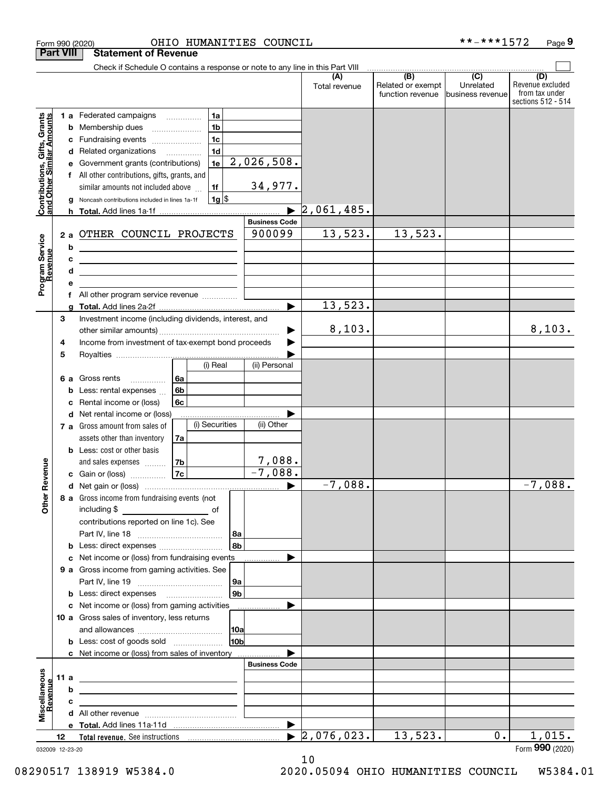|                                                           |                  | OHIO HUMANITIES COUNCIL<br>Form 990 (2020)                                                                                                                                                                                     |                      |                                  |                                       | **-***1572                    | Page 9                             |
|-----------------------------------------------------------|------------------|--------------------------------------------------------------------------------------------------------------------------------------------------------------------------------------------------------------------------------|----------------------|----------------------------------|---------------------------------------|-------------------------------|------------------------------------|
|                                                           | <b>Part VIII</b> | <b>Statement of Revenue</b>                                                                                                                                                                                                    |                      |                                  |                                       |                               |                                    |
|                                                           |                  | Check if Schedule O contains a response or note to any line in this Part VIII                                                                                                                                                  |                      |                                  |                                       |                               |                                    |
|                                                           |                  |                                                                                                                                                                                                                                |                      | (A)                              | $\overline{(B)}$                      | $\overline{C}$                | (D)                                |
|                                                           |                  |                                                                                                                                                                                                                                |                      | Total revenue                    | Related or exempt<br>function revenue | Unrelated<br>business revenue | Revenue excluded<br>from tax under |
|                                                           |                  |                                                                                                                                                                                                                                |                      |                                  |                                       |                               | sections 512 - 514                 |
|                                                           |                  | 1a<br>1 a Federated campaigns                                                                                                                                                                                                  |                      |                                  |                                       |                               |                                    |
|                                                           |                  | 1 <sub>b</sub><br><b>b</b> Membership dues                                                                                                                                                                                     |                      |                                  |                                       |                               |                                    |
| Contributions, Gifts, Grants<br>and Other Similar Amounts | с                | 1 <sub>c</sub><br>Fundraising events                                                                                                                                                                                           |                      |                                  |                                       |                               |                                    |
|                                                           |                  | 1 <sub>d</sub><br>d Related organizations                                                                                                                                                                                      |                      |                                  |                                       |                               |                                    |
|                                                           |                  | 1e<br>Government grants (contributions)                                                                                                                                                                                        | 2,026,508.           |                                  |                                       |                               |                                    |
|                                                           |                  | f All other contributions, gifts, grants, and                                                                                                                                                                                  |                      |                                  |                                       |                               |                                    |
|                                                           |                  | similar amounts not included above<br>1f                                                                                                                                                                                       | 34,977.              |                                  |                                       |                               |                                    |
|                                                           |                  | $1g$ \$<br>Noncash contributions included in lines 1a-1f                                                                                                                                                                       |                      |                                  |                                       |                               |                                    |
|                                                           |                  |                                                                                                                                                                                                                                |                      | $\blacktriangleright$ 2,061,485. |                                       |                               |                                    |
|                                                           |                  |                                                                                                                                                                                                                                | <b>Business Code</b> |                                  |                                       |                               |                                    |
|                                                           |                  |                                                                                                                                                                                                                                | 900099               | 13,523.                          | 13,523.                               |                               |                                    |
|                                                           | 2a               | OTHER COUNCIL PROJECTS                                                                                                                                                                                                         |                      |                                  |                                       |                               |                                    |
|                                                           | b                |                                                                                                                                                                                                                                |                      |                                  |                                       |                               |                                    |
|                                                           | c                | <u> 1999 - Johann Barbara, martin amerikan ba</u>                                                                                                                                                                              |                      |                                  |                                       |                               |                                    |
|                                                           | d                | <u> 1980 - Andrea Andrew Maria (b. 1980)</u>                                                                                                                                                                                   |                      |                                  |                                       |                               |                                    |
| Program Service<br>Revenue                                | е                |                                                                                                                                                                                                                                |                      |                                  |                                       |                               |                                    |
|                                                           |                  | All other program service revenue  [                                                                                                                                                                                           |                      |                                  |                                       |                               |                                    |
|                                                           | a                |                                                                                                                                                                                                                                |                      | 13,523.                          |                                       |                               |                                    |
|                                                           | 3                | Investment income (including dividends, interest, and                                                                                                                                                                          |                      |                                  |                                       |                               |                                    |
|                                                           |                  |                                                                                                                                                                                                                                |                      | 8,103.                           |                                       |                               | 8,103.                             |
|                                                           | 4                | Income from investment of tax-exempt bond proceeds                                                                                                                                                                             |                      |                                  |                                       |                               |                                    |
|                                                           | 5                |                                                                                                                                                                                                                                |                      |                                  |                                       |                               |                                    |
|                                                           |                  | (i) Real                                                                                                                                                                                                                       | (ii) Personal        |                                  |                                       |                               |                                    |
|                                                           | 6а               | Gross rents<br>6а                                                                                                                                                                                                              |                      |                                  |                                       |                               |                                    |
|                                                           | b                | 6b<br>Less: rental expenses                                                                                                                                                                                                    |                      |                                  |                                       |                               |                                    |
|                                                           | c                | 6c<br>Rental income or (loss)                                                                                                                                                                                                  |                      |                                  |                                       |                               |                                    |
|                                                           |                  | d Net rental income or (loss)                                                                                                                                                                                                  |                      |                                  |                                       |                               |                                    |
|                                                           |                  | (i) Securities<br>7 a Gross amount from sales of                                                                                                                                                                               | (ii) Other           |                                  |                                       |                               |                                    |
|                                                           |                  | assets other than inventory<br>7a                                                                                                                                                                                              |                      |                                  |                                       |                               |                                    |
|                                                           |                  | <b>b</b> Less: cost or other basis                                                                                                                                                                                             |                      |                                  |                                       |                               |                                    |
|                                                           |                  | and sales expenses<br>7b                                                                                                                                                                                                       | 7,088.               |                                  |                                       |                               |                                    |
| auneve                                                    |                  | 7c<br>c Gain or (loss)                                                                                                                                                                                                         | $-7,088.$            |                                  |                                       |                               |                                    |
|                                                           |                  |                                                                                                                                                                                                                                |                      | $-7,088.$                        |                                       |                               | $-7,088.$                          |
| Other R                                                   |                  | 8 a Gross income from fundraising events (not                                                                                                                                                                                  |                      |                                  |                                       |                               |                                    |
|                                                           |                  | including \$<br><u>of</u> of                                                                                                                                                                                                   |                      |                                  |                                       |                               |                                    |
|                                                           |                  | contributions reported on line 1c). See                                                                                                                                                                                        |                      |                                  |                                       |                               |                                    |
|                                                           |                  |                                                                                                                                                                                                                                |                      |                                  |                                       |                               |                                    |
|                                                           | b                |                                                                                                                                                                                                                                | 8b                   |                                  |                                       |                               |                                    |
|                                                           | c                | Net income or (loss) from fundraising events                                                                                                                                                                                   |                      |                                  |                                       |                               |                                    |
|                                                           |                  | 9 a Gross income from gaming activities. See                                                                                                                                                                                   |                      |                                  |                                       |                               |                                    |
|                                                           |                  |                                                                                                                                                                                                                                | 9a                   |                                  |                                       |                               |                                    |
|                                                           |                  |                                                                                                                                                                                                                                | 9 <sub>b</sub>       |                                  |                                       |                               |                                    |
|                                                           |                  | c Net income or (loss) from gaming activities _______________                                                                                                                                                                  |                      |                                  |                                       |                               |                                    |
|                                                           |                  | 10 a Gross sales of inventory, less returns                                                                                                                                                                                    |                      |                                  |                                       |                               |                                    |
|                                                           |                  |                                                                                                                                                                                                                                |                      |                                  |                                       |                               |                                    |
|                                                           |                  | <b>b</b> Less: cost of goods sold                                                                                                                                                                                              | 10 <sub>b</sub>      |                                  |                                       |                               |                                    |
|                                                           |                  | c Net income or (loss) from sales of inventory                                                                                                                                                                                 |                      |                                  |                                       |                               |                                    |
|                                                           |                  |                                                                                                                                                                                                                                | <b>Business Code</b> |                                  |                                       |                               |                                    |
|                                                           |                  |                                                                                                                                                                                                                                |                      |                                  |                                       |                               |                                    |
|                                                           | 11 a             |                                                                                                                                                                                                                                |                      |                                  |                                       |                               |                                    |
| Revenue                                                   | b                |                                                                                                                                                                                                                                |                      |                                  |                                       |                               |                                    |
| Miscellaneous                                             | c                |                                                                                                                                                                                                                                |                      |                                  |                                       |                               |                                    |
|                                                           |                  |                                                                                                                                                                                                                                |                      |                                  |                                       |                               |                                    |
|                                                           |                  |                                                                                                                                                                                                                                | ▶                    |                                  |                                       | 0.1                           |                                    |
|                                                           | 12               | Total revenue. See instructions [100] [100] [100] [100] [100] [100] [100] [100] [100] [100] [100] [100] [100] [100] [100] [100] [100] [100] [100] [100] [100] [100] [100] [100] [100] [100] [100] [100] [100] [100] [100] [100 |                      | 2,076,023.                       | 13,523.                               |                               | 1,015.                             |
|                                                           | 032009 12-23-20  |                                                                                                                                                                                                                                |                      |                                  |                                       |                               | Form 990 (2020)                    |

10

032009 12-23-20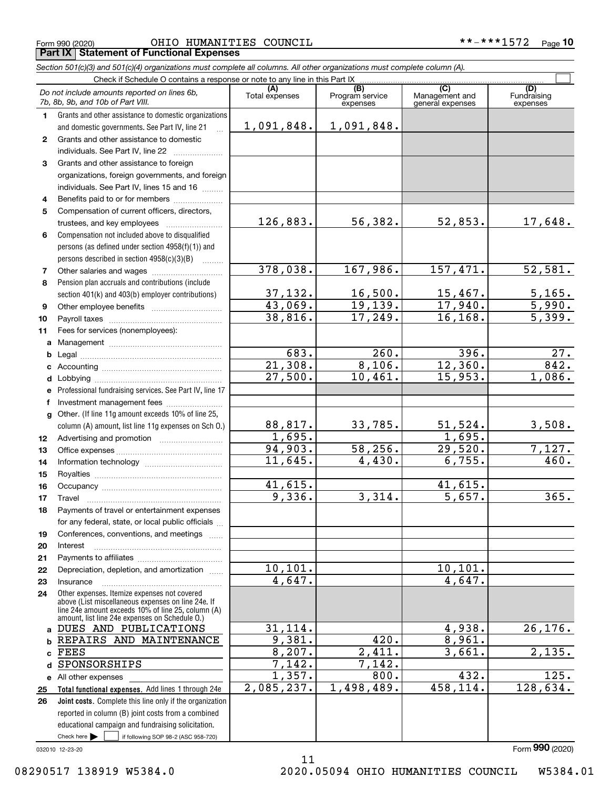Form 990 (2020) Page OHIO HUMANITIES COUNCIL \*\*-\*\*\*1572 **Part IX Statement of Functional Expenses**

|              | Section 501(c)(3) and 501(c)(4) organizations must complete all columns. All other organizations must complete column (A).                                                                                 |                        |                                    |                                           |                                |
|--------------|------------------------------------------------------------------------------------------------------------------------------------------------------------------------------------------------------------|------------------------|------------------------------------|-------------------------------------------|--------------------------------|
|              | Check if Schedule O contains a response or note to any line in this Part IX                                                                                                                                |                        |                                    |                                           |                                |
|              | Do not include amounts reported on lines 6b,<br>7b, 8b, 9b, and 10b of Part VIII.                                                                                                                          | (A)<br>Total expenses  | (B)<br>Program service<br>expenses | (C)<br>Management and<br>general expenses | (D)<br>Fundraising<br>expenses |
| 1.           | Grants and other assistance to domestic organizations                                                                                                                                                      |                        |                                    |                                           |                                |
|              | and domestic governments. See Part IV, line 21                                                                                                                                                             | 1,091,848.             | 1,091,848.                         |                                           |                                |
| $\mathbf{2}$ | Grants and other assistance to domestic                                                                                                                                                                    |                        |                                    |                                           |                                |
|              | individuals. See Part IV, line 22                                                                                                                                                                          |                        |                                    |                                           |                                |
| 3            | Grants and other assistance to foreign                                                                                                                                                                     |                        |                                    |                                           |                                |
|              | organizations, foreign governments, and foreign                                                                                                                                                            |                        |                                    |                                           |                                |
|              | individuals. See Part IV, lines 15 and 16                                                                                                                                                                  |                        |                                    |                                           |                                |
| 4            | Benefits paid to or for members                                                                                                                                                                            |                        |                                    |                                           |                                |
| 5            | Compensation of current officers, directors,                                                                                                                                                               |                        |                                    |                                           |                                |
|              | trustees, and key employees                                                                                                                                                                                | 126,883.               | 56,382.                            | 52,853.                                   | 17,648.                        |
| 6            | Compensation not included above to disqualified                                                                                                                                                            |                        |                                    |                                           |                                |
|              | persons (as defined under section 4958(f)(1)) and                                                                                                                                                          |                        |                                    |                                           |                                |
|              | persons described in section 4958(c)(3)(B)                                                                                                                                                                 |                        |                                    |                                           |                                |
| 7            | Other salaries and wages                                                                                                                                                                                   | 378,038.               | 167,986.                           | 157,471.                                  | 52,581.                        |
| 8            | Pension plan accruals and contributions (include                                                                                                                                                           |                        |                                    |                                           |                                |
|              | section 401(k) and 403(b) employer contributions)                                                                                                                                                          | 37,132.                | 16,500.                            | $\frac{15,467.}{17,940.}$                 | <u>5,165.</u>                  |
| 9            |                                                                                                                                                                                                            | 43,069.                | 19, 139.                           |                                           | $\overline{5,990.}$            |
| 10           |                                                                                                                                                                                                            | 38,816.                | 17,249.                            | 16, 168.                                  | $\overline{5,399}$ .           |
| 11           | Fees for services (nonemployees):                                                                                                                                                                          |                        |                                    |                                           |                                |
| a            |                                                                                                                                                                                                            |                        |                                    |                                           |                                |
| b            |                                                                                                                                                                                                            | 683.                   | 260.                               | 396.                                      | 27.                            |
| c            |                                                                                                                                                                                                            | 21,308.                | 8,106.                             | 12,360.                                   | 842.                           |
| d            |                                                                                                                                                                                                            | 27,500.                | 10,461.                            | 15,953.                                   | 1,086.                         |
| е            | Professional fundraising services. See Part IV, line 17                                                                                                                                                    |                        |                                    |                                           |                                |
| f            | Investment management fees                                                                                                                                                                                 |                        |                                    |                                           |                                |
| q            | Other. (If line 11g amount exceeds 10% of line 25,                                                                                                                                                         |                        |                                    |                                           |                                |
|              | column (A) amount, list line 11g expenses on Sch O.)                                                                                                                                                       | 88,817.                | 33,785.                            | 51,524.                                   | 3,508.                         |
| 12           |                                                                                                                                                                                                            | 1,695.                 |                                    | 1,695.                                    |                                |
| 13           |                                                                                                                                                                                                            | 94,903.                | 58, 256.                           | 29,520.                                   | 7,127.                         |
| 14           |                                                                                                                                                                                                            | 11,645.                | 4,430.                             | 6,755.                                    | 460.                           |
| 15           |                                                                                                                                                                                                            |                        |                                    |                                           |                                |
| 16           |                                                                                                                                                                                                            | 41,615.                |                                    | 41,615.                                   |                                |
| 17           |                                                                                                                                                                                                            | 9,336.                 | 3,314.                             | 5,657.                                    | 365.                           |
| 18           | Payments of travel or entertainment expenses                                                                                                                                                               |                        |                                    |                                           |                                |
|              | for any federal, state, or local public officials                                                                                                                                                          |                        |                                    |                                           |                                |
| 19           | Conferences, conventions, and meetings                                                                                                                                                                     |                        |                                    |                                           |                                |
| 20           | Interest                                                                                                                                                                                                   |                        |                                    |                                           |                                |
| 21           |                                                                                                                                                                                                            |                        |                                    |                                           |                                |
| 22           | Depreciation, depletion, and amortization                                                                                                                                                                  | $\overline{10}$ , 101. |                                    | 10,101.                                   |                                |
| 23           | Insurance                                                                                                                                                                                                  | 4,647.                 |                                    | 4,647.                                    |                                |
| 24           | Other expenses. Itemize expenses not covered<br>above (List miscellaneous expenses on line 24e. If<br>line 24e amount exceeds 10% of line 25, column (A)<br>amount, list line 24e expenses on Schedule O.) |                        |                                    |                                           |                                |
|              | a DUES AND PUBLICATIONS                                                                                                                                                                                    | 31,114.                |                                    | 4,938.                                    | 26, 176.                       |
| b            | REPAIRS AND MAINTENANCE                                                                                                                                                                                    | 9,381.                 | 420.                               | 8,961.                                    |                                |
| c            | <b>FEES</b>                                                                                                                                                                                                | 8,207.                 | $\overline{2,411}.$                | 3,661.                                    | 2,135.                         |
| d            | SPONSORSHIPS                                                                                                                                                                                               | 7,142.                 | 7,142.                             |                                           |                                |
|              | e All other expenses                                                                                                                                                                                       | 1,357.                 | 800.                               | 432.                                      | 125.                           |
| 25           | Total functional expenses. Add lines 1 through 24e                                                                                                                                                         | 2,085,237.             | 1,498,489.                         | 458,114.                                  | 128,634.                       |
| 26           | Joint costs. Complete this line only if the organization                                                                                                                                                   |                        |                                    |                                           |                                |
|              | reported in column (B) joint costs from a combined                                                                                                                                                         |                        |                                    |                                           |                                |
|              | educational campaign and fundraising solicitation.                                                                                                                                                         |                        |                                    |                                           |                                |

11

032010 12-23-20

Check here

Check here  $\begin{array}{|c|c|c|c|c|}\hline \text{ } & \text{ if following SOP 98-2 (ASC 958-720)} \hline \end{array}$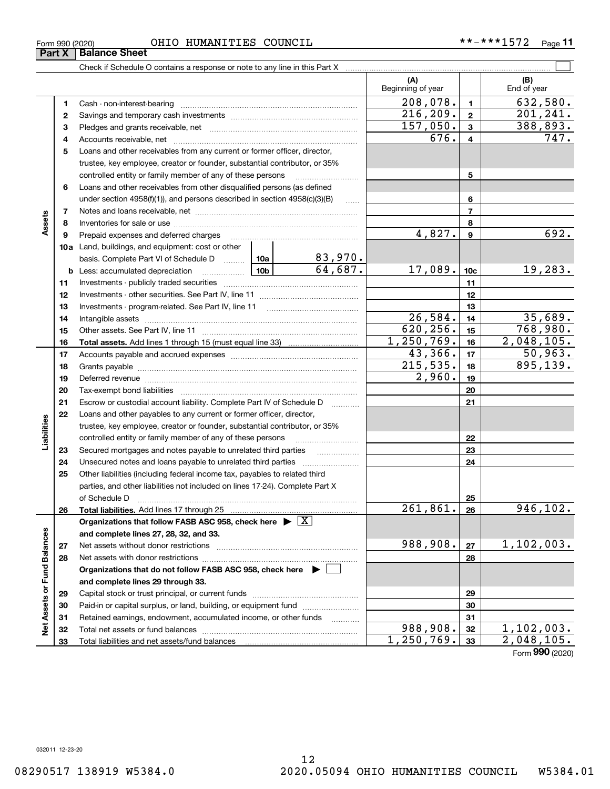Check if Schedule O contains a response or note to any line in this Part X **Part X Balance Sheet**

| Form 990 (2020) |                         | OHIO | HUMANITIES COUNCIL | **-***1572 | $P$ age |
|-----------------|-------------------------|------|--------------------|------------|---------|
|                 | Dort V.   Ralango Choot |      |                    |            |         |

|                             |              |                                                                                                       |          |                           | (A)<br>Beginning of year |                 | (B)<br>End of year              |
|-----------------------------|--------------|-------------------------------------------------------------------------------------------------------|----------|---------------------------|--------------------------|-----------------|---------------------------------|
|                             | 1            |                                                                                                       |          |                           | 208,078.                 | $\blacksquare$  | 632,580.                        |
|                             | $\mathbf{2}$ |                                                                                                       |          |                           | 216, 209.                | $\mathbf{2}$    | 201, 241.                       |
|                             | 3            |                                                                                                       |          |                           | 157,050.                 | 3               | 388,893.                        |
|                             | 4            |                                                                                                       |          |                           | 676.                     | 4               | 747.                            |
|                             | 5            | Loans and other receivables from any current or former officer, director,                             |          |                           |                          |                 |                                 |
|                             |              | trustee, key employee, creator or founder, substantial contributor, or 35%                            |          |                           |                          |                 |                                 |
|                             |              | controlled entity or family member of any of these persons                                            |          |                           |                          | 5               |                                 |
|                             | 6            | Loans and other receivables from other disqualified persons (as defined                               |          |                           |                          |                 |                                 |
|                             |              | under section 4958(f)(1)), and persons described in section 4958(c)(3)(B)                             |          | $\sim$                    |                          | 6               |                                 |
|                             | 7            |                                                                                                       |          |                           | $\overline{7}$           |                 |                                 |
| Assets                      | 8            |                                                                                                       |          |                           |                          | 8               |                                 |
|                             | 9            | Prepaid expenses and deferred charges                                                                 |          |                           | 4,827.                   | 9               | 692.                            |
|                             |              | <b>10a</b> Land, buildings, and equipment: cost or other                                              |          |                           |                          |                 |                                 |
|                             |              | basis. Complete Part VI of Schedule D    10a                                                          |          |                           |                          |                 |                                 |
|                             |              | $\frac{10b}{10}$<br><b>b</b> Less: accumulated depreciation                                           |          | $\frac{83,970.}{64,687.}$ | 17,089.                  | 10 <sub>c</sub> | 19,283.                         |
|                             | 11           |                                                                                                       |          |                           |                          | 11              |                                 |
|                             | 12           |                                                                                                       |          | 12                        |                          |                 |                                 |
|                             | 13           |                                                                                                       |          | 13                        |                          |                 |                                 |
|                             | 14           | Intangible assets                                                                                     | 26,584.  | 14                        | 35,689.                  |                 |                                 |
|                             | 15           |                                                                                                       |          |                           | 620, 256.                | 15              | 768,980.                        |
|                             | 16           |                                                                                                       |          |                           | 1,250,769.               | 16              | 2,048,105.                      |
|                             | 17           |                                                                                                       |          |                           | 43,366.                  | 17              | 50,963.                         |
|                             | 18           |                                                                                                       | 215,535. | 18                        | 895,139.                 |                 |                                 |
|                             | 19           |                                                                                                       | 2,960.   | 19                        |                          |                 |                                 |
|                             | 20           |                                                                                                       |          |                           |                          | 20              |                                 |
|                             | 21           | Escrow or custodial account liability. Complete Part IV of Schedule D                                 |          | .                         |                          | 21              |                                 |
|                             | 22           | Loans and other payables to any current or former officer, director,                                  |          |                           |                          |                 |                                 |
| Liabilities                 |              | trustee, key employee, creator or founder, substantial contributor, or 35%                            |          |                           |                          |                 |                                 |
|                             |              | controlled entity or family member of any of these persons                                            |          |                           |                          | 22              |                                 |
|                             | 23           |                                                                                                       |          |                           |                          | 23              |                                 |
|                             | 24           |                                                                                                       |          |                           |                          | 24              |                                 |
|                             | 25           | Other liabilities (including federal income tax, payables to related third                            |          |                           |                          |                 |                                 |
|                             |              | parties, and other liabilities not included on lines 17-24). Complete Part X                          |          |                           |                          |                 |                                 |
|                             |              | of Schedule D                                                                                         |          |                           |                          | 25              |                                 |
|                             | 26           |                                                                                                       |          |                           | 261,861.                 | 26              | 946, 102.                       |
|                             |              | Organizations that follow FASB ASC 958, check here $\blacktriangleright \boxed{\text{X}}$             |          |                           |                          |                 |                                 |
|                             |              | and complete lines 27, 28, 32, and 33.                                                                |          |                           |                          |                 |                                 |
|                             | 27           | Net assets without donor restrictions                                                                 | 988,908. | 27                        | 1,102,003.               |                 |                                 |
|                             | 28           | Net assets with donor restrictions                                                                    |          |                           |                          | 28              |                                 |
|                             |              | Organizations that do not follow FASB ASC 958, check here $\blacktriangleright$                       |          |                           |                          |                 |                                 |
|                             |              | and complete lines 29 through 33.                                                                     |          |                           |                          |                 |                                 |
|                             | 29           |                                                                                                       |          |                           | 29                       |                 |                                 |
| Net Assets or Fund Balances | 30           | Paid-in or capital surplus, or land, building, or equipment fund                                      |          |                           |                          | 30              |                                 |
|                             | 31           | Retained earnings, endowment, accumulated income, or other funds<br>Total net assets or fund balances |          | .                         | 988,908.                 | 31<br>32        |                                 |
|                             | 32<br>33     |                                                                                                       |          |                           | 1,250,769.               | 33              | $\frac{1,102,003.}{2,048,105.}$ |
|                             |              |                                                                                                       |          |                           |                          |                 |                                 |

 $\mathcal{L}^{\text{max}}$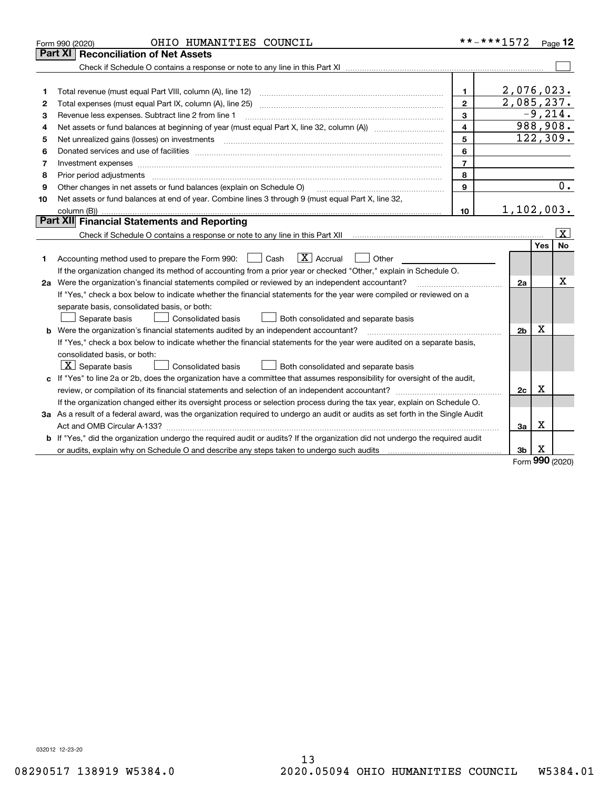|    | OHIO HUMANITIES COUNCIL<br>Form 990 (2020)                                                                                                                                                                                                                                                                                                                                                                                                                                 | **-***1572              |                |          | Page $12$               |
|----|----------------------------------------------------------------------------------------------------------------------------------------------------------------------------------------------------------------------------------------------------------------------------------------------------------------------------------------------------------------------------------------------------------------------------------------------------------------------------|-------------------------|----------------|----------|-------------------------|
|    | <b>Reconciliation of Net Assets</b><br>Part XI                                                                                                                                                                                                                                                                                                                                                                                                                             |                         |                |          |                         |
|    |                                                                                                                                                                                                                                                                                                                                                                                                                                                                            |                         |                |          |                         |
|    |                                                                                                                                                                                                                                                                                                                                                                                                                                                                            |                         |                |          |                         |
| 1  | Total revenue (must equal Part VIII, column (A), line 12)                                                                                                                                                                                                                                                                                                                                                                                                                  | 1.                      | 2,076,023.     |          |                         |
| 2  | Total expenses (must equal Part IX, column (A), line 25)                                                                                                                                                                                                                                                                                                                                                                                                                   | $\mathbf{2}$            | 2,085,237.     |          |                         |
| 3  | Revenue less expenses. Subtract line 2 from line 1                                                                                                                                                                                                                                                                                                                                                                                                                         | 3                       |                |          | $-9, 214.$              |
| 4  |                                                                                                                                                                                                                                                                                                                                                                                                                                                                            | $\overline{\mathbf{4}}$ |                |          | 988,908.                |
| 5  | Net unrealized gains (losses) on investments<br>$\overline{a_1, \ldots, a_n, \ldots, a_n, \ldots, a_n, \ldots, a_n, \ldots, a_n, \ldots, a_n, \ldots, a_n, \ldots, a_n, \ldots, a_n, \ldots, a_n, \ldots, a_n, \ldots, a_n, \ldots, a_n, \ldots, a_n, \ldots, a_n, \ldots, a_n, \ldots, a_n, \ldots, a_n, \ldots, a_n, \ldots, a_n, \ldots, a_n, \ldots, a_n, \ldots, a_n, \ldots, a_n, \ldots, a_n, \ldots, a_n, \ldots, a_n, \ldots, a_n, \ldots, a_n, \ldots, a_n, \ld$ | 5                       |                |          | 122, 309.               |
| 6  |                                                                                                                                                                                                                                                                                                                                                                                                                                                                            | 6                       |                |          |                         |
| 7  | Investment expenses                                                                                                                                                                                                                                                                                                                                                                                                                                                        | $\overline{7}$          |                |          |                         |
| 8  | Prior period adjustments                                                                                                                                                                                                                                                                                                                                                                                                                                                   | 8                       |                |          |                         |
| 9  | Other changes in net assets or fund balances (explain on Schedule O)                                                                                                                                                                                                                                                                                                                                                                                                       | 9                       |                |          | 0.                      |
| 10 | Net assets or fund balances at end of year. Combine lines 3 through 9 (must equal Part X, line 32,                                                                                                                                                                                                                                                                                                                                                                         |                         |                |          |                         |
|    | column (B))                                                                                                                                                                                                                                                                                                                                                                                                                                                                | 10                      | 1,102,003.     |          |                         |
|    | Part XII Financial Statements and Reporting                                                                                                                                                                                                                                                                                                                                                                                                                                |                         |                |          |                         |
|    |                                                                                                                                                                                                                                                                                                                                                                                                                                                                            |                         |                |          | $\overline{\mathbf{x}}$ |
|    |                                                                                                                                                                                                                                                                                                                                                                                                                                                                            |                         |                | Yes      | No                      |
| 1  | $\boxed{\text{X}}$ Accrual<br>Accounting method used to prepare the Form 990: <u>June</u> Cash<br>Other                                                                                                                                                                                                                                                                                                                                                                    |                         |                |          |                         |
|    | If the organization changed its method of accounting from a prior year or checked "Other," explain in Schedule O.                                                                                                                                                                                                                                                                                                                                                          |                         |                |          |                         |
|    | 2a Were the organization's financial statements compiled or reviewed by an independent accountant?                                                                                                                                                                                                                                                                                                                                                                         |                         | 2a             |          | х                       |
|    | If "Yes," check a box below to indicate whether the financial statements for the year were compiled or reviewed on a                                                                                                                                                                                                                                                                                                                                                       |                         |                |          |                         |
|    | separate basis, consolidated basis, or both:                                                                                                                                                                                                                                                                                                                                                                                                                               |                         |                |          |                         |
|    | Separate basis<br>Consolidated basis<br>Both consolidated and separate basis                                                                                                                                                                                                                                                                                                                                                                                               |                         |                |          |                         |
|    | <b>b</b> Were the organization's financial statements audited by an independent accountant?                                                                                                                                                                                                                                                                                                                                                                                |                         | 2 <sub>b</sub> | X        |                         |
|    | If "Yes," check a box below to indicate whether the financial statements for the year were audited on a separate basis,                                                                                                                                                                                                                                                                                                                                                    |                         |                |          |                         |
|    | consolidated basis, or both:                                                                                                                                                                                                                                                                                                                                                                                                                                               |                         |                |          |                         |
|    | $ \mathbf{X} $ Separate basis<br><b>Consolidated basis</b><br>Both consolidated and separate basis                                                                                                                                                                                                                                                                                                                                                                         |                         |                |          |                         |
|    | c If "Yes" to line 2a or 2b, does the organization have a committee that assumes responsibility for oversight of the audit,                                                                                                                                                                                                                                                                                                                                                |                         |                |          |                         |
|    | review, or compilation of its financial statements and selection of an independent accountant?                                                                                                                                                                                                                                                                                                                                                                             |                         | 2c             | х        |                         |
|    | If the organization changed either its oversight process or selection process during the tax year, explain on Schedule O.                                                                                                                                                                                                                                                                                                                                                  |                         |                |          |                         |
|    | 3a As a result of a federal award, was the organization required to undergo an audit or audits as set forth in the Single Audit                                                                                                                                                                                                                                                                                                                                            |                         |                |          |                         |
|    |                                                                                                                                                                                                                                                                                                                                                                                                                                                                            |                         | За             | х        |                         |
|    | b If "Yes," did the organization undergo the required audit or audits? If the organization did not undergo the required audit                                                                                                                                                                                                                                                                                                                                              |                         |                |          |                         |
|    |                                                                                                                                                                                                                                                                                                                                                                                                                                                                            |                         | 3b             | х<br>nnn |                         |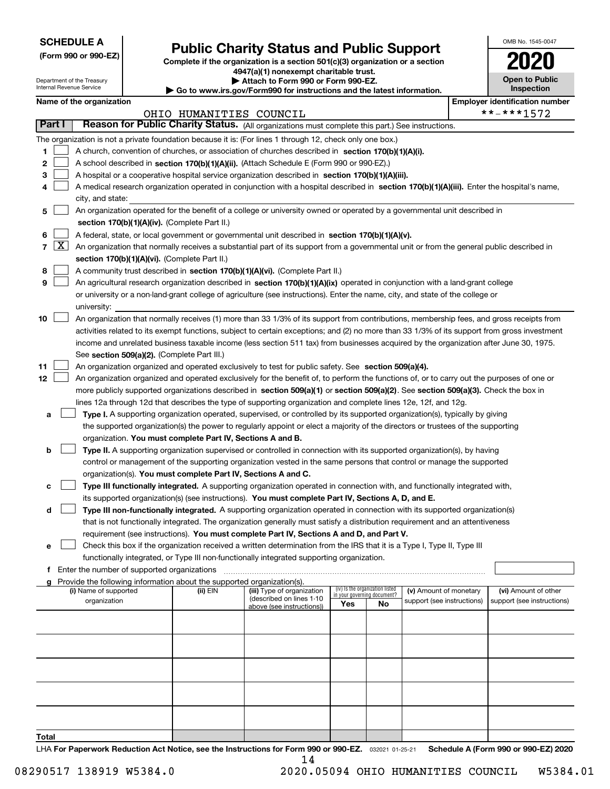| <b>SCHEDULE A</b> |
|-------------------|
|-------------------|

Department of the Treasury Internal Revenue Service

**(Form 990 or 990-EZ)**

# **Public Charity Status and Public Support**

**Complete if the organization is a section 501(c)(3) organization or a section 4947(a)(1) nonexempt charitable trust.**

**| Attach to Form 990 or Form 990-EZ.** 

**| Go to www.irs.gov/Form990 for instructions and the latest information.**

| OMB No. 1545-0047                   |
|-------------------------------------|
| U2N                                 |
| <b>Open to Public</b><br>Inspection |

|            |                                                                                                                                                                                                                                                                | Name of the organization                                                                                                                                                                                                                                                                                                                                                                                                                                                                                                                                                                 |                         |                            |                                    |    |                            |  | <b>Employer identification number</b> |  |  |
|------------|----------------------------------------------------------------------------------------------------------------------------------------------------------------------------------------------------------------------------------------------------------------|------------------------------------------------------------------------------------------------------------------------------------------------------------------------------------------------------------------------------------------------------------------------------------------------------------------------------------------------------------------------------------------------------------------------------------------------------------------------------------------------------------------------------------------------------------------------------------------|-------------------------|----------------------------|------------------------------------|----|----------------------------|--|---------------------------------------|--|--|
|            |                                                                                                                                                                                                                                                                |                                                                                                                                                                                                                                                                                                                                                                                                                                                                                                                                                                                          | OHIO HUMANITIES COUNCIL |                            |                                    |    |                            |  | **-***1572                            |  |  |
| Part I     |                                                                                                                                                                                                                                                                | Reason for Public Charity Status. (All organizations must complete this part.) See instructions.                                                                                                                                                                                                                                                                                                                                                                                                                                                                                         |                         |                            |                                    |    |                            |  |                                       |  |  |
|            |                                                                                                                                                                                                                                                                | The organization is not a private foundation because it is: (For lines 1 through 12, check only one box.)                                                                                                                                                                                                                                                                                                                                                                                                                                                                                |                         |                            |                                    |    |                            |  |                                       |  |  |
| 1          |                                                                                                                                                                                                                                                                | A church, convention of churches, or association of churches described in section 170(b)(1)(A)(i).                                                                                                                                                                                                                                                                                                                                                                                                                                                                                       |                         |                            |                                    |    |                            |  |                                       |  |  |
| 2          |                                                                                                                                                                                                                                                                | A school described in section 170(b)(1)(A)(ii). (Attach Schedule E (Form 990 or 990-EZ).)                                                                                                                                                                                                                                                                                                                                                                                                                                                                                                |                         |                            |                                    |    |                            |  |                                       |  |  |
| з          |                                                                                                                                                                                                                                                                | A hospital or a cooperative hospital service organization described in section 170(b)(1)(A)(iii).                                                                                                                                                                                                                                                                                                                                                                                                                                                                                        |                         |                            |                                    |    |                            |  |                                       |  |  |
|            |                                                                                                                                                                                                                                                                | A medical research organization operated in conjunction with a hospital described in section 170(b)(1)(A)(iii). Enter the hospital's name,                                                                                                                                                                                                                                                                                                                                                                                                                                               |                         |                            |                                    |    |                            |  |                                       |  |  |
|            |                                                                                                                                                                                                                                                                | city, and state:                                                                                                                                                                                                                                                                                                                                                                                                                                                                                                                                                                         |                         |                            |                                    |    |                            |  |                                       |  |  |
| 5          |                                                                                                                                                                                                                                                                | An organization operated for the benefit of a college or university owned or operated by a governmental unit described in                                                                                                                                                                                                                                                                                                                                                                                                                                                                |                         |                            |                                    |    |                            |  |                                       |  |  |
|            | section 170(b)(1)(A)(iv). (Complete Part II.)                                                                                                                                                                                                                  |                                                                                                                                                                                                                                                                                                                                                                                                                                                                                                                                                                                          |                         |                            |                                    |    |                            |  |                                       |  |  |
| 6          | A federal, state, or local government or governmental unit described in section 170(b)(1)(A)(v).                                                                                                                                                               |                                                                                                                                                                                                                                                                                                                                                                                                                                                                                                                                                                                          |                         |                            |                                    |    |                            |  |                                       |  |  |
| $7 \times$ |                                                                                                                                                                                                                                                                | An organization that normally receives a substantial part of its support from a governmental unit or from the general public described in                                                                                                                                                                                                                                                                                                                                                                                                                                                |                         |                            |                                    |    |                            |  |                                       |  |  |
|            |                                                                                                                                                                                                                                                                | section 170(b)(1)(A)(vi). (Complete Part II.)                                                                                                                                                                                                                                                                                                                                                                                                                                                                                                                                            |                         |                            |                                    |    |                            |  |                                       |  |  |
| 8          |                                                                                                                                                                                                                                                                | A community trust described in section 170(b)(1)(A)(vi). (Complete Part II.)                                                                                                                                                                                                                                                                                                                                                                                                                                                                                                             |                         |                            |                                    |    |                            |  |                                       |  |  |
| 9          |                                                                                                                                                                                                                                                                | An agricultural research organization described in section 170(b)(1)(A)(ix) operated in conjunction with a land-grant college                                                                                                                                                                                                                                                                                                                                                                                                                                                            |                         |                            |                                    |    |                            |  |                                       |  |  |
|            |                                                                                                                                                                                                                                                                | or university or a non-land-grant college of agriculture (see instructions). Enter the name, city, and state of the college or                                                                                                                                                                                                                                                                                                                                                                                                                                                           |                         |                            |                                    |    |                            |  |                                       |  |  |
|            |                                                                                                                                                                                                                                                                | university:                                                                                                                                                                                                                                                                                                                                                                                                                                                                                                                                                                              |                         |                            |                                    |    |                            |  |                                       |  |  |
| 10<br>11   |                                                                                                                                                                                                                                                                | An organization that normally receives (1) more than 33 1/3% of its support from contributions, membership fees, and gross receipts from<br>activities related to its exempt functions, subject to certain exceptions; and (2) no more than 33 1/3% of its support from gross investment<br>income and unrelated business taxable income (less section 511 tax) from businesses acquired by the organization after June 30, 1975.<br>See section 509(a)(2). (Complete Part III.)<br>An organization organized and operated exclusively to test for public safety. See section 509(a)(4). |                         |                            |                                    |    |                            |  |                                       |  |  |
| 12         |                                                                                                                                                                                                                                                                | An organization organized and operated exclusively for the benefit of, to perform the functions of, or to carry out the purposes of one or                                                                                                                                                                                                                                                                                                                                                                                                                                               |                         |                            |                                    |    |                            |  |                                       |  |  |
|            |                                                                                                                                                                                                                                                                | more publicly supported organizations described in section 509(a)(1) or section 509(a)(2). See section 509(a)(3). Check the box in                                                                                                                                                                                                                                                                                                                                                                                                                                                       |                         |                            |                                    |    |                            |  |                                       |  |  |
|            |                                                                                                                                                                                                                                                                |                                                                                                                                                                                                                                                                                                                                                                                                                                                                                                                                                                                          |                         |                            |                                    |    |                            |  |                                       |  |  |
| а          | lines 12a through 12d that describes the type of supporting organization and complete lines 12e, 12f, and 12g.                                                                                                                                                 |                                                                                                                                                                                                                                                                                                                                                                                                                                                                                                                                                                                          |                         |                            |                                    |    |                            |  |                                       |  |  |
|            | Type I. A supporting organization operated, supervised, or controlled by its supported organization(s), typically by giving<br>the supported organization(s) the power to regularly appoint or elect a majority of the directors or trustees of the supporting |                                                                                                                                                                                                                                                                                                                                                                                                                                                                                                                                                                                          |                         |                            |                                    |    |                            |  |                                       |  |  |
|            |                                                                                                                                                                                                                                                                |                                                                                                                                                                                                                                                                                                                                                                                                                                                                                                                                                                                          |                         |                            |                                    |    |                            |  |                                       |  |  |
|            |                                                                                                                                                                                                                                                                | organization. You must complete Part IV, Sections A and B.                                                                                                                                                                                                                                                                                                                                                                                                                                                                                                                               |                         |                            |                                    |    |                            |  |                                       |  |  |
| b          |                                                                                                                                                                                                                                                                | Type II. A supporting organization supervised or controlled in connection with its supported organization(s), by having                                                                                                                                                                                                                                                                                                                                                                                                                                                                  |                         |                            |                                    |    |                            |  |                                       |  |  |
|            |                                                                                                                                                                                                                                                                | control or management of the supporting organization vested in the same persons that control or manage the supported                                                                                                                                                                                                                                                                                                                                                                                                                                                                     |                         |                            |                                    |    |                            |  |                                       |  |  |
|            |                                                                                                                                                                                                                                                                | organization(s). You must complete Part IV, Sections A and C.                                                                                                                                                                                                                                                                                                                                                                                                                                                                                                                            |                         |                            |                                    |    |                            |  |                                       |  |  |
| с          |                                                                                                                                                                                                                                                                | Type III functionally integrated. A supporting organization operated in connection with, and functionally integrated with,                                                                                                                                                                                                                                                                                                                                                                                                                                                               |                         |                            |                                    |    |                            |  |                                       |  |  |
|            |                                                                                                                                                                                                                                                                | its supported organization(s) (see instructions). You must complete Part IV, Sections A, D, and E.                                                                                                                                                                                                                                                                                                                                                                                                                                                                                       |                         |                            |                                    |    |                            |  |                                       |  |  |
| d          |                                                                                                                                                                                                                                                                | Type III non-functionally integrated. A supporting organization operated in connection with its supported organization(s)                                                                                                                                                                                                                                                                                                                                                                                                                                                                |                         |                            |                                    |    |                            |  |                                       |  |  |
|            |                                                                                                                                                                                                                                                                | that is not functionally integrated. The organization generally must satisfy a distribution requirement and an attentiveness                                                                                                                                                                                                                                                                                                                                                                                                                                                             |                         |                            |                                    |    |                            |  |                                       |  |  |
|            |                                                                                                                                                                                                                                                                | requirement (see instructions). You must complete Part IV, Sections A and D, and Part V.                                                                                                                                                                                                                                                                                                                                                                                                                                                                                                 |                         |                            |                                    |    |                            |  |                                       |  |  |
| е          |                                                                                                                                                                                                                                                                | Check this box if the organization received a written determination from the IRS that it is a Type I, Type II, Type III                                                                                                                                                                                                                                                                                                                                                                                                                                                                  |                         |                            |                                    |    |                            |  |                                       |  |  |
|            |                                                                                                                                                                                                                                                                | functionally integrated, or Type III non-functionally integrated supporting organization.                                                                                                                                                                                                                                                                                                                                                                                                                                                                                                |                         |                            |                                    |    |                            |  |                                       |  |  |
|            |                                                                                                                                                                                                                                                                | f Enter the number of supported organizations                                                                                                                                                                                                                                                                                                                                                                                                                                                                                                                                            |                         |                            |                                    |    |                            |  |                                       |  |  |
|            |                                                                                                                                                                                                                                                                | g Provide the following information about the supported organization(s).<br>(i) Name of supported                                                                                                                                                                                                                                                                                                                                                                                                                                                                                        | (ii) EIN                | (iii) Type of organization | (iv) Is the organization listed    |    | (v) Amount of monetary     |  | (vi) Amount of other                  |  |  |
|            |                                                                                                                                                                                                                                                                | organization                                                                                                                                                                                                                                                                                                                                                                                                                                                                                                                                                                             |                         | (described on lines 1-10   | in your governing document?<br>Yes |    | support (see instructions) |  | support (see instructions)            |  |  |
|            |                                                                                                                                                                                                                                                                |                                                                                                                                                                                                                                                                                                                                                                                                                                                                                                                                                                                          |                         | above (see instructions))  |                                    | No |                            |  |                                       |  |  |
|            |                                                                                                                                                                                                                                                                |                                                                                                                                                                                                                                                                                                                                                                                                                                                                                                                                                                                          |                         |                            |                                    |    |                            |  |                                       |  |  |
|            |                                                                                                                                                                                                                                                                |                                                                                                                                                                                                                                                                                                                                                                                                                                                                                                                                                                                          |                         |                            |                                    |    |                            |  |                                       |  |  |
|            |                                                                                                                                                                                                                                                                |                                                                                                                                                                                                                                                                                                                                                                                                                                                                                                                                                                                          |                         |                            |                                    |    |                            |  |                                       |  |  |
|            |                                                                                                                                                                                                                                                                |                                                                                                                                                                                                                                                                                                                                                                                                                                                                                                                                                                                          |                         |                            |                                    |    |                            |  |                                       |  |  |
|            |                                                                                                                                                                                                                                                                |                                                                                                                                                                                                                                                                                                                                                                                                                                                                                                                                                                                          |                         |                            |                                    |    |                            |  |                                       |  |  |
|            |                                                                                                                                                                                                                                                                |                                                                                                                                                                                                                                                                                                                                                                                                                                                                                                                                                                                          |                         |                            |                                    |    |                            |  |                                       |  |  |
| Total      |                                                                                                                                                                                                                                                                |                                                                                                                                                                                                                                                                                                                                                                                                                                                                                                                                                                                          |                         |                            |                                    |    |                            |  |                                       |  |  |

LHA For Paperwork Reduction Act Notice, see the Instructions for Form 990 or 990-EZ. <sub>032021</sub> o1-25-21 Schedule A (Form 990 or 990-EZ) 2020 14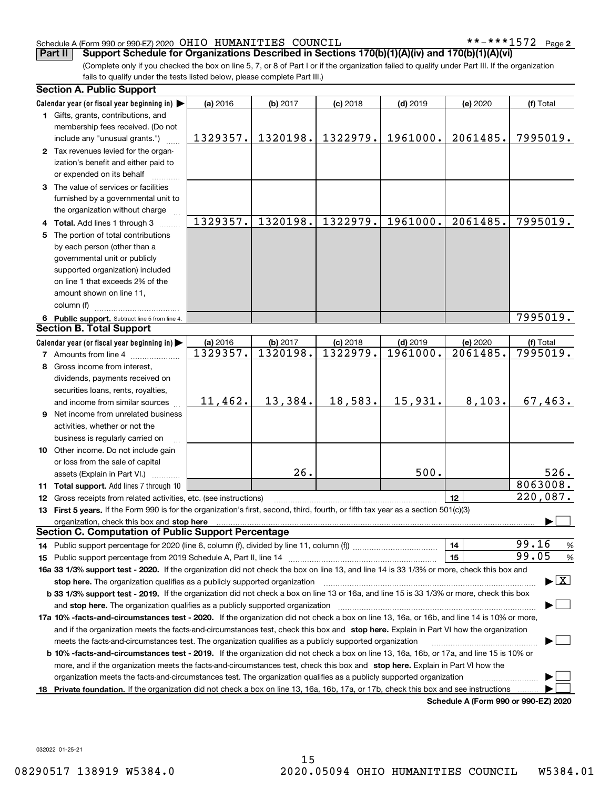**2**

(Complete only if you checked the box on line 5, 7, or 8 of Part I or if the organization failed to qualify under Part III. If the organization fails to qualify under the tests listed below, please complete Part III.) **Part II Support Schedule for Organizations Described in Sections 170(b)(1)(A)(iv) and 170(b)(1)(A)(vi)**

|    | <b>Section A. Public Support</b>                                                                                                               |          |          |            |            |                                              |                                          |
|----|------------------------------------------------------------------------------------------------------------------------------------------------|----------|----------|------------|------------|----------------------------------------------|------------------------------------------|
|    | Calendar year (or fiscal year beginning in)                                                                                                    | (a) 2016 | (b) 2017 | $(c)$ 2018 | $(d)$ 2019 | (e) 2020                                     | (f) Total                                |
|    | 1 Gifts, grants, contributions, and                                                                                                            |          |          |            |            |                                              |                                          |
|    | membership fees received. (Do not                                                                                                              |          |          |            |            |                                              |                                          |
|    | include any "unusual grants.")                                                                                                                 | 1329357. | 1320198. | 1322979.   | 1961000.   | 2061485.                                     | 7995019.                                 |
|    | 2 Tax revenues levied for the organ-                                                                                                           |          |          |            |            |                                              |                                          |
|    | ization's benefit and either paid to                                                                                                           |          |          |            |            |                                              |                                          |
|    | or expended on its behalf                                                                                                                      |          |          |            |            |                                              |                                          |
|    | 3 The value of services or facilities                                                                                                          |          |          |            |            |                                              |                                          |
|    | furnished by a governmental unit to                                                                                                            |          |          |            |            |                                              |                                          |
|    | the organization without charge                                                                                                                |          |          |            |            |                                              |                                          |
|    | 4 Total. Add lines 1 through 3                                                                                                                 | 1329357. | 1320198. | 1322979.   | 1961000.   | 2061485.                                     | 7995019.                                 |
|    | 5 The portion of total contributions                                                                                                           |          |          |            |            |                                              |                                          |
|    | by each person (other than a                                                                                                                   |          |          |            |            |                                              |                                          |
|    | governmental unit or publicly                                                                                                                  |          |          |            |            |                                              |                                          |
|    | supported organization) included                                                                                                               |          |          |            |            |                                              |                                          |
|    | on line 1 that exceeds 2% of the                                                                                                               |          |          |            |            |                                              |                                          |
|    | amount shown on line 11,                                                                                                                       |          |          |            |            |                                              |                                          |
|    | column (f)                                                                                                                                     |          |          |            |            |                                              |                                          |
|    | 6 Public support. Subtract line 5 from line 4.                                                                                                 |          |          |            |            |                                              | 7995019.                                 |
|    | <b>Section B. Total Support</b>                                                                                                                |          |          |            |            |                                              |                                          |
|    | Calendar year (or fiscal year beginning in)                                                                                                    | (a) 2016 | (b) 2017 | $(c)$ 2018 | $(d)$ 2019 | (e) 2020                                     | (f) Total                                |
|    | <b>7</b> Amounts from line 4                                                                                                                   | 1329357. | 1320198. | 1322979.   | 1961000.   | 2061485.                                     | 7995019.                                 |
|    | 8 Gross income from interest,                                                                                                                  |          |          |            |            |                                              |                                          |
|    | dividends, payments received on                                                                                                                |          |          |            |            |                                              |                                          |
|    | securities loans, rents, royalties,                                                                                                            |          |          |            |            |                                              |                                          |
|    | and income from similar sources                                                                                                                | 11,462.  | 13,384.  | 18,583.    | 15,931.    | 8,103.                                       | 67,463.                                  |
|    | 9 Net income from unrelated business                                                                                                           |          |          |            |            |                                              |                                          |
|    | activities, whether or not the                                                                                                                 |          |          |            |            |                                              |                                          |
|    | business is regularly carried on                                                                                                               |          |          |            |            |                                              |                                          |
|    | 10 Other income. Do not include gain                                                                                                           |          |          |            |            |                                              |                                          |
|    | or loss from the sale of capital                                                                                                               |          |          |            |            |                                              |                                          |
|    | assets (Explain in Part VI.)                                                                                                                   |          | 26.      |            | 500.       |                                              | 526.                                     |
|    | 11 Total support. Add lines 7 through 10                                                                                                       |          |          |            |            |                                              | 8063008.                                 |
|    | 12 Gross receipts from related activities, etc. (see instructions)                                                                             |          |          |            |            | 12                                           | 220,087.                                 |
|    | 13 First 5 years. If the Form 990 is for the organization's first, second, third, fourth, or fifth tax year as a section 501(c)(3)             |          |          |            |            |                                              |                                          |
|    | organization, check this box and stop here                                                                                                     |          |          |            |            |                                              |                                          |
|    | <b>Section C. Computation of Public Support Percentage</b>                                                                                     |          |          |            |            |                                              |                                          |
|    |                                                                                                                                                |          |          |            |            | 14                                           | 99.16<br>%                               |
|    |                                                                                                                                                |          |          |            |            | 15                                           | 99.05<br>$\%$                            |
|    | 16a 33 1/3% support test - 2020. If the organization did not check the box on line 13, and line 14 is 33 1/3% or more, check this box and      |          |          |            |            |                                              |                                          |
|    | stop here. The organization qualifies as a publicly supported organization                                                                     |          |          |            |            |                                              | $\blacktriangleright$ $\boxed{\text{X}}$ |
|    | b 33 1/3% support test - 2019. If the organization did not check a box on line 13 or 16a, and line 15 is 33 1/3% or more, check this box       |          |          |            |            |                                              |                                          |
|    | and stop here. The organization qualifies as a publicly supported organization                                                                 |          |          |            |            |                                              |                                          |
|    | 17a 10% -facts-and-circumstances test - 2020. If the organization did not check a box on line 13, 16a, or 16b, and line 14 is 10% or more,     |          |          |            |            |                                              |                                          |
|    | and if the organization meets the facts-and-circumstances test, check this box and stop here. Explain in Part VI how the organization          |          |          |            |            |                                              |                                          |
|    | meets the facts-and-circumstances test. The organization qualifies as a publicly supported organization                                        |          |          |            |            |                                              |                                          |
|    | <b>b 10% -facts-and-circumstances test - 2019.</b> If the organization did not check a box on line 13, 16a, 16b, or 17a, and line 15 is 10% or |          |          |            |            |                                              |                                          |
|    | more, and if the organization meets the facts-and-circumstances test, check this box and stop here. Explain in Part VI how the                 |          |          |            |            |                                              |                                          |
|    | organization meets the facts-and-circumstances test. The organization qualifies as a publicly supported organization                           |          |          |            |            |                                              |                                          |
| 18 | Private foundation. If the organization did not check a box on line 13, 16a, 16b, 17a, or 17b, check this box and see instructions             |          |          |            |            |                                              |                                          |
|    |                                                                                                                                                |          |          |            |            | <b>Cabadula A (Fause 000 av 000 EZ) 0000</b> |                                          |

**Schedule A (Form 990 or 990-EZ) 2020**

032022 01-25-21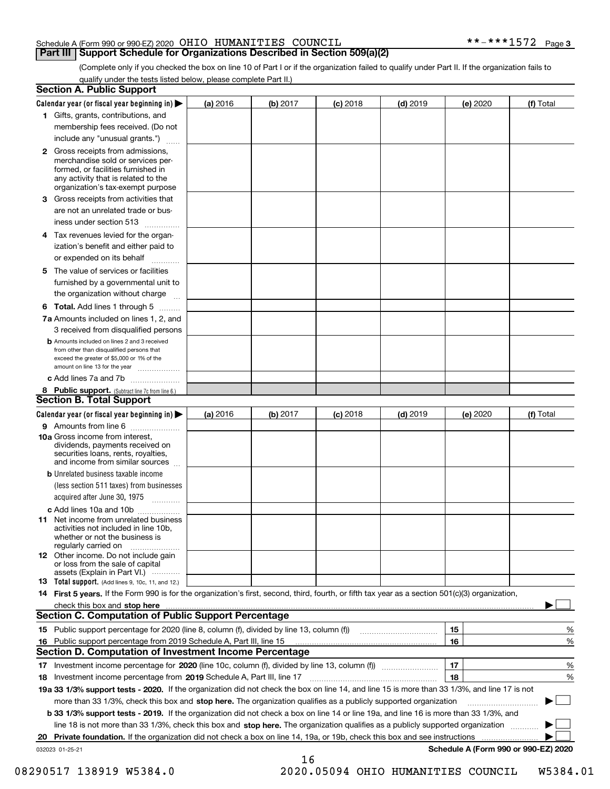### **Part III Support Schedule for Organizations Described in Section 509(a)(2)**

(Complete only if you checked the box on line 10 of Part I or if the organization failed to qualify under Part II. If the organization fails to qualify under the tests listed below, please complete Part II.)

| <b>Section A. Public Support</b>                                                                                                                                                                |          |          |            |            |          |                                      |
|-------------------------------------------------------------------------------------------------------------------------------------------------------------------------------------------------|----------|----------|------------|------------|----------|--------------------------------------|
| Calendar year (or fiscal year beginning in) $\blacktriangleright$                                                                                                                               | (a) 2016 | (b) 2017 | $(c)$ 2018 | $(d)$ 2019 | (e) 2020 | (f) Total                            |
| 1 Gifts, grants, contributions, and                                                                                                                                                             |          |          |            |            |          |                                      |
| membership fees received. (Do not                                                                                                                                                               |          |          |            |            |          |                                      |
| include any "unusual grants.")                                                                                                                                                                  |          |          |            |            |          |                                      |
| <b>2</b> Gross receipts from admissions,<br>merchandise sold or services per-<br>formed, or facilities furnished in<br>any activity that is related to the<br>organization's tax-exempt purpose |          |          |            |            |          |                                      |
| 3 Gross receipts from activities that                                                                                                                                                           |          |          |            |            |          |                                      |
| are not an unrelated trade or bus-                                                                                                                                                              |          |          |            |            |          |                                      |
| iness under section 513                                                                                                                                                                         |          |          |            |            |          |                                      |
| 4 Tax revenues levied for the organ-<br>ization's benefit and either paid to                                                                                                                    |          |          |            |            |          |                                      |
| or expended on its behalf                                                                                                                                                                       |          |          |            |            |          |                                      |
| 5 The value of services or facilities<br>furnished by a governmental unit to                                                                                                                    |          |          |            |            |          |                                      |
| the organization without charge                                                                                                                                                                 |          |          |            |            |          |                                      |
| <b>6 Total.</b> Add lines 1 through 5                                                                                                                                                           |          |          |            |            |          |                                      |
| 7a Amounts included on lines 1, 2, and<br>3 received from disqualified persons                                                                                                                  |          |          |            |            |          |                                      |
| <b>b</b> Amounts included on lines 2 and 3 received<br>from other than disqualified persons that<br>exceed the greater of \$5,000 or 1% of the<br>amount on line 13 for the year                |          |          |            |            |          |                                      |
| c Add lines 7a and 7b                                                                                                                                                                           |          |          |            |            |          |                                      |
| 8 Public support. (Subtract line 7c from line 6.)<br><b>Section B. Total Support</b>                                                                                                            |          |          |            |            |          |                                      |
| Calendar year (or fiscal year beginning in)                                                                                                                                                     | (a) 2016 | (b) 2017 | $(c)$ 2018 | $(d)$ 2019 | (e) 2020 | (f) Total                            |
| 9 Amounts from line 6                                                                                                                                                                           |          |          |            |            |          |                                      |
| 10a Gross income from interest,<br>dividends, payments received on<br>securities loans, rents, royalties,<br>and income from similar sources                                                    |          |          |            |            |          |                                      |
| <b>b</b> Unrelated business taxable income                                                                                                                                                      |          |          |            |            |          |                                      |
| (less section 511 taxes) from businesses                                                                                                                                                        |          |          |            |            |          |                                      |
| acquired after June 30, 1975                                                                                                                                                                    |          |          |            |            |          |                                      |
| c Add lines 10a and 10b                                                                                                                                                                         |          |          |            |            |          |                                      |
| <b>11</b> Net income from unrelated business<br>activities not included in line 10b,<br>whether or not the business is<br>regularly carried on                                                  |          |          |            |            |          |                                      |
| <b>12</b> Other income. Do not include gain<br>or loss from the sale of capital<br>assets (Explain in Part VI.)                                                                                 |          |          |            |            |          |                                      |
| <b>13 Total support.</b> (Add lines 9, 10c, 11, and 12.)                                                                                                                                        |          |          |            |            |          |                                      |
| 14 First 5 years. If the Form 990 is for the organization's first, second, third, fourth, or fifth tax year as a section 501(c)(3) organization,                                                |          |          |            |            |          |                                      |
| <b>Section C. Computation of Public Support Percentage</b>                                                                                                                                      |          |          |            |            |          |                                      |
|                                                                                                                                                                                                 |          |          |            |            | 15       | %                                    |
| 16 Public support percentage from 2019 Schedule A, Part III, line 15<br><b>Section D. Computation of Investment Income Percentage</b>                                                           |          |          |            |            | 16       | %                                    |
| 17 Investment income percentage for 2020 (line 10c, column (f), divided by line 13, column (f))                                                                                                 |          |          |            |            | 17       | %                                    |
| 18 Investment income percentage from 2019 Schedule A, Part III, line 17                                                                                                                         |          |          |            |            | 18       | %                                    |
| 19a 33 1/3% support tests - 2020. If the organization did not check the box on line 14, and line 15 is more than 33 1/3%, and line 17 is not                                                    |          |          |            |            |          |                                      |
| more than 33 1/3%, check this box and stop here. The organization qualifies as a publicly supported organization                                                                                |          |          |            |            |          |                                      |
| b 33 1/3% support tests - 2019. If the organization did not check a box on line 14 or line 19a, and line 16 is more than 33 1/3%, and                                                           |          |          |            |            |          |                                      |
| line 18 is not more than 33 1/3%, check this box and stop here. The organization qualifies as a publicly supported organization                                                                 |          |          |            |            |          |                                      |
| 20 Private foundation. If the organization did not check a box on line 14, 19a, or 19b, check this box and see instructions                                                                     |          |          |            |            |          |                                      |
| 032023 01-25-21                                                                                                                                                                                 |          |          |            |            |          | Schedule A (Form 990 or 990-EZ) 2020 |
|                                                                                                                                                                                                 |          | 16       |            |            |          |                                      |

08290517 138919 W5384.0 2020.05094 OHIO HUMANITIES COUNCIL W5384.01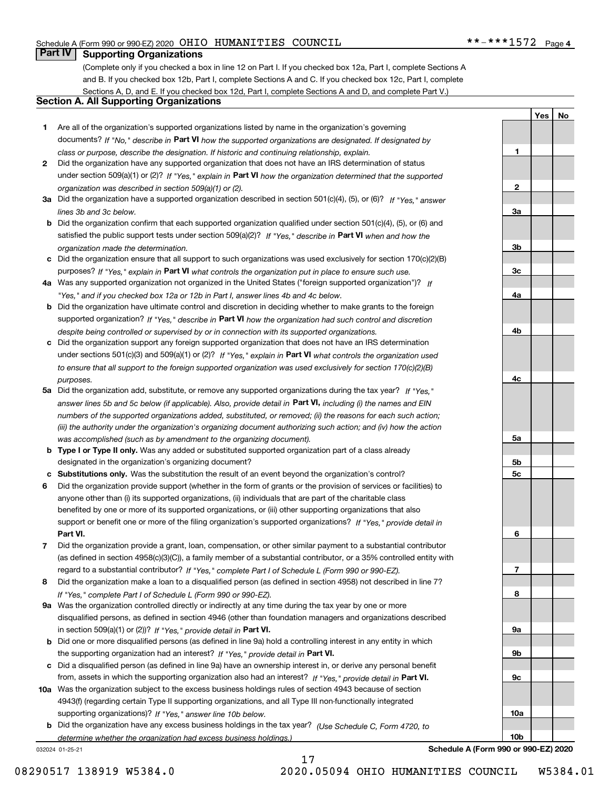**1**

**2**

**3a**

**3b**

**3c**

**4a**

**4b**

**4c**

**5a**

**5b5c**

**6**

**7**

**8**

**9a**

**9b**

**9c**

**10a**

**10b**

**YesNo**

### **Part IV Supporting Organizations**

(Complete only if you checked a box in line 12 on Part I. If you checked box 12a, Part I, complete Sections A and B. If you checked box 12b, Part I, complete Sections A and C. If you checked box 12c, Part I, complete Sections A, D, and E. If you checked box 12d, Part I, complete Sections A and D, and complete Part V.)

### **Section A. All Supporting Organizations**

- **1** Are all of the organization's supported organizations listed by name in the organization's governing documents? If "No," describe in **Part VI** how the supported organizations are designated. If designated by *class or purpose, describe the designation. If historic and continuing relationship, explain.*
- **2** Did the organization have any supported organization that does not have an IRS determination of status under section 509(a)(1) or (2)? If "Yes," explain in Part VI how the organization determined that the supported *organization was described in section 509(a)(1) or (2).*
- **3a** Did the organization have a supported organization described in section 501(c)(4), (5), or (6)? If "Yes," answer *lines 3b and 3c below.*
- **b** Did the organization confirm that each supported organization qualified under section 501(c)(4), (5), or (6) and satisfied the public support tests under section 509(a)(2)? If "Yes," describe in **Part VI** when and how the *organization made the determination.*
- **c**Did the organization ensure that all support to such organizations was used exclusively for section 170(c)(2)(B) purposes? If "Yes," explain in **Part VI** what controls the organization put in place to ensure such use.
- **4a***If* Was any supported organization not organized in the United States ("foreign supported organization")? *"Yes," and if you checked box 12a or 12b in Part I, answer lines 4b and 4c below.*
- **b** Did the organization have ultimate control and discretion in deciding whether to make grants to the foreign supported organization? If "Yes," describe in **Part VI** how the organization had such control and discretion *despite being controlled or supervised by or in connection with its supported organizations.*
- **c** Did the organization support any foreign supported organization that does not have an IRS determination under sections 501(c)(3) and 509(a)(1) or (2)? If "Yes," explain in **Part VI** what controls the organization used *to ensure that all support to the foreign supported organization was used exclusively for section 170(c)(2)(B) purposes.*
- **5a** Did the organization add, substitute, or remove any supported organizations during the tax year? If "Yes," answer lines 5b and 5c below (if applicable). Also, provide detail in **Part VI,** including (i) the names and EIN *numbers of the supported organizations added, substituted, or removed; (ii) the reasons for each such action; (iii) the authority under the organization's organizing document authorizing such action; and (iv) how the action was accomplished (such as by amendment to the organizing document).*
- **b** Type I or Type II only. Was any added or substituted supported organization part of a class already designated in the organization's organizing document?
- **cSubstitutions only.**  Was the substitution the result of an event beyond the organization's control?
- **6** Did the organization provide support (whether in the form of grants or the provision of services or facilities) to **Part VI.** *If "Yes," provide detail in* support or benefit one or more of the filing organization's supported organizations? anyone other than (i) its supported organizations, (ii) individuals that are part of the charitable class benefited by one or more of its supported organizations, or (iii) other supporting organizations that also
- **7**Did the organization provide a grant, loan, compensation, or other similar payment to a substantial contributor *If "Yes," complete Part I of Schedule L (Form 990 or 990-EZ).* regard to a substantial contributor? (as defined in section 4958(c)(3)(C)), a family member of a substantial contributor, or a 35% controlled entity with
- **8** Did the organization make a loan to a disqualified person (as defined in section 4958) not described in line 7? *If "Yes," complete Part I of Schedule L (Form 990 or 990-EZ).*
- **9a** Was the organization controlled directly or indirectly at any time during the tax year by one or more in section 509(a)(1) or (2))? If "Yes," *provide detail in* <code>Part VI.</code> disqualified persons, as defined in section 4946 (other than foundation managers and organizations described
- **b** Did one or more disqualified persons (as defined in line 9a) hold a controlling interest in any entity in which the supporting organization had an interest? If "Yes," provide detail in P**art VI**.
- **c**Did a disqualified person (as defined in line 9a) have an ownership interest in, or derive any personal benefit from, assets in which the supporting organization also had an interest? If "Yes," provide detail in P**art VI.**
- **10a** Was the organization subject to the excess business holdings rules of section 4943 because of section supporting organizations)? If "Yes," answer line 10b below. 4943(f) (regarding certain Type II supporting organizations, and all Type III non-functionally integrated
- **b** Did the organization have any excess business holdings in the tax year? (Use Schedule C, Form 4720, to *determine whether the organization had excess business holdings.)*

17

032024 01-25-21

**Schedule A (Form 990 or 990-EZ) 2020**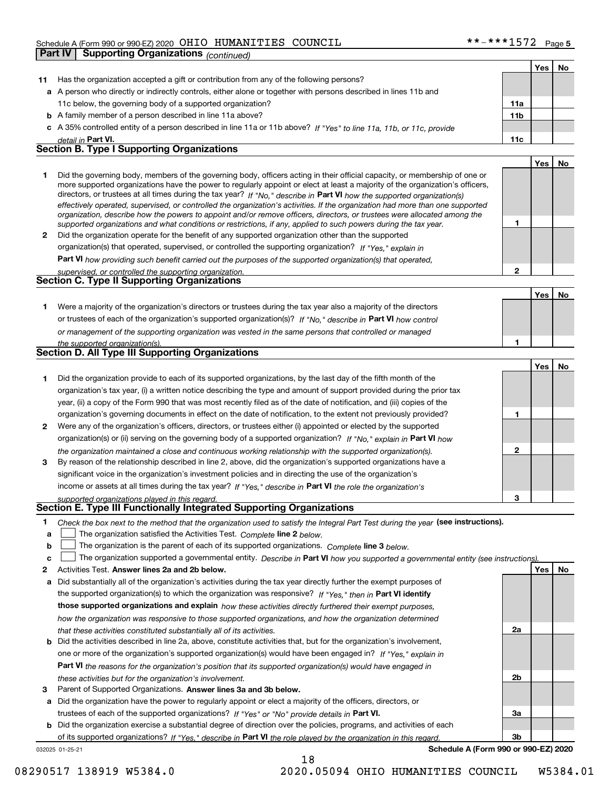|              | Part IV<br><b>Supporting Organizations (continued)</b>                                                                                                                                                                                                                                                                                                                                                                                                                                                                   |                 |     |     |
|--------------|--------------------------------------------------------------------------------------------------------------------------------------------------------------------------------------------------------------------------------------------------------------------------------------------------------------------------------------------------------------------------------------------------------------------------------------------------------------------------------------------------------------------------|-----------------|-----|-----|
|              |                                                                                                                                                                                                                                                                                                                                                                                                                                                                                                                          |                 | Yes | No  |
| 11           | Has the organization accepted a gift or contribution from any of the following persons?                                                                                                                                                                                                                                                                                                                                                                                                                                  |                 |     |     |
|              | a A person who directly or indirectly controls, either alone or together with persons described in lines 11b and                                                                                                                                                                                                                                                                                                                                                                                                         |                 |     |     |
|              | 11c below, the governing body of a supported organization?                                                                                                                                                                                                                                                                                                                                                                                                                                                               | 11a             |     |     |
|              | <b>b</b> A family member of a person described in line 11a above?                                                                                                                                                                                                                                                                                                                                                                                                                                                        | 11 <sub>b</sub> |     |     |
|              | c A 35% controlled entity of a person described in line 11a or 11b above? If "Yes" to line 11a, 11b, or 11c, provide                                                                                                                                                                                                                                                                                                                                                                                                     |                 |     |     |
|              | detail in Part VI.                                                                                                                                                                                                                                                                                                                                                                                                                                                                                                       | 11c             |     |     |
|              | <b>Section B. Type I Supporting Organizations</b>                                                                                                                                                                                                                                                                                                                                                                                                                                                                        |                 |     |     |
|              |                                                                                                                                                                                                                                                                                                                                                                                                                                                                                                                          |                 | Yes | No. |
| 1            | Did the governing body, members of the governing body, officers acting in their official capacity, or membership of one or<br>more supported organizations have the power to regularly appoint or elect at least a majority of the organization's officers,<br>directors, or trustees at all times during the tax year? If "No," describe in Part VI how the supported organization(s)<br>effectively operated, supervised, or controlled the organization's activities. If the organization had more than one supported |                 |     |     |
|              | organization, describe how the powers to appoint and/or remove officers, directors, or trustees were allocated among the<br>supported organizations and what conditions or restrictions, if any, applied to such powers during the tax year.                                                                                                                                                                                                                                                                             | 1               |     |     |
| $\mathbf{2}$ | Did the organization operate for the benefit of any supported organization other than the supported                                                                                                                                                                                                                                                                                                                                                                                                                      |                 |     |     |
|              | organization(s) that operated, supervised, or controlled the supporting organization? If "Yes," explain in                                                                                                                                                                                                                                                                                                                                                                                                               |                 |     |     |
|              | Part VI how providing such benefit carried out the purposes of the supported organization(s) that operated,                                                                                                                                                                                                                                                                                                                                                                                                              |                 |     |     |
|              | supervised, or controlled the supporting organization.                                                                                                                                                                                                                                                                                                                                                                                                                                                                   | $\mathbf{2}$    |     |     |
|              | <b>Section C. Type II Supporting Organizations</b>                                                                                                                                                                                                                                                                                                                                                                                                                                                                       |                 |     |     |
|              |                                                                                                                                                                                                                                                                                                                                                                                                                                                                                                                          |                 | Yes | No  |
| 1            | Were a majority of the organization's directors or trustees during the tax year also a majority of the directors                                                                                                                                                                                                                                                                                                                                                                                                         |                 |     |     |
|              | or trustees of each of the organization's supported organization(s)? If "No." describe in Part VI how control                                                                                                                                                                                                                                                                                                                                                                                                            |                 |     |     |
|              | or management of the supporting organization was vested in the same persons that controlled or managed                                                                                                                                                                                                                                                                                                                                                                                                                   |                 |     |     |
|              | the supported organization(s).<br><b>Section D. All Type III Supporting Organizations</b>                                                                                                                                                                                                                                                                                                                                                                                                                                | 1               |     |     |
|              |                                                                                                                                                                                                                                                                                                                                                                                                                                                                                                                          |                 |     |     |
|              |                                                                                                                                                                                                                                                                                                                                                                                                                                                                                                                          |                 | Yes | No  |
| 1            | Did the organization provide to each of its supported organizations, by the last day of the fifth month of the                                                                                                                                                                                                                                                                                                                                                                                                           |                 |     |     |
|              | organization's tax year, (i) a written notice describing the type and amount of support provided during the prior tax                                                                                                                                                                                                                                                                                                                                                                                                    |                 |     |     |
|              | year, (ii) a copy of the Form 990 that was most recently filed as of the date of notification, and (iii) copies of the                                                                                                                                                                                                                                                                                                                                                                                                   |                 |     |     |
|              | organization's governing documents in effect on the date of notification, to the extent not previously provided?                                                                                                                                                                                                                                                                                                                                                                                                         | 1               |     |     |
| $\mathbf{2}$ | Were any of the organization's officers, directors, or trustees either (i) appointed or elected by the supported                                                                                                                                                                                                                                                                                                                                                                                                         |                 |     |     |
|              | organization(s) or (ii) serving on the governing body of a supported organization? If "No," explain in Part VI how                                                                                                                                                                                                                                                                                                                                                                                                       |                 |     |     |
|              | the organization maintained a close and continuous working relationship with the supported organization(s).                                                                                                                                                                                                                                                                                                                                                                                                              | $\mathbf{2}$    |     |     |
| 3            | By reason of the relationship described in line 2, above, did the organization's supported organizations have a                                                                                                                                                                                                                                                                                                                                                                                                          |                 |     |     |
|              | significant voice in the organization's investment policies and in directing the use of the organization's                                                                                                                                                                                                                                                                                                                                                                                                               |                 |     |     |
|              | income or assets at all times during the tax year? If "Yes," describe in Part VI the role the organization's                                                                                                                                                                                                                                                                                                                                                                                                             |                 |     |     |
|              | supported organizations played in this regard.<br>Section E. Type III Functionally Integrated Supporting Organizations                                                                                                                                                                                                                                                                                                                                                                                                   | 3               |     |     |
|              |                                                                                                                                                                                                                                                                                                                                                                                                                                                                                                                          |                 |     |     |

- **1**Check the box next to the method that the organization used to satisfy the Integral Part Test during the year (see instructions).
- **alinupy** The organization satisfied the Activities Test. Complete line 2 below.
- **b**The organization is the parent of each of its supported organizations. *Complete* line 3 *below.*  $\mathcal{L}^{\text{max}}$

|  |  | c □ The organization supported a governmental entity. Describe in Part VI how you supported a governmental entity (see instructions). |  |
|--|--|---------------------------------------------------------------------------------------------------------------------------------------|--|
|--|--|---------------------------------------------------------------------------------------------------------------------------------------|--|

- **2Answer lines 2a and 2b below. Yes No** Activities Test.
- **a** Did substantially all of the organization's activities during the tax year directly further the exempt purposes of the supported organization(s) to which the organization was responsive? If "Yes," then in **Part VI identify those supported organizations and explain**  *how these activities directly furthered their exempt purposes, how the organization was responsive to those supported organizations, and how the organization determined that these activities constituted substantially all of its activities.*
- **b** Did the activities described in line 2a, above, constitute activities that, but for the organization's involvement, **Part VI**  *the reasons for the organization's position that its supported organization(s) would have engaged in* one or more of the organization's supported organization(s) would have been engaged in? If "Yes," e*xplain in these activities but for the organization's involvement.*
- **3** Parent of Supported Organizations. Answer lines 3a and 3b below.

**a** Did the organization have the power to regularly appoint or elect a majority of the officers, directors, or trustees of each of the supported organizations? If "Yes" or "No" provide details in P**art VI.** 

032025 01-25-21 **b** Did the organization exercise a substantial degree of direction over the policies, programs, and activities of each of its supported organizations? If "Yes," describe in Part VI the role played by the organization in this regard.

**Schedule A (Form 990 or 990-EZ) 2020**

**2a**

**2b**

**3a**

**3b**

18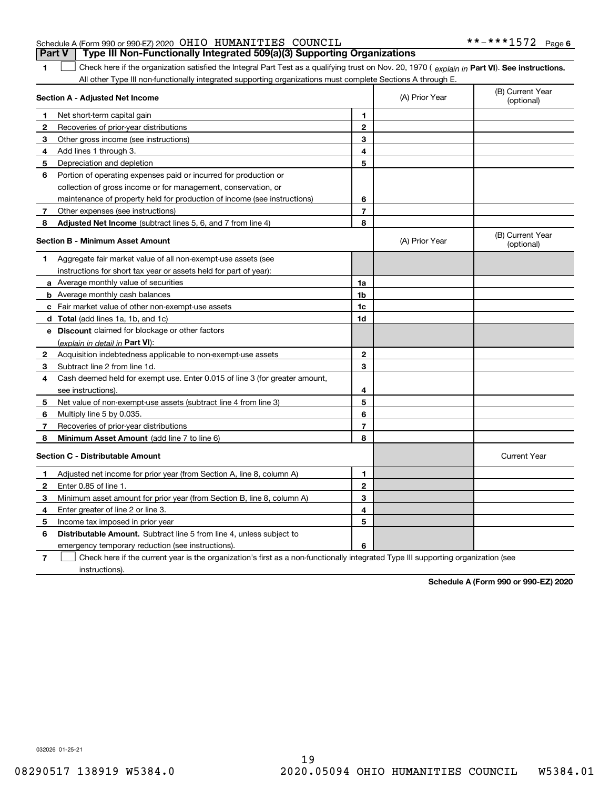| Schedule A (Form 990 or 990-EZ) 2020 OHIO HUMANITIES COUNCIL<br><b>Part V</b> Type III Non-Functionally Integrated 509(a)(3) Supporting Organizations |  |
|-------------------------------------------------------------------------------------------------------------------------------------------------------|--|
|                                                                                                                                                       |  |

1 Check here if the organization satisfied the Integral Part Test as a qualifying trust on Nov. 20, 1970 (explain in Part VI). See instructions. All other Type III non-functionally integrated supporting organizations must complete Sections A through E.

|              | Section A - Adjusted Net Income                                                                                                   |                | (A) Prior Year | (B) Current Year<br>(optional) |
|--------------|-----------------------------------------------------------------------------------------------------------------------------------|----------------|----------------|--------------------------------|
| 1.           | Net short-term capital gain                                                                                                       | 1              |                |                                |
| $\mathbf{2}$ | Recoveries of prior-year distributions                                                                                            | $\mathbf{2}$   |                |                                |
| 3            | Other gross income (see instructions)                                                                                             | 3              |                |                                |
| 4            | Add lines 1 through 3.                                                                                                            | 4              |                |                                |
| 5            | Depreciation and depletion                                                                                                        | 5              |                |                                |
| 6            | Portion of operating expenses paid or incurred for production or                                                                  |                |                |                                |
|              | collection of gross income or for management, conservation, or                                                                    |                |                |                                |
|              | maintenance of property held for production of income (see instructions)                                                          | 6              |                |                                |
| 7            | Other expenses (see instructions)                                                                                                 | $\overline{7}$ |                |                                |
| 8            | Adjusted Net Income (subtract lines 5, 6, and 7 from line 4)                                                                      | 8              |                |                                |
|              | <b>Section B - Minimum Asset Amount</b>                                                                                           |                | (A) Prior Year | (B) Current Year<br>(optional) |
| 1            | Aggregate fair market value of all non-exempt-use assets (see                                                                     |                |                |                                |
|              | instructions for short tax year or assets held for part of year):                                                                 |                |                |                                |
|              | <b>a</b> Average monthly value of securities                                                                                      | 1a             |                |                                |
|              | <b>b</b> Average monthly cash balances                                                                                            | 1b             |                |                                |
|              | c Fair market value of other non-exempt-use assets                                                                                | 1c             |                |                                |
|              | d Total (add lines 1a, 1b, and 1c)                                                                                                | 1d             |                |                                |
|              | e Discount claimed for blockage or other factors                                                                                  |                |                |                                |
|              | (explain in detail in Part VI):                                                                                                   |                |                |                                |
| $\mathbf{2}$ | Acquisition indebtedness applicable to non-exempt-use assets                                                                      | $\mathbf{2}$   |                |                                |
| 3            | Subtract line 2 from line 1d.                                                                                                     | 3              |                |                                |
| 4            | Cash deemed held for exempt use. Enter 0.015 of line 3 (for greater amount,                                                       |                |                |                                |
|              | see instructions)                                                                                                                 | 4              |                |                                |
| 5            | Net value of non-exempt-use assets (subtract line 4 from line 3)                                                                  | 5              |                |                                |
| 6            | Multiply line 5 by 0.035.                                                                                                         | 6              |                |                                |
| 7            | Recoveries of prior-year distributions                                                                                            | $\overline{7}$ |                |                                |
| 8            | Minimum Asset Amount (add line 7 to line 6)                                                                                       | 8              |                |                                |
|              | <b>Section C - Distributable Amount</b>                                                                                           |                |                | <b>Current Year</b>            |
| 1            | Adjusted net income for prior year (from Section A, line 8, column A)                                                             | 1              |                |                                |
| 2            | Enter 0.85 of line 1.                                                                                                             | $\overline{2}$ |                |                                |
| 3            | Minimum asset amount for prior year (from Section B, line 8, column A)                                                            | 3              |                |                                |
| 4            | Enter greater of line 2 or line 3.                                                                                                | 4              |                |                                |
| 5            | Income tax imposed in prior year                                                                                                  | 5              |                |                                |
| 6            | <b>Distributable Amount.</b> Subtract line 5 from line 4, unless subject to                                                       |                |                |                                |
|              | emergency temporary reduction (see instructions).                                                                                 | 6              |                |                                |
| 7            | Check here if the current year is the organization's first as a non-functionally integrated Type III supporting organization (see |                |                |                                |

instructions).

**1**

**Schedule A (Form 990 or 990-EZ) 2020**

032026 01-25-21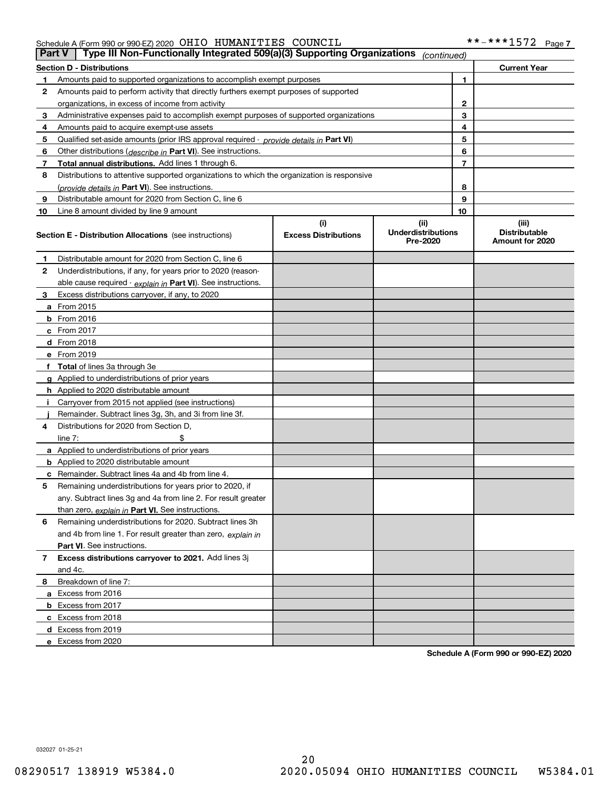| <b>Part V</b> | Type III Non-Functionally Integrated 509(a)(3) Supporting Organizations                    |                             | (continued)                           |   |                                         |
|---------------|--------------------------------------------------------------------------------------------|-----------------------------|---------------------------------------|---|-----------------------------------------|
|               | <b>Section D - Distributions</b>                                                           |                             |                                       |   | <b>Current Year</b>                     |
| 1             | Amounts paid to supported organizations to accomplish exempt purposes                      |                             |                                       | 1 |                                         |
| 2             | Amounts paid to perform activity that directly furthers exempt purposes of supported       |                             |                                       |   |                                         |
|               | organizations, in excess of income from activity                                           |                             | 2                                     |   |                                         |
| 3             | Administrative expenses paid to accomplish exempt purposes of supported organizations      |                             | 3                                     |   |                                         |
| 4             | Amounts paid to acquire exempt-use assets                                                  |                             |                                       | 4 |                                         |
| 5             | Qualified set-aside amounts (prior IRS approval required - provide details in Part VI)     |                             |                                       | 5 |                                         |
| 6             | Other distributions (describe in Part VI). See instructions.                               |                             |                                       | 6 |                                         |
| 7             | Total annual distributions. Add lines 1 through 6.                                         |                             |                                       | 7 |                                         |
| 8             | Distributions to attentive supported organizations to which the organization is responsive |                             |                                       |   |                                         |
|               | (provide details in Part VI). See instructions.                                            |                             | 8                                     |   |                                         |
| 9             | Distributable amount for 2020 from Section C, line 6                                       |                             | 9                                     |   |                                         |
| 10            | Line 8 amount divided by line 9 amount                                                     |                             |                                       |   |                                         |
|               |                                                                                            | (i)                         | (ii)                                  |   | (iii)                                   |
|               | <b>Section E - Distribution Allocations</b> (see instructions)                             | <b>Excess Distributions</b> | <b>Underdistributions</b><br>Pre-2020 |   | <b>Distributable</b><br>Amount for 2020 |
| 1             | Distributable amount for 2020 from Section C, line 6                                       |                             |                                       |   |                                         |
| 2             | Underdistributions, if any, for years prior to 2020 (reason-                               |                             |                                       |   |                                         |
|               | able cause required - explain in Part VI). See instructions.                               |                             |                                       |   |                                         |
| 3             | Excess distributions carryover, if any, to 2020                                            |                             |                                       |   |                                         |
|               | <b>a</b> From 2015                                                                         |                             |                                       |   |                                         |
|               | <b>b</b> From 2016                                                                         |                             |                                       |   |                                         |
|               | c From 2017                                                                                |                             |                                       |   |                                         |
|               | <b>d</b> From 2018                                                                         |                             |                                       |   |                                         |
|               | e From 2019                                                                                |                             |                                       |   |                                         |
|               | f Total of lines 3a through 3e                                                             |                             |                                       |   |                                         |
|               | g Applied to underdistributions of prior years                                             |                             |                                       |   |                                         |
|               | <b>h</b> Applied to 2020 distributable amount                                              |                             |                                       |   |                                         |
|               | Carryover from 2015 not applied (see instructions)                                         |                             |                                       |   |                                         |
|               | Remainder. Subtract lines 3g, 3h, and 3i from line 3f.                                     |                             |                                       |   |                                         |
| 4             | Distributions for 2020 from Section D,                                                     |                             |                                       |   |                                         |
|               | line $7:$                                                                                  |                             |                                       |   |                                         |
|               | a Applied to underdistributions of prior years                                             |                             |                                       |   |                                         |
|               | <b>b</b> Applied to 2020 distributable amount                                              |                             |                                       |   |                                         |
|               | c Remainder. Subtract lines 4a and 4b from line 4.                                         |                             |                                       |   |                                         |
| 5             | Remaining underdistributions for years prior to 2020, if                                   |                             |                                       |   |                                         |
|               | any. Subtract lines 3g and 4a from line 2. For result greater                              |                             |                                       |   |                                         |
|               | than zero, explain in Part VI. See instructions.                                           |                             |                                       |   |                                         |
| 6             | Remaining underdistributions for 2020. Subtract lines 3h                                   |                             |                                       |   |                                         |
|               | and 4b from line 1. For result greater than zero, explain in                               |                             |                                       |   |                                         |
|               | Part VI. See instructions.                                                                 |                             |                                       |   |                                         |
| 7             | Excess distributions carryover to 2021. Add lines 3j                                       |                             |                                       |   |                                         |
|               | and 4c.                                                                                    |                             |                                       |   |                                         |
| 8             | Breakdown of line 7:                                                                       |                             |                                       |   |                                         |
|               | a Excess from 2016                                                                         |                             |                                       |   |                                         |
|               | <b>b</b> Excess from 2017                                                                  |                             |                                       |   |                                         |
|               | c Excess from 2018                                                                         |                             |                                       |   |                                         |
|               | d Excess from 2019                                                                         |                             |                                       |   |                                         |
|               | e Excess from 2020                                                                         |                             |                                       |   |                                         |

**Schedule A (Form 990 or 990-EZ) 2020**

032027 01-25-21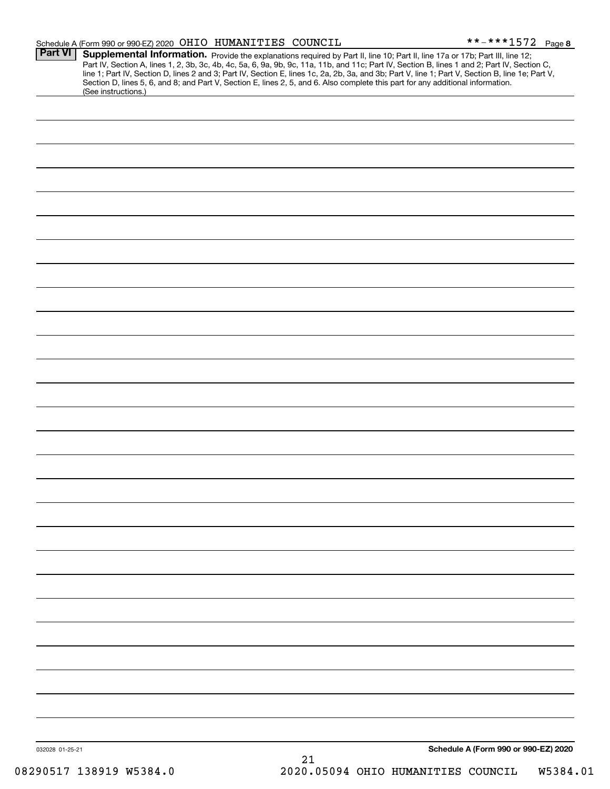|                 | Schedule A (Form 990 or 990-EZ) 2020 OHIO HUMANITIES COUNCIL |                                                                                                                                                                                                                                                                                                                                                                                                                  | **-***1572 Page 8                                                                                                                                |
|-----------------|--------------------------------------------------------------|------------------------------------------------------------------------------------------------------------------------------------------------------------------------------------------------------------------------------------------------------------------------------------------------------------------------------------------------------------------------------------------------------------------|--------------------------------------------------------------------------------------------------------------------------------------------------|
| <b>Part VI</b>  | (See instructions.)                                          | Supplemental Information. Provide the explanations required by Part II, line 10; Part II, line 17a or 17b; Part III, line 12;<br>Part IV, Section A, lines 1, 2, 3b, 3c, 4b, 4c, 5a, 6, 9a, 9b, 9c, 11a, 11b, and 11c; Part IV, Section B, lines 1 and 2; Part IV, Section C,<br>Section D, lines 5, 6, and 8; and Part V, Section E, lines 2, 5, and 6. Also complete this part for any additional information. | line 1; Part IV, Section D, lines 2 and 3; Part IV, Section E, lines 1c, 2a, 2b, 3a, and 3b; Part V, line 1; Part V, Section B, line 1e; Part V, |
|                 |                                                              |                                                                                                                                                                                                                                                                                                                                                                                                                  |                                                                                                                                                  |
|                 |                                                              |                                                                                                                                                                                                                                                                                                                                                                                                                  |                                                                                                                                                  |
|                 |                                                              |                                                                                                                                                                                                                                                                                                                                                                                                                  |                                                                                                                                                  |
|                 |                                                              |                                                                                                                                                                                                                                                                                                                                                                                                                  |                                                                                                                                                  |
|                 |                                                              |                                                                                                                                                                                                                                                                                                                                                                                                                  |                                                                                                                                                  |
|                 |                                                              |                                                                                                                                                                                                                                                                                                                                                                                                                  |                                                                                                                                                  |
|                 |                                                              |                                                                                                                                                                                                                                                                                                                                                                                                                  |                                                                                                                                                  |
|                 |                                                              |                                                                                                                                                                                                                                                                                                                                                                                                                  |                                                                                                                                                  |
|                 |                                                              |                                                                                                                                                                                                                                                                                                                                                                                                                  |                                                                                                                                                  |
|                 |                                                              |                                                                                                                                                                                                                                                                                                                                                                                                                  |                                                                                                                                                  |
|                 |                                                              |                                                                                                                                                                                                                                                                                                                                                                                                                  |                                                                                                                                                  |
|                 |                                                              |                                                                                                                                                                                                                                                                                                                                                                                                                  |                                                                                                                                                  |
|                 |                                                              |                                                                                                                                                                                                                                                                                                                                                                                                                  |                                                                                                                                                  |
|                 |                                                              |                                                                                                                                                                                                                                                                                                                                                                                                                  |                                                                                                                                                  |
|                 |                                                              |                                                                                                                                                                                                                                                                                                                                                                                                                  |                                                                                                                                                  |
|                 |                                                              |                                                                                                                                                                                                                                                                                                                                                                                                                  |                                                                                                                                                  |
|                 |                                                              |                                                                                                                                                                                                                                                                                                                                                                                                                  |                                                                                                                                                  |
|                 |                                                              |                                                                                                                                                                                                                                                                                                                                                                                                                  |                                                                                                                                                  |
|                 |                                                              |                                                                                                                                                                                                                                                                                                                                                                                                                  |                                                                                                                                                  |
|                 |                                                              |                                                                                                                                                                                                                                                                                                                                                                                                                  |                                                                                                                                                  |
|                 |                                                              |                                                                                                                                                                                                                                                                                                                                                                                                                  |                                                                                                                                                  |
|                 |                                                              |                                                                                                                                                                                                                                                                                                                                                                                                                  |                                                                                                                                                  |
|                 |                                                              |                                                                                                                                                                                                                                                                                                                                                                                                                  |                                                                                                                                                  |
|                 |                                                              |                                                                                                                                                                                                                                                                                                                                                                                                                  |                                                                                                                                                  |
|                 |                                                              |                                                                                                                                                                                                                                                                                                                                                                                                                  |                                                                                                                                                  |
|                 |                                                              |                                                                                                                                                                                                                                                                                                                                                                                                                  |                                                                                                                                                  |
|                 |                                                              |                                                                                                                                                                                                                                                                                                                                                                                                                  |                                                                                                                                                  |
| 032028 01-25-21 |                                                              | 01                                                                                                                                                                                                                                                                                                                                                                                                               | Schedule A (Form 990 or 990-EZ) 2020                                                                                                             |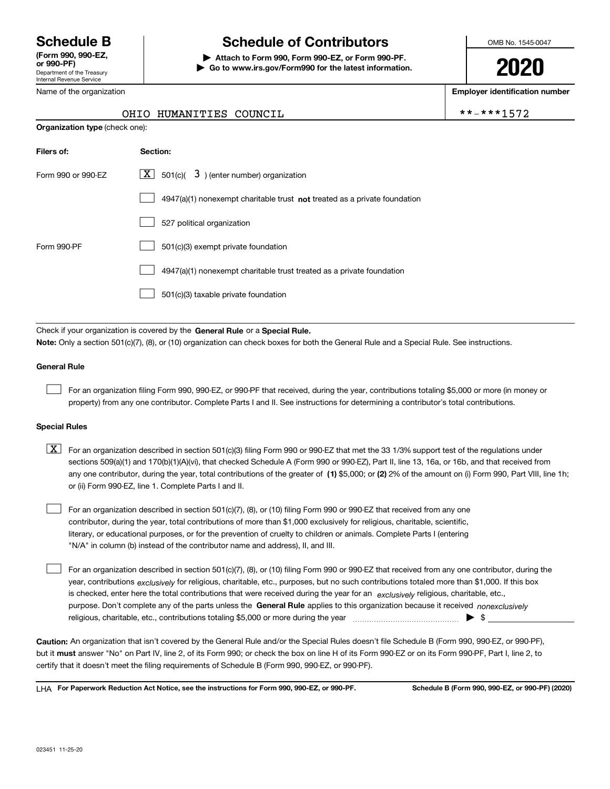Department of the Treasury Internal Revenue Service **(Form 990, 990-EZ, or 990-PF)**

Name of the organization

# **Schedule B Schedule of Contributors**

**| Attach to Form 990, Form 990-EZ, or Form 990-PF. | Go to www.irs.gov/Form990 for the latest information.** OMB No. 1545-0047

**2020**

**Employer identification number**

 $***-***1572$ 

|  | OHIO HUMANITIES COUNCIL |  |
|--|-------------------------|--|
|--|-------------------------|--|

| <b>Organization type (check one):</b> |                                                                             |
|---------------------------------------|-----------------------------------------------------------------------------|
| Filers of:                            | Section:                                                                    |
| Form 990 or 990-EZ                    | $X$ 501(c)( 3) (enter number) organization                                  |
|                                       | $4947(a)(1)$ nonexempt charitable trust not treated as a private foundation |
|                                       | 527 political organization                                                  |
| Form 990-PF                           | 501(c)(3) exempt private foundation                                         |
|                                       | 4947(a)(1) nonexempt charitable trust treated as a private foundation       |
|                                       | 501(c)(3) taxable private foundation                                        |
|                                       |                                                                             |

Check if your organization is covered by the **General Rule** or a **Special Rule. Note:**  Only a section 501(c)(7), (8), or (10) organization can check boxes for both the General Rule and a Special Rule. See instructions.

### **General Rule**

 $\mathcal{L}^{\text{max}}$ 

For an organization filing Form 990, 990-EZ, or 990-PF that received, during the year, contributions totaling \$5,000 or more (in money or property) from any one contributor. Complete Parts I and II. See instructions for determining a contributor's total contributions.

### **Special Rules**

any one contributor, during the year, total contributions of the greater of  $\,$  (1) \$5,000; or **(2)** 2% of the amount on (i) Form 990, Part VIII, line 1h;  $\boxed{\textbf{X}}$  For an organization described in section 501(c)(3) filing Form 990 or 990-EZ that met the 33 1/3% support test of the regulations under sections 509(a)(1) and 170(b)(1)(A)(vi), that checked Schedule A (Form 990 or 990-EZ), Part II, line 13, 16a, or 16b, and that received from or (ii) Form 990-EZ, line 1. Complete Parts I and II.

For an organization described in section 501(c)(7), (8), or (10) filing Form 990 or 990-EZ that received from any one contributor, during the year, total contributions of more than \$1,000 exclusively for religious, charitable, scientific, literary, or educational purposes, or for the prevention of cruelty to children or animals. Complete Parts I (entering "N/A" in column (b) instead of the contributor name and address), II, and III.  $\mathcal{L}^{\text{max}}$ 

purpose. Don't complete any of the parts unless the **General Rule** applies to this organization because it received *nonexclusively* year, contributions <sub>exclusively</sub> for religious, charitable, etc., purposes, but no such contributions totaled more than \$1,000. If this box is checked, enter here the total contributions that were received during the year for an  $\;$ exclusively religious, charitable, etc., For an organization described in section 501(c)(7), (8), or (10) filing Form 990 or 990-EZ that received from any one contributor, during the religious, charitable, etc., contributions totaling \$5,000 or more during the year  $\Box$ — $\Box$   $\Box$   $\Box$  $\mathcal{L}^{\text{max}}$ 

**Caution:**  An organization that isn't covered by the General Rule and/or the Special Rules doesn't file Schedule B (Form 990, 990-EZ, or 990-PF),  **must** but it answer "No" on Part IV, line 2, of its Form 990; or check the box on line H of its Form 990-EZ or on its Form 990-PF, Part I, line 2, to certify that it doesn't meet the filing requirements of Schedule B (Form 990, 990-EZ, or 990-PF).

**For Paperwork Reduction Act Notice, see the instructions for Form 990, 990-EZ, or 990-PF. Schedule B (Form 990, 990-EZ, or 990-PF) (2020)** LHA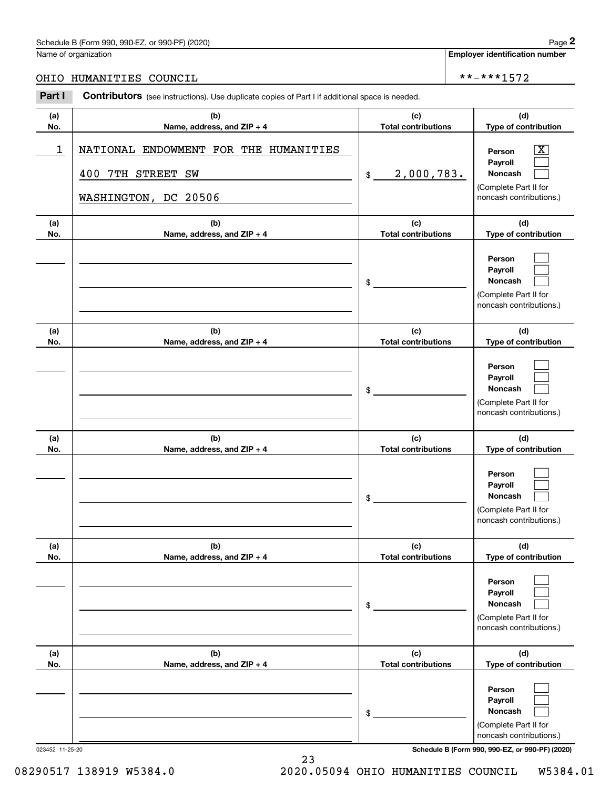### Schedule B (Form 990, 990-EZ, or 990-PF) (2020) **Page 2**

### OHIO HUMANITIES COUNCIL \*\*-\*\*\*1572

|            | Schedule B (Form 990, 990-EZ, or 990-PF) (2020)                                                       |                                   | Page 2                                                                                                    |
|------------|-------------------------------------------------------------------------------------------------------|-----------------------------------|-----------------------------------------------------------------------------------------------------------|
|            | Name of organization                                                                                  |                                   | <b>Employer identification number</b>                                                                     |
| OHIO       | HUMANITIES COUNCIL                                                                                    |                                   | **-***1572                                                                                                |
| Part I     | <b>Contributors</b> (see instructions). Use duplicate copies of Part I if additional space is needed. |                                   |                                                                                                           |
| (a)<br>No. | (b)<br>Name, address, and ZIP + 4                                                                     | (c)<br><b>Total contributions</b> | (d)<br>Type of contribution                                                                               |
| 1          | NATIONAL ENDOWMENT FOR THE HUMANITIES<br>7TH STREET<br>400<br>SW<br>WASHINGTON, DC 20506              | 2,000,783.<br>\$                  | $\overline{\text{X}}$<br>Person<br>Payroll<br>Noncash<br>(Complete Part II for<br>noncash contributions.) |
| (a)<br>No. | (b)<br>Name, address, and ZIP + 4                                                                     | (c)<br><b>Total contributions</b> | (d)<br>Type of contribution                                                                               |
|            |                                                                                                       | \$                                | Person<br>Payroll<br>Noncash<br>(Complete Part II for<br>noncash contributions.)                          |
| (a)<br>No. | (b)<br>Name, address, and ZIP + 4                                                                     | (c)<br><b>Total contributions</b> | (d)<br>Type of contribution                                                                               |
|            |                                                                                                       | \$                                | Person<br>Payroll<br>Noncash<br>(Complete Part II for<br>noncash contributions.)                          |
| (a)<br>No. | (b)<br>Name, address, and ZIP + 4                                                                     | (c)<br><b>Total contributions</b> | (d)<br>Type of contribution                                                                               |
|            |                                                                                                       | \$                                | Person<br>Payroll<br>Noncash<br>(Complete Part II for<br>noncash contributions.)                          |
| (a)<br>No. | (b)<br>Name, address, and ZIP + 4                                                                     | (c)<br><b>Total contributions</b> | (d)<br>Type of contribution                                                                               |
|            |                                                                                                       | \$                                | Person<br>Payroll<br>Noncash<br>(Complete Part II for<br>noncash contributions.)                          |
| (a)<br>No. | (b)<br>Name, address, and ZIP + 4                                                                     | (c)<br><b>Total contributions</b> | (d)<br>Type of contribution                                                                               |
|            |                                                                                                       | \$                                | Person<br>Payroll<br>Noncash<br>(Complete Part II for<br>noncash contributions.)                          |

023452 11-25-20 **Schedule B (Form 990, 990-EZ, or 990-PF) (2020)**

23 08290517 138919 W5384.0 2020.05094 OHIO HUMANITIES COUNCIL W5384.01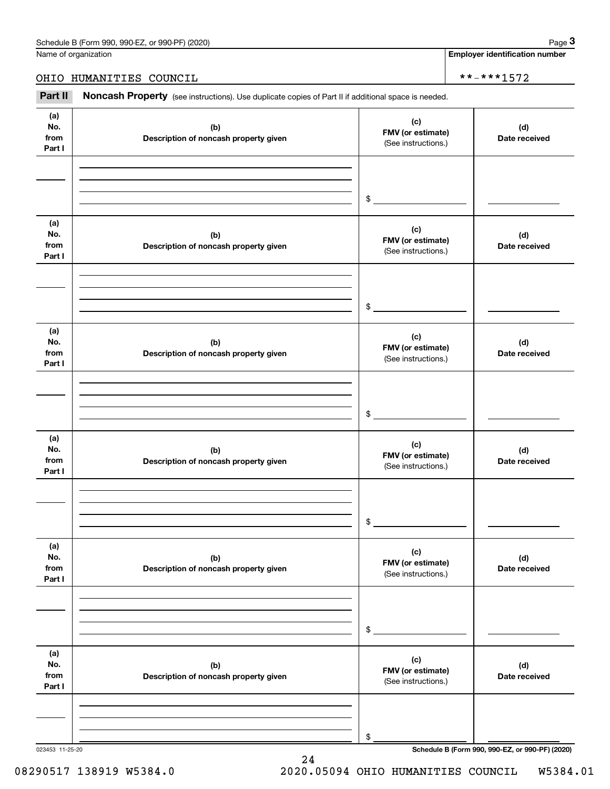Name of organization

**Employer identification number**

### OHIO HUMANITIES COUNCIL \*\*-\*\*\*1572

(see instructions). Use duplicate copies of Part II if additional space is needed.<br> **2Part II Noncash Property** (see instructions). Use duplicate copies of Part II if additional space is needed.

| (a)<br>No.<br>from<br>Part I | (b)<br>Description of noncash property given | (c)<br>FMV (or estimate)<br>(See instructions.) | (d)<br>Date received |
|------------------------------|----------------------------------------------|-------------------------------------------------|----------------------|
|                              |                                              | $\frac{1}{2}$                                   |                      |
| (a)<br>No.<br>from<br>Part I | (b)<br>Description of noncash property given | (c)<br>FMV (or estimate)<br>(See instructions.) | (d)<br>Date received |
|                              |                                              | $\frac{1}{2}$                                   |                      |
| (a)<br>No.<br>from<br>Part I | (b)<br>Description of noncash property given | (c)<br>FMV (or estimate)<br>(See instructions.) | (d)<br>Date received |
|                              |                                              | $\frac{1}{2}$                                   |                      |
| (a)<br>No.<br>from<br>Part I | (b)<br>Description of noncash property given | (c)<br>FMV (or estimate)<br>(See instructions.) | (d)<br>Date received |
|                              |                                              | \$                                              |                      |
| (a)<br>No.<br>from<br>Part I | (b)<br>Description of noncash property given | (c)<br>FMV (or estimate)<br>(See instructions.) | (d)<br>Date received |
|                              |                                              | \$                                              |                      |
| (a)<br>No.<br>from<br>Part I | (b)<br>Description of noncash property given | (c)<br>FMV (or estimate)<br>(See instructions.) | (d)<br>Date received |
|                              |                                              | \$                                              |                      |

24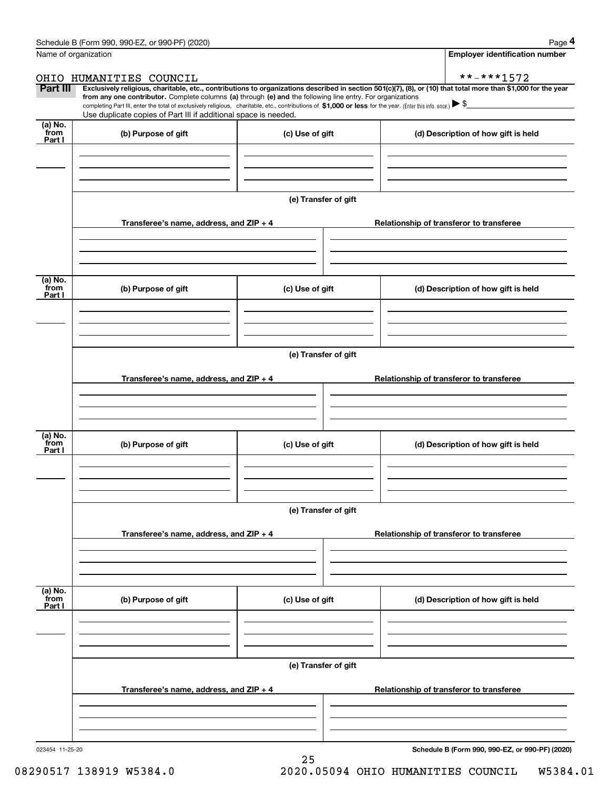|                             | Schedule B (Form 990, 990-EZ, or 990-PF) (2020)                                                                                                                                                                                                                                                 |                      | Page 4                                                                                                                                                         |
|-----------------------------|-------------------------------------------------------------------------------------------------------------------------------------------------------------------------------------------------------------------------------------------------------------------------------------------------|----------------------|----------------------------------------------------------------------------------------------------------------------------------------------------------------|
| Name of organization        |                                                                                                                                                                                                                                                                                                 |                      | <b>Employer identification number</b>                                                                                                                          |
|                             | OHIO HUMANITIES COUNCIL                                                                                                                                                                                                                                                                         |                      | **-***1572                                                                                                                                                     |
| Part III                    | from any one contributor. Complete columns (a) through (e) and the following line entry. For organizations<br>completing Part III, enter the total of exclusively religious, charitable, etc., contributions of \$1,000 or less for the year. (Enter this info. once.) $\blacktriangleright$ \$ |                      | Exclusively religious, charitable, etc., contributions to organizations described in section 501(c)(7), (8), or (10) that total more than \$1,000 for the year |
|                             | Use duplicate copies of Part III if additional space is needed.                                                                                                                                                                                                                                 |                      |                                                                                                                                                                |
| $(a)$ No.<br>from<br>Part I | (b) Purpose of gift                                                                                                                                                                                                                                                                             | (c) Use of gift      | (d) Description of how gift is held                                                                                                                            |
|                             |                                                                                                                                                                                                                                                                                                 |                      |                                                                                                                                                                |
|                             |                                                                                                                                                                                                                                                                                                 | (e) Transfer of gift |                                                                                                                                                                |
|                             | Transferee's name, address, and ZIP + 4                                                                                                                                                                                                                                                         |                      | Relationship of transferor to transferee                                                                                                                       |
| (a) No.<br>from             |                                                                                                                                                                                                                                                                                                 |                      |                                                                                                                                                                |
| Part I                      | (b) Purpose of gift                                                                                                                                                                                                                                                                             | (c) Use of gift      | (d) Description of how gift is held                                                                                                                            |
|                             |                                                                                                                                                                                                                                                                                                 | (e) Transfer of gift |                                                                                                                                                                |
|                             |                                                                                                                                                                                                                                                                                                 |                      |                                                                                                                                                                |
|                             | Transferee's name, address, and ZIP + 4                                                                                                                                                                                                                                                         |                      | Relationship of transferor to transferee                                                                                                                       |
| (a) No.                     |                                                                                                                                                                                                                                                                                                 |                      |                                                                                                                                                                |
| from<br>Part I              | (b) Purpose of gift                                                                                                                                                                                                                                                                             | (c) Use of gift      | (d) Description of how gift is held                                                                                                                            |
|                             |                                                                                                                                                                                                                                                                                                 |                      |                                                                                                                                                                |
|                             |                                                                                                                                                                                                                                                                                                 | (e) Transfer of gift |                                                                                                                                                                |
|                             | Transferee's name, address, and $ZIP + 4$                                                                                                                                                                                                                                                       |                      | Relationship of transferor to transferee                                                                                                                       |
|                             |                                                                                                                                                                                                                                                                                                 |                      |                                                                                                                                                                |
| (a) No.<br>from<br>Part I   | (b) Purpose of gift                                                                                                                                                                                                                                                                             | (c) Use of gift      | (d) Description of how gift is held                                                                                                                            |
|                             |                                                                                                                                                                                                                                                                                                 |                      |                                                                                                                                                                |
|                             |                                                                                                                                                                                                                                                                                                 | (e) Transfer of gift |                                                                                                                                                                |
|                             | Transferee's name, address, and ZIP + 4                                                                                                                                                                                                                                                         |                      | Relationship of transferor to transferee                                                                                                                       |
|                             |                                                                                                                                                                                                                                                                                                 |                      |                                                                                                                                                                |

25

023454 11-25-20

**Schedule B (Form 990, 990-EZ, or 990-PF) (2020)**

08290517 138919 W5384.0 2020.05094 OHIO HUMANITIES COUNCIL W5384.01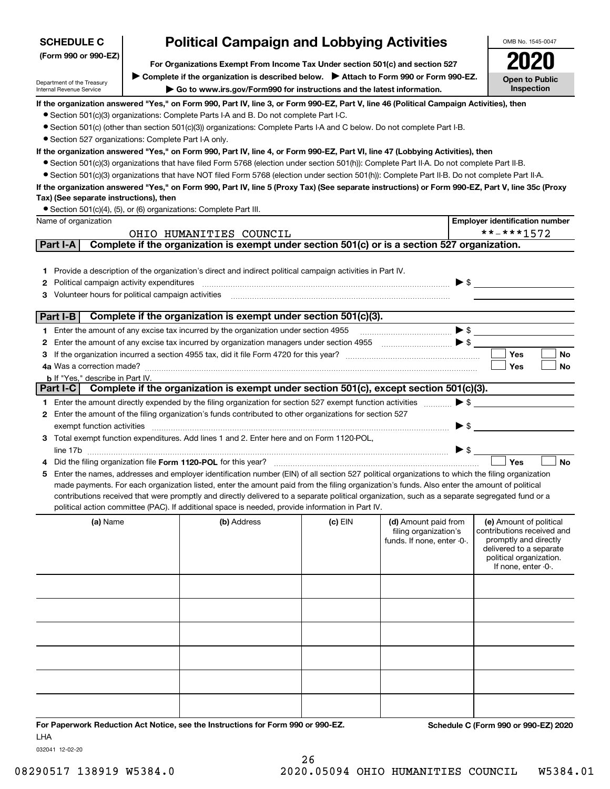| <b>SCHEDULE C</b>                                      | <b>Political Campaign and Lobbying Activities</b>                                                                                                                                                                                                                             |           |                            |                          | OMB No. 1545-0047                                |
|--------------------------------------------------------|-------------------------------------------------------------------------------------------------------------------------------------------------------------------------------------------------------------------------------------------------------------------------------|-----------|----------------------------|--------------------------|--------------------------------------------------|
| (Form 990 or 990-EZ)                                   | For Organizations Exempt From Income Tax Under section 501(c) and section 527                                                                                                                                                                                                 |           |                            |                          |                                                  |
|                                                        | Complete if the organization is described below. > Attach to Form 990 or Form 990-EZ.                                                                                                                                                                                         |           |                            |                          |                                                  |
| Department of the Treasury<br>Internal Revenue Service | Go to www.irs.gov/Form990 for instructions and the latest information.                                                                                                                                                                                                        |           |                            |                          | <b>Open to Public</b><br>Inspection              |
|                                                        | If the organization answered "Yes," on Form 990, Part IV, line 3, or Form 990-EZ, Part V, line 46 (Political Campaign Activities), then                                                                                                                                       |           |                            |                          |                                                  |
|                                                        | • Section 501(c)(3) organizations: Complete Parts I-A and B. Do not complete Part I-C.                                                                                                                                                                                        |           |                            |                          |                                                  |
|                                                        | • Section 501(c) (other than section 501(c)(3)) organizations: Complete Parts I-A and C below. Do not complete Part I-B.                                                                                                                                                      |           |                            |                          |                                                  |
| • Section 527 organizations: Complete Part I-A only.   |                                                                                                                                                                                                                                                                               |           |                            |                          |                                                  |
|                                                        | If the organization answered "Yes," on Form 990, Part IV, line 4, or Form 990-EZ, Part VI, line 47 (Lobbying Activities), then<br>• Section 501(c)(3) organizations that have filed Form 5768 (election under section 501(h)): Complete Part II-A. Do not complete Part II-B. |           |                            |                          |                                                  |
|                                                        | • Section 501(c)(3) organizations that have NOT filed Form 5768 (election under section 501(h)): Complete Part II-B. Do not complete Part II-A.                                                                                                                               |           |                            |                          |                                                  |
|                                                        | If the organization answered "Yes," on Form 990, Part IV, line 5 (Proxy Tax) (See separate instructions) or Form 990-EZ, Part V, line 35c (Proxy                                                                                                                              |           |                            |                          |                                                  |
| Tax) (See separate instructions), then                 |                                                                                                                                                                                                                                                                               |           |                            |                          |                                                  |
|                                                        | • Section 501(c)(4), (5), or (6) organizations: Complete Part III.                                                                                                                                                                                                            |           |                            |                          |                                                  |
| Name of organization                                   |                                                                                                                                                                                                                                                                               |           |                            |                          | <b>Employer identification number</b>            |
|                                                        | OHIO HUMANITIES COUNCIL                                                                                                                                                                                                                                                       |           |                            |                          | **-***1572                                       |
| Part I-A                                               | Complete if the organization is exempt under section 501(c) or is a section 527 organization.                                                                                                                                                                                 |           |                            |                          |                                                  |
|                                                        |                                                                                                                                                                                                                                                                               |           |                            |                          |                                                  |
|                                                        | 1 Provide a description of the organization's direct and indirect political campaign activities in Part IV.                                                                                                                                                                   |           |                            |                          |                                                  |
| <b>2</b> Political campaign activity expenditures      |                                                                                                                                                                                                                                                                               |           |                            | $\blacktriangleright$ \$ |                                                  |
| Volunteer hours for political campaign activities<br>3 |                                                                                                                                                                                                                                                                               |           |                            |                          |                                                  |
| Part I-B                                               | Complete if the organization is exempt under section 501(c)(3).                                                                                                                                                                                                               |           |                            |                          |                                                  |
|                                                        | 1 Enter the amount of any excise tax incurred by the organization under section 4955                                                                                                                                                                                          |           |                            | $\blacktriangleright$ \$ |                                                  |
|                                                        | 2 Enter the amount of any excise tax incurred by organization managers under section 4955                                                                                                                                                                                     |           | $\overline{\phantom{a}}$   |                          |                                                  |
| з                                                      |                                                                                                                                                                                                                                                                               |           |                            |                          | <b>Yes</b><br>No                                 |
| 4a Was a correction made?                              |                                                                                                                                                                                                                                                                               |           |                            |                          | Yes<br>No                                        |
| <b>b</b> If "Yes," describe in Part IV.                |                                                                                                                                                                                                                                                                               |           |                            |                          |                                                  |
| Part I-C                                               | Complete if the organization is exempt under section 501(c), except section 501(c)(3).                                                                                                                                                                                        |           |                            |                          |                                                  |
|                                                        | 1 Enter the amount directly expended by the filing organization for section 527 exempt function activities                                                                                                                                                                    |           |                            | $\blacktriangleright$ \$ |                                                  |
|                                                        | 2 Enter the amount of the filing organization's funds contributed to other organizations for section 527                                                                                                                                                                      |           |                            |                          |                                                  |
| exempt function activities                             |                                                                                                                                                                                                                                                                               |           |                            | $\blacktriangleright$ \$ |                                                  |
|                                                        | 3 Total exempt function expenditures. Add lines 1 and 2. Enter here and on Form 1120-POL,                                                                                                                                                                                     |           |                            |                          |                                                  |
|                                                        |                                                                                                                                                                                                                                                                               |           |                            | $\blacktriangleright$ \$ |                                                  |
|                                                        | Did the filing organization file Form 1120-POL for this year?<br>5 Enter the names, addresses and employer identification number (EIN) of all section 527 political organizations to which the filing organization                                                            |           |                            |                          | Yes<br><b>No</b>                                 |
|                                                        | made payments. For each organization listed, enter the amount paid from the filing organization's funds. Also enter the amount of political                                                                                                                                   |           |                            |                          |                                                  |
|                                                        | contributions received that were promptly and directly delivered to a separate political organization, such as a separate segregated fund or a                                                                                                                                |           |                            |                          |                                                  |
|                                                        | political action committee (PAC). If additional space is needed, provide information in Part IV.                                                                                                                                                                              |           |                            |                          |                                                  |
| (a) Name                                               | (b) Address                                                                                                                                                                                                                                                                   | $(c)$ EIN | (d) Amount paid from       |                          | (e) Amount of political                          |
|                                                        |                                                                                                                                                                                                                                                                               |           | filing organization's      |                          | contributions received and                       |
|                                                        |                                                                                                                                                                                                                                                                               |           | funds. If none, enter -0-. |                          | promptly and directly<br>delivered to a separate |
|                                                        |                                                                                                                                                                                                                                                                               |           |                            |                          | political organization.                          |
|                                                        |                                                                                                                                                                                                                                                                               |           |                            |                          | If none, enter -0-.                              |
|                                                        |                                                                                                                                                                                                                                                                               |           |                            |                          |                                                  |
|                                                        |                                                                                                                                                                                                                                                                               |           |                            |                          |                                                  |
|                                                        |                                                                                                                                                                                                                                                                               |           |                            |                          |                                                  |
|                                                        |                                                                                                                                                                                                                                                                               |           |                            |                          |                                                  |
|                                                        |                                                                                                                                                                                                                                                                               |           |                            |                          |                                                  |
|                                                        |                                                                                                                                                                                                                                                                               |           |                            |                          |                                                  |
|                                                        |                                                                                                                                                                                                                                                                               |           |                            |                          |                                                  |
|                                                        |                                                                                                                                                                                                                                                                               |           |                            |                          |                                                  |
|                                                        |                                                                                                                                                                                                                                                                               |           |                            |                          |                                                  |
|                                                        |                                                                                                                                                                                                                                                                               |           |                            |                          |                                                  |
|                                                        |                                                                                                                                                                                                                                                                               |           |                            |                          |                                                  |
|                                                        | For Department Reduction Act Notice, and the Instructions for Form 000 or 000 FZ                                                                                                                                                                                              |           |                            |                          | <b>Cohodulo C (Form 000 or 000 EZ) 2020</b>      |

**For Paperwork Reduction Act Notice, see the Instructions for Form 990 or 990-EZ. Schedule C (Form 990 or 990-EZ) 2020** LHA

032041 12-02-20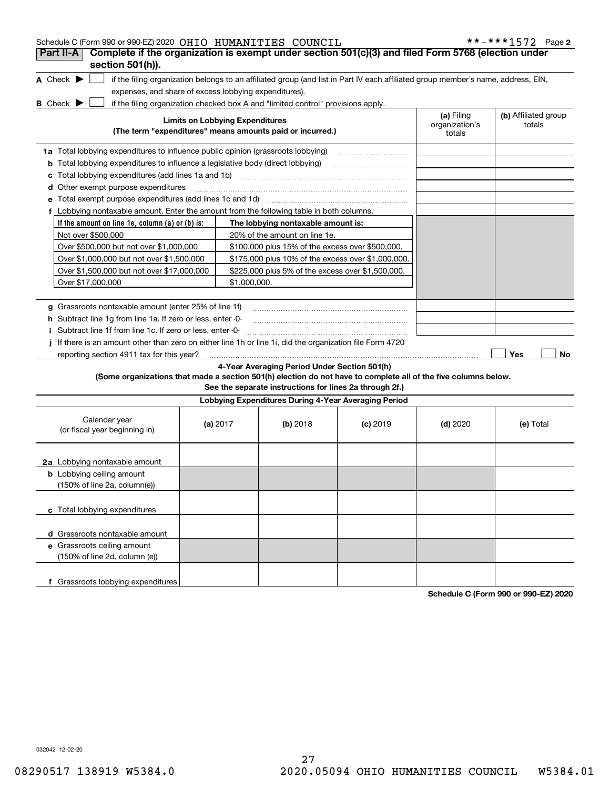| Schedule C (Form 990 or 990-EZ) 2020 OHIO HUMANITIES COUNCIL<br>Complete if the organization is exempt under section 501(c)(3) and filed Form 5768 (election under<br>Part II-A |                                        |              |                                                                                  |                                                                                                                                   |                                        | **-***1572 Page 2              |
|---------------------------------------------------------------------------------------------------------------------------------------------------------------------------------|----------------------------------------|--------------|----------------------------------------------------------------------------------|-----------------------------------------------------------------------------------------------------------------------------------|----------------------------------------|--------------------------------|
| section 501(h)).                                                                                                                                                                |                                        |              |                                                                                  |                                                                                                                                   |                                        |                                |
| A Check $\blacktriangleright$                                                                                                                                                   |                                        |              |                                                                                  | if the filing organization belongs to an affiliated group (and list in Part IV each affiliated group member's name, address, EIN, |                                        |                                |
| expenses, and share of excess lobbying expenditures).                                                                                                                           |                                        |              |                                                                                  |                                                                                                                                   |                                        |                                |
| <b>B</b> Check $\blacktriangleright$                                                                                                                                            |                                        |              | if the filing organization checked box A and "limited control" provisions apply. |                                                                                                                                   |                                        |                                |
|                                                                                                                                                                                 | <b>Limits on Lobbying Expenditures</b> |              | (The term "expenditures" means amounts paid or incurred.)                        |                                                                                                                                   | (a) Filing<br>organization's<br>totals | (b) Affiliated group<br>totals |
|                                                                                                                                                                                 |                                        |              |                                                                                  |                                                                                                                                   |                                        |                                |
| 1a Total lobbying expenditures to influence public opinion (grassroots lobbying)                                                                                                |                                        |              |                                                                                  |                                                                                                                                   |                                        |                                |
| <b>b</b> Total lobbying expenditures to influence a legislative body (direct lobbying)                                                                                          |                                        |              |                                                                                  |                                                                                                                                   |                                        |                                |
|                                                                                                                                                                                 |                                        |              |                                                                                  |                                                                                                                                   |                                        |                                |
| d Other exempt purpose expenditures                                                                                                                                             |                                        |              |                                                                                  |                                                                                                                                   |                                        |                                |
|                                                                                                                                                                                 |                                        |              |                                                                                  |                                                                                                                                   |                                        |                                |
| f Lobbying nontaxable amount. Enter the amount from the following table in both columns.                                                                                        |                                        |              |                                                                                  |                                                                                                                                   |                                        |                                |
| If the amount on line 1e, column $(a)$ or $(b)$ is:                                                                                                                             |                                        |              | The lobbying nontaxable amount is:                                               |                                                                                                                                   |                                        |                                |
| Not over \$500,000                                                                                                                                                              |                                        |              | 20% of the amount on line 1e.                                                    |                                                                                                                                   |                                        |                                |
| Over \$500,000 but not over \$1,000,000                                                                                                                                         |                                        |              | \$100,000 plus 15% of the excess over \$500,000.                                 |                                                                                                                                   |                                        |                                |
| Over \$1,000,000 but not over \$1,500,000                                                                                                                                       |                                        |              | \$175,000 plus 10% of the excess over \$1,000,000.                               |                                                                                                                                   |                                        |                                |
| Over \$1,500,000 but not over \$17,000,000                                                                                                                                      |                                        |              | \$225,000 plus 5% of the excess over \$1,500,000.                                |                                                                                                                                   |                                        |                                |
| Over \$17,000,000                                                                                                                                                               |                                        | \$1,000,000. |                                                                                  |                                                                                                                                   |                                        |                                |
|                                                                                                                                                                                 |                                        |              |                                                                                  |                                                                                                                                   |                                        |                                |
| g Grassroots nontaxable amount (enter 25% of line 1f)                                                                                                                           |                                        |              |                                                                                  |                                                                                                                                   |                                        |                                |
| h Subtract line 1g from line 1a. If zero or less, enter -0-                                                                                                                     |                                        |              |                                                                                  |                                                                                                                                   |                                        |                                |
| Subtract line 1f from line 1c. If zero or less, enter 0-                                                                                                                        |                                        |              |                                                                                  |                                                                                                                                   |                                        |                                |
| If there is an amount other than zero on either line 1h or line 1i, did the organization file Form 4720<br>reporting section 4911 tax for this year?                            |                                        |              |                                                                                  |                                                                                                                                   |                                        | Yes<br>No                      |
|                                                                                                                                                                                 |                                        |              | 4-Year Averaging Period Under Section 501(h)                                     |                                                                                                                                   |                                        |                                |
| (Some organizations that made a section 501(h) election do not have to complete all of the five columns below.                                                                  |                                        |              |                                                                                  |                                                                                                                                   |                                        |                                |
|                                                                                                                                                                                 |                                        |              | See the separate instructions for lines 2a through 2f.)                          |                                                                                                                                   |                                        |                                |
|                                                                                                                                                                                 |                                        |              | Lobbying Expenditures During 4-Year Averaging Period                             |                                                                                                                                   |                                        |                                |
| Calendar year<br>(or fiscal year beginning in)                                                                                                                                  | (a) $2017$                             |              | $(b)$ 2018                                                                       | $(c)$ 2019                                                                                                                        | $(d)$ 2020                             | (e) Total                      |
|                                                                                                                                                                                 |                                        |              |                                                                                  |                                                                                                                                   |                                        |                                |
| 2a Lobbying nontaxable amount                                                                                                                                                   |                                        |              |                                                                                  |                                                                                                                                   |                                        |                                |
| <b>b</b> Lobbying ceiling amount<br>(150% of line 2a, column(e))                                                                                                                |                                        |              |                                                                                  |                                                                                                                                   |                                        |                                |
|                                                                                                                                                                                 |                                        |              |                                                                                  |                                                                                                                                   |                                        |                                |
| c Total lobbying expenditures                                                                                                                                                   |                                        |              |                                                                                  |                                                                                                                                   |                                        |                                |
| d Grassroots nontaxable amount                                                                                                                                                  |                                        |              |                                                                                  |                                                                                                                                   |                                        |                                |
| e Grassroots ceiling amount                                                                                                                                                     |                                        |              |                                                                                  |                                                                                                                                   |                                        |                                |
| (150% of line 2d, column (e))                                                                                                                                                   |                                        |              |                                                                                  |                                                                                                                                   |                                        |                                |
| f Grassroots lobbying expenditures                                                                                                                                              |                                        |              |                                                                                  |                                                                                                                                   |                                        |                                |

**Schedule C (Form 990 or 990-EZ) 2020**

032042 12-02-20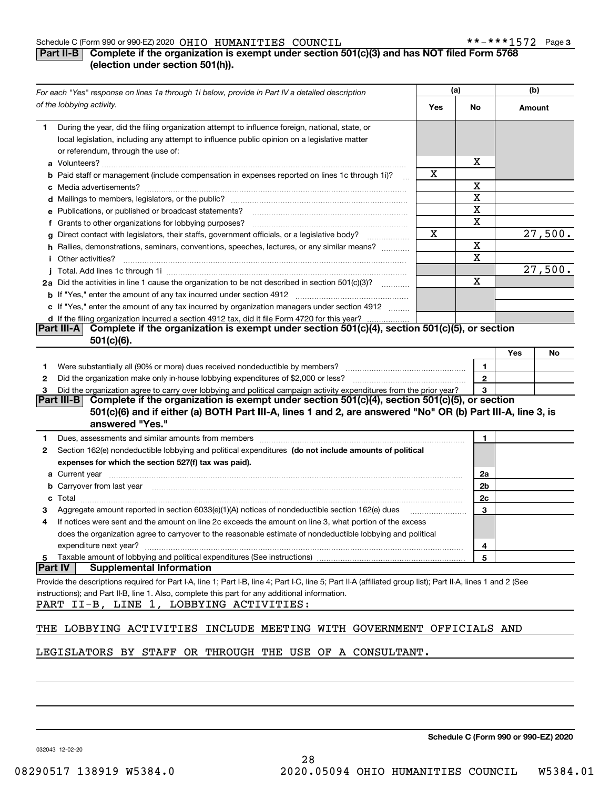## **Part II-B** Complete if the organization is exempt under section 501(c)(3) and has NOT filed Form 5768 **(election under section 501(h)).**

| For each "Yes" response on lines 1a through 1i below, provide in Part IV a detailed description                                                                                                                                            | (a) |                | (b)    |                        |
|--------------------------------------------------------------------------------------------------------------------------------------------------------------------------------------------------------------------------------------------|-----|----------------|--------|------------------------|
| of the lobbying activity.                                                                                                                                                                                                                  | Yes | No             | Amount |                        |
| During the year, did the filing organization attempt to influence foreign, national, state, or<br>1.<br>local legislation, including any attempt to influence public opinion on a legislative matter<br>or referendum, through the use of: |     |                |        |                        |
|                                                                                                                                                                                                                                            |     | х              |        |                        |
| b Paid staff or management (include compensation in expenses reported on lines 1c through 1i)?                                                                                                                                             | х   |                |        |                        |
|                                                                                                                                                                                                                                            |     | х              |        |                        |
|                                                                                                                                                                                                                                            |     | х              |        |                        |
| e Publications, or published or broadcast statements?                                                                                                                                                                                      |     | X              |        |                        |
| f Grants to other organizations for lobbying purposes?                                                                                                                                                                                     |     | X              |        |                        |
| g Direct contact with legislators, their staffs, government officials, or a legislative body?<br>.                                                                                                                                         | X   |                |        | $\overline{27}$ , 500. |
| h Rallies, demonstrations, seminars, conventions, speeches, lectures, or any similar means?                                                                                                                                                |     | $\mathbf X$    |        |                        |
| <i>i</i> Other activities?                                                                                                                                                                                                                 |     | X              |        |                        |
|                                                                                                                                                                                                                                            |     |                |        | 27,500.                |
|                                                                                                                                                                                                                                            |     | $\mathbf X$    |        |                        |
| 2a Did the activities in line 1 cause the organization to be not described in section 501(c)(3)?                                                                                                                                           |     |                |        |                        |
|                                                                                                                                                                                                                                            |     |                |        |                        |
| c If "Yes," enter the amount of any tax incurred by organization managers under section 4912                                                                                                                                               |     |                |        |                        |
| d If the filing organization incurred a section 4912 tax, did it file Form 4720 for this year?<br>Complete if the organization is exempt under section 501(c)(4), section 501(c)(5), or section<br><b>Part III-A</b>                       |     |                |        |                        |
| $501(c)(6)$ .                                                                                                                                                                                                                              |     |                |        |                        |
|                                                                                                                                                                                                                                            |     |                |        |                        |
|                                                                                                                                                                                                                                            |     |                | Yes    | No                     |
| Were substantially all (90% or more) dues received nondeductible by members?<br>1                                                                                                                                                          |     | 1              |        |                        |
| 2                                                                                                                                                                                                                                          |     | $\overline{2}$ |        |                        |
| Did the organization agree to carry over lobbying and political campaign activity expenditures from the prior year?<br>з                                                                                                                   |     | 3              |        |                        |
| Part III-B Complete if the organization is exempt under section 501(c)(4), section 501(c)(5), or section                                                                                                                                   |     |                |        |                        |
| 501(c)(6) and if either (a) BOTH Part III-A, lines 1 and 2, are answered "No" OR (b) Part III-A, line 3, is<br>answered "Yes."                                                                                                             |     |                |        |                        |
| Dues, assessments and similar amounts from members [11] matter contracts and similar amounts from members [11] matter and similar amounts from members [11] matter and similar amounts from members [11] matter and similar am<br>1        |     | 1              |        |                        |
| Section 162(e) nondeductible lobbying and political expenditures (do not include amounts of political<br>2                                                                                                                                 |     |                |        |                        |
| expenses for which the section 527(f) tax was paid).                                                                                                                                                                                       |     |                |        |                        |
|                                                                                                                                                                                                                                            |     | 2a             |        |                        |
| <b>b</b> Carryover from last year <i>maching machine content content in the content of the content of the content of the content of the content of the content of the content of the content of the content of the content of the con</i>  |     | 2 <sub>b</sub> |        |                        |
|                                                                                                                                                                                                                                            |     | 2c             |        |                        |
| Aggregate amount reported in section 6033(e)(1)(A) notices of nondeductible section 162(e) dues<br>З                                                                                                                                       |     | 3              |        |                        |
| If notices were sent and the amount on line 2c exceeds the amount on line 3, what portion of the excess<br>4                                                                                                                               |     |                |        |                        |
| does the organization agree to carryover to the reasonable estimate of nondeductible lobbying and political                                                                                                                                |     |                |        |                        |
| expenditure next year?                                                                                                                                                                                                                     |     | 4              |        |                        |
| Taxable amount of lobbying and political expenditures (See instructions)<br>5                                                                                                                                                              |     | 5              |        |                        |
| <b>Part IV</b><br><b>Supplemental Information</b>                                                                                                                                                                                          |     |                |        |                        |
|                                                                                                                                                                                                                                            |     |                |        |                        |
| Provide the descriptions required for Part I-A, line 1; Part I-B, line 4; Part I-C, line 5; Part II-A (affiliated group list); Part II-A, lines 1 and 2 (See                                                                               |     |                |        |                        |
| instructions); and Part II-B, line 1. Also, complete this part for any additional information.                                                                                                                                             |     |                |        |                        |
| PART II-B, LINE 1, LOBBYING ACTIVITIES:                                                                                                                                                                                                    |     |                |        |                        |
| LOBBYING ACTIVITIES<br>INCLUDE MEETING WITH GOVERNMENT OFFICIALS AND<br>THE                                                                                                                                                                |     |                |        |                        |
| LEGISLATORS BY STAFF OR THROUGH THE USE OF A CONSULTANT.                                                                                                                                                                                   |     |                |        |                        |

**Schedule C (Form 990 or 990-EZ) 2020**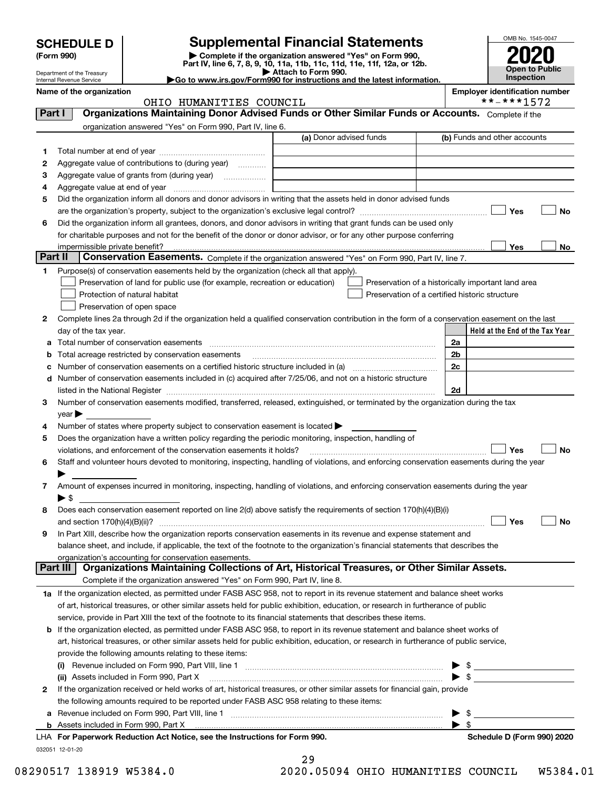| <b>SCHEDULE D</b><br>(Form 990)<br>Department of the Treasury<br><b>Internal Revenue Service</b> |                                                                                                   | <b>Supplemental Financial Statements</b><br>Complete if the organization answered "Yes" on Form 990,<br>Part IV, line 6, 7, 8, 9, 10, 11a, 11b, 11c, 11d, 11e, 11f, 12a, or 12b.<br>Attach to Form 990.<br>$\blacktriangleright$ Go to www.irs.gov/Form990 for instructions and the latest information. | OMB No. 1545<br>Open to F<br>Inspectio |                                |
|--------------------------------------------------------------------------------------------------|---------------------------------------------------------------------------------------------------|---------------------------------------------------------------------------------------------------------------------------------------------------------------------------------------------------------------------------------------------------------------------------------------------------------|----------------------------------------|--------------------------------|
| Name of the organization                                                                         |                                                                                                   |                                                                                                                                                                                                                                                                                                         |                                        | <b>Employer identification</b> |
|                                                                                                  | HUMANITIES COUNCIL<br>OHIO                                                                        |                                                                                                                                                                                                                                                                                                         |                                        | **_***157                      |
| Part                                                                                             | Organizations Maintaining Donor Advised Funds or Other Similar Funds or Accounts. Complete if the |                                                                                                                                                                                                                                                                                                         |                                        |                                |
|                                                                                                  | organization answered "Yes" on Form 990, Part IV, line 6.                                         |                                                                                                                                                                                                                                                                                                         |                                        |                                |
|                                                                                                  |                                                                                                   | (a) Donor advised funds                                                                                                                                                                                                                                                                                 |                                        | (b) Funds and other account    |
| Total number at end of year                                                                      |                                                                                                   |                                                                                                                                                                                                                                                                                                         |                                        |                                |
| 2                                                                                                | Aggregate value of contributions to (during year)<br>.                                            |                                                                                                                                                                                                                                                                                                         |                                        |                                |
| з                                                                                                | Aggregate value of grants from (during year)                                                      |                                                                                                                                                                                                                                                                                                         |                                        |                                |
| Aggregate value at end of year<br>4                                                              |                                                                                                   |                                                                                                                                                                                                                                                                                                         |                                        |                                |



**Name of the organization Employer identification number** \*\*-\*\*\*1572

|         | organization answered "Yes" on Form 990, Part IV, line 6.                                                                                                                                                                                          |                         |                                                        |
|---------|----------------------------------------------------------------------------------------------------------------------------------------------------------------------------------------------------------------------------------------------------|-------------------------|--------------------------------------------------------|
|         |                                                                                                                                                                                                                                                    | (a) Donor advised funds | (b) Funds and other accounts                           |
| 1       |                                                                                                                                                                                                                                                    |                         |                                                        |
| 2       | Aggregate value of contributions to (during year)                                                                                                                                                                                                  |                         |                                                        |
| 3       | Aggregate value of grants from (during year)                                                                                                                                                                                                       |                         |                                                        |
| 4       |                                                                                                                                                                                                                                                    |                         |                                                        |
| 5       | Did the organization inform all donors and donor advisors in writing that the assets held in donor advised funds                                                                                                                                   |                         |                                                        |
|         |                                                                                                                                                                                                                                                    |                         | Yes<br>No                                              |
| 6       | Did the organization inform all grantees, donors, and donor advisors in writing that grant funds can be used only                                                                                                                                  |                         |                                                        |
|         | for charitable purposes and not for the benefit of the donor or donor advisor, or for any other purpose conferring                                                                                                                                 |                         |                                                        |
|         | impermissible private benefit?                                                                                                                                                                                                                     |                         | Yes<br>No                                              |
| Part II | Conservation Easements. Complete if the organization answered "Yes" on Form 990, Part IV, line 7.                                                                                                                                                  |                         |                                                        |
| 1       | Purpose(s) of conservation easements held by the organization (check all that apply).                                                                                                                                                              |                         |                                                        |
|         | Preservation of land for public use (for example, recreation or education)                                                                                                                                                                         |                         | Preservation of a historically important land area     |
|         | Protection of natural habitat                                                                                                                                                                                                                      |                         | Preservation of a certified historic structure         |
|         | Preservation of open space                                                                                                                                                                                                                         |                         |                                                        |
| 2       | Complete lines 2a through 2d if the organization held a qualified conservation contribution in the form of a conservation easement on the last                                                                                                     |                         |                                                        |
|         | day of the tax year.                                                                                                                                                                                                                               |                         | Held at the End of the Tax Year                        |
| а       | Total number of conservation easements                                                                                                                                                                                                             |                         | 2a                                                     |
|         | Total acreage restricted by conservation easements                                                                                                                                                                                                 |                         | 2 <sub>b</sub>                                         |
|         | Number of conservation easements on a certified historic structure included in (a) <i>manumumumumum</i>                                                                                                                                            |                         | 2c                                                     |
| d       | Number of conservation easements included in (c) acquired after 7/25/06, and not on a historic structure                                                                                                                                           |                         | 2d                                                     |
| з       | listed in the National Register [11, 1200] [12] The National Register [11, 1200] [12] The National Register [1<br>Number of conservation easements modified, transferred, released, extinguished, or terminated by the organization during the tax |                         |                                                        |
|         | $year \triangleright$                                                                                                                                                                                                                              |                         |                                                        |
| 4       | Number of states where property subject to conservation easement is located >                                                                                                                                                                      |                         |                                                        |
| 5       | Does the organization have a written policy regarding the periodic monitoring, inspection, handling of                                                                                                                                             |                         |                                                        |
|         | violations, and enforcement of the conservation easements it holds?                                                                                                                                                                                |                         | Yes<br>No                                              |
| 6       | Staff and volunteer hours devoted to monitoring, inspecting, handling of violations, and enforcing conservation easements during the year                                                                                                          |                         |                                                        |
|         |                                                                                                                                                                                                                                                    |                         |                                                        |
| 7       | Amount of expenses incurred in monitoring, inspecting, handling of violations, and enforcing conservation easements during the year                                                                                                                |                         |                                                        |
|         | $\blacktriangleright$ s                                                                                                                                                                                                                            |                         |                                                        |
| 8       | Does each conservation easement reported on line 2(d) above satisfy the requirements of section 170(h)(4)(B)(i)                                                                                                                                    |                         |                                                        |
|         |                                                                                                                                                                                                                                                    |                         | Yes<br>No                                              |
| 9       | In Part XIII, describe how the organization reports conservation easements in its revenue and expense statement and                                                                                                                                |                         |                                                        |
|         | balance sheet, and include, if applicable, the text of the footnote to the organization's financial statements that describes the                                                                                                                  |                         |                                                        |
|         | organization's accounting for conservation easements.                                                                                                                                                                                              |                         |                                                        |
|         | Part III   Organizations Maintaining Collections of Art, Historical Treasures, or Other Similar Assets.                                                                                                                                            |                         |                                                        |
|         | Complete if the organization answered "Yes" on Form 990, Part IV, line 8.                                                                                                                                                                          |                         |                                                        |
|         | 1a If the organization elected, as permitted under FASB ASC 958, not to report in its revenue statement and balance sheet works                                                                                                                    |                         |                                                        |
|         | of art, historical treasures, or other similar assets held for public exhibition, education, or research in furtherance of public                                                                                                                  |                         |                                                        |
|         | service, provide in Part XIII the text of the footnote to its financial statements that describes these items.                                                                                                                                     |                         |                                                        |
| b       | If the organization elected, as permitted under FASB ASC 958, to report in its revenue statement and balance sheet works of                                                                                                                        |                         |                                                        |
|         | art, historical treasures, or other similar assets held for public exhibition, education, or research in furtherance of public service,                                                                                                            |                         |                                                        |
|         | provide the following amounts relating to these items:                                                                                                                                                                                             |                         |                                                        |
|         | Revenue included on Form 990, Part VIII, line 1 [2000] [2000] [2000] [2000] [2000] [2000] [2000] [2000] [2000                                                                                                                                      |                         |                                                        |
|         | (ii) Assets included in Form 990, Part X                                                                                                                                                                                                           |                         | $\blacktriangleright$ s                                |
| 2       | If the organization received or held works of art, historical treasures, or other similar assets for financial gain, provide                                                                                                                       |                         |                                                        |
|         | the following amounts required to be reported under FASB ASC 958 relating to these items:                                                                                                                                                          |                         |                                                        |
| а       | Revenue included on Form 990, Part VIII, line 1 manufactured contracts and contracts and contracts and contracts                                                                                                                                   |                         | \$                                                     |
|         | LHA For Paperwork Reduction Act Notice, see the Instructions for Form 990.                                                                                                                                                                         |                         | $\blacktriangleright$ \$<br>Schedule D (Form 990) 2020 |
|         | 032051 12-01-20                                                                                                                                                                                                                                    |                         |                                                        |
|         |                                                                                                                                                                                                                                                    |                         |                                                        |

| 29 |                     |  |
|----|---------------------|--|
|    | A AEAQ <i>A</i> AUT |  |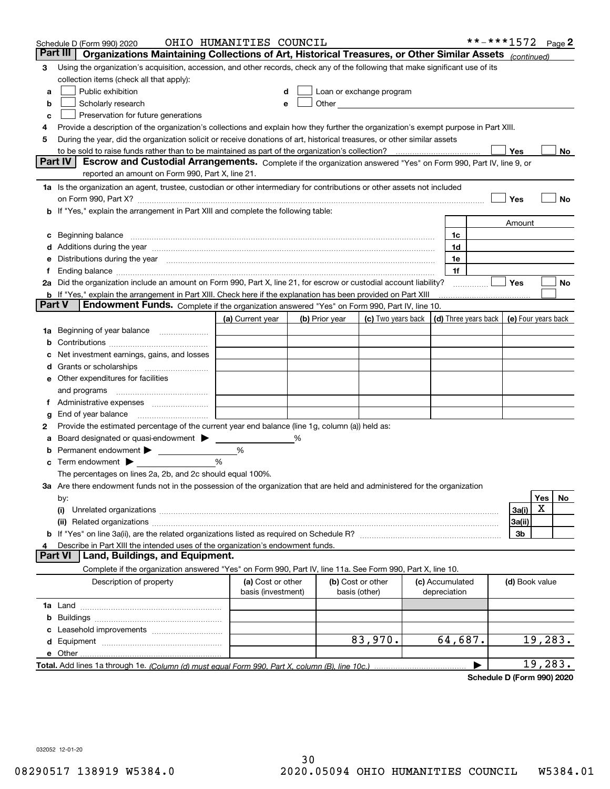|        | Schedule D (Form 990) 2020                                                                                                                                                                                                     | OHIO HUMANITIES COUNCIL |   |                   |                                                                                                                                                                                                                               |                 | **-***1572           |                     |         | Page 2 |
|--------|--------------------------------------------------------------------------------------------------------------------------------------------------------------------------------------------------------------------------------|-------------------------|---|-------------------|-------------------------------------------------------------------------------------------------------------------------------------------------------------------------------------------------------------------------------|-----------------|----------------------|---------------------|---------|--------|
|        | Organizations Maintaining Collections of Art, Historical Treasures, or Other Similar Assets (continued)<br>Part III                                                                                                            |                         |   |                   |                                                                                                                                                                                                                               |                 |                      |                     |         |        |
| 3      | Using the organization's acquisition, accession, and other records, check any of the following that make significant use of its                                                                                                |                         |   |                   |                                                                                                                                                                                                                               |                 |                      |                     |         |        |
|        | collection items (check all that apply):                                                                                                                                                                                       |                         |   |                   |                                                                                                                                                                                                                               |                 |                      |                     |         |        |
| a      | Public exhibition                                                                                                                                                                                                              |                         |   |                   | Loan or exchange program                                                                                                                                                                                                      |                 |                      |                     |         |        |
| b      | Scholarly research                                                                                                                                                                                                             |                         | е |                   | Other and the contract of the contract of the contract of the contract of the contract of the contract of the contract of the contract of the contract of the contract of the contract of the contract of the contract of the |                 |                      |                     |         |        |
| c      | Preservation for future generations                                                                                                                                                                                            |                         |   |                   |                                                                                                                                                                                                                               |                 |                      |                     |         |        |
| 4      | Provide a description of the organization's collections and explain how they further the organization's exempt purpose in Part XIII.                                                                                           |                         |   |                   |                                                                                                                                                                                                                               |                 |                      |                     |         |        |
| 5      | During the year, did the organization solicit or receive donations of art, historical treasures, or other similar assets                                                                                                       |                         |   |                   |                                                                                                                                                                                                                               |                 |                      |                     |         |        |
|        | to be sold to raise funds rather than to be maintained as part of the organization's collection?                                                                                                                               |                         |   |                   |                                                                                                                                                                                                                               |                 |                      | Yes                 |         | No     |
|        | <b>Part IV</b><br>Escrow and Custodial Arrangements. Complete if the organization answered "Yes" on Form 990, Part IV, line 9, or                                                                                              |                         |   |                   |                                                                                                                                                                                                                               |                 |                      |                     |         |        |
|        | reported an amount on Form 990, Part X, line 21.                                                                                                                                                                               |                         |   |                   |                                                                                                                                                                                                                               |                 |                      |                     |         |        |
|        | 1a Is the organization an agent, trustee, custodian or other intermediary for contributions or other assets not included                                                                                                       |                         |   |                   |                                                                                                                                                                                                                               |                 |                      |                     |         |        |
|        | on Form 990, Part X? [11] matter and the contract of the contract of the contract of the contract of the contract of the contract of the contract of the contract of the contract of the contract of the contract of the contr |                         |   |                   |                                                                                                                                                                                                                               |                 |                      | Yes                 |         | No     |
|        | b If "Yes," explain the arrangement in Part XIII and complete the following table:                                                                                                                                             |                         |   |                   |                                                                                                                                                                                                                               |                 |                      |                     |         |        |
|        |                                                                                                                                                                                                                                |                         |   |                   |                                                                                                                                                                                                                               |                 |                      | Amount              |         |        |
|        | Beginning balance                                                                                                                                                                                                              |                         |   |                   |                                                                                                                                                                                                                               | 1c              |                      |                     |         |        |
|        | Additions during the year manufactured and an anti-manufactured and the year manufactured and all the year manufactured and all the year manufactured and all the year manufactured and all the year manufactured and all the  |                         |   |                   |                                                                                                                                                                                                                               | 1d              |                      |                     |         |        |
|        | Distributions during the year manufactured and continuum control of the year manufactured and control of the year manufactured and control of the year manufactured and control of the year manufactured and control of the ye |                         |   |                   |                                                                                                                                                                                                                               | 1e              |                      |                     |         |        |
|        |                                                                                                                                                                                                                                |                         |   |                   |                                                                                                                                                                                                                               | 1f              |                      |                     |         |        |
|        | 2a Did the organization include an amount on Form 990, Part X, line 21, for escrow or custodial account liability?                                                                                                             |                         |   |                   |                                                                                                                                                                                                                               |                 |                      | Yes                 |         | No     |
|        | <b>b</b> If "Yes," explain the arrangement in Part XIII. Check here if the explanation has been provided on Part XIII                                                                                                          |                         |   |                   |                                                                                                                                                                                                                               |                 |                      |                     |         |        |
| Part V | Endowment Funds. Complete if the organization answered "Yes" on Form 990, Part IV, line 10.                                                                                                                                    |                         |   |                   |                                                                                                                                                                                                                               |                 |                      |                     |         |        |
|        |                                                                                                                                                                                                                                | (a) Current year        |   | (b) Prior year    | (c) Two years back                                                                                                                                                                                                            |                 | (d) Three years back | (e) Four years back |         |        |
| 1a     | Beginning of year balance                                                                                                                                                                                                      |                         |   |                   |                                                                                                                                                                                                                               |                 |                      |                     |         |        |
|        |                                                                                                                                                                                                                                |                         |   |                   |                                                                                                                                                                                                                               |                 |                      |                     |         |        |
|        | Net investment earnings, gains, and losses                                                                                                                                                                                     |                         |   |                   |                                                                                                                                                                                                                               |                 |                      |                     |         |        |
|        |                                                                                                                                                                                                                                |                         |   |                   |                                                                                                                                                                                                                               |                 |                      |                     |         |        |
| е      | Other expenditures for facilities                                                                                                                                                                                              |                         |   |                   |                                                                                                                                                                                                                               |                 |                      |                     |         |        |
|        | and programs                                                                                                                                                                                                                   |                         |   |                   |                                                                                                                                                                                                                               |                 |                      |                     |         |        |
|        |                                                                                                                                                                                                                                |                         |   |                   |                                                                                                                                                                                                                               |                 |                      |                     |         |        |
| g      | End of year balance                                                                                                                                                                                                            |                         |   |                   |                                                                                                                                                                                                                               |                 |                      |                     |         |        |
| 2      | Provide the estimated percentage of the current year end balance (line 1g, column (a)) held as:                                                                                                                                |                         |   |                   |                                                                                                                                                                                                                               |                 |                      |                     |         |        |
|        | Board designated or quasi-endowment                                                                                                                                                                                            |                         | % |                   |                                                                                                                                                                                                                               |                 |                      |                     |         |        |
|        | Permanent endowment >                                                                                                                                                                                                          | %                       |   |                   |                                                                                                                                                                                                                               |                 |                      |                     |         |        |
| с      | Term endowment $\blacktriangleright$                                                                                                                                                                                           | %                       |   |                   |                                                                                                                                                                                                                               |                 |                      |                     |         |        |
|        | The percentages on lines 2a, 2b, and 2c should equal 100%.                                                                                                                                                                     |                         |   |                   |                                                                                                                                                                                                                               |                 |                      |                     |         |        |
|        | 3a Are there endowment funds not in the possession of the organization that are held and administered for the organization                                                                                                     |                         |   |                   |                                                                                                                                                                                                                               |                 |                      |                     | Yes     | No     |
|        | by:<br>(i)                                                                                                                                                                                                                     |                         |   |                   |                                                                                                                                                                                                                               |                 |                      | 3a(i)               | Х       |        |
|        |                                                                                                                                                                                                                                |                         |   |                   |                                                                                                                                                                                                                               |                 |                      | 3a(ii)              |         |        |
|        |                                                                                                                                                                                                                                |                         |   |                   |                                                                                                                                                                                                                               |                 |                      | 3b                  |         |        |
|        | Describe in Part XIII the intended uses of the organization's endowment funds.                                                                                                                                                 |                         |   |                   |                                                                                                                                                                                                                               |                 |                      |                     |         |        |
|        | Land, Buildings, and Equipment.<br>Part VI                                                                                                                                                                                     |                         |   |                   |                                                                                                                                                                                                                               |                 |                      |                     |         |        |
|        | Complete if the organization answered "Yes" on Form 990, Part IV, line 11a. See Form 990, Part X, line 10.                                                                                                                     |                         |   |                   |                                                                                                                                                                                                                               |                 |                      |                     |         |        |
|        | Description of property                                                                                                                                                                                                        | (a) Cost or other       |   | (b) Cost or other |                                                                                                                                                                                                                               | (c) Accumulated |                      | (d) Book value      |         |        |
|        |                                                                                                                                                                                                                                | basis (investment)      |   | basis (other)     |                                                                                                                                                                                                                               | depreciation    |                      |                     |         |        |
|        |                                                                                                                                                                                                                                |                         |   |                   |                                                                                                                                                                                                                               |                 |                      |                     |         |        |
| b      |                                                                                                                                                                                                                                |                         |   |                   |                                                                                                                                                                                                                               |                 |                      |                     |         |        |
|        |                                                                                                                                                                                                                                |                         |   |                   |                                                                                                                                                                                                                               |                 |                      |                     |         |        |
| d      |                                                                                                                                                                                                                                |                         |   |                   | 83,970.                                                                                                                                                                                                                       | 64,687.         |                      |                     | 19,283. |        |
|        | e Other                                                                                                                                                                                                                        |                         |   |                   |                                                                                                                                                                                                                               |                 |                      |                     |         |        |
|        |                                                                                                                                                                                                                                |                         |   |                   |                                                                                                                                                                                                                               |                 |                      |                     | 19,283. |        |
|        |                                                                                                                                                                                                                                |                         |   |                   |                                                                                                                                                                                                                               |                 |                      |                     |         |        |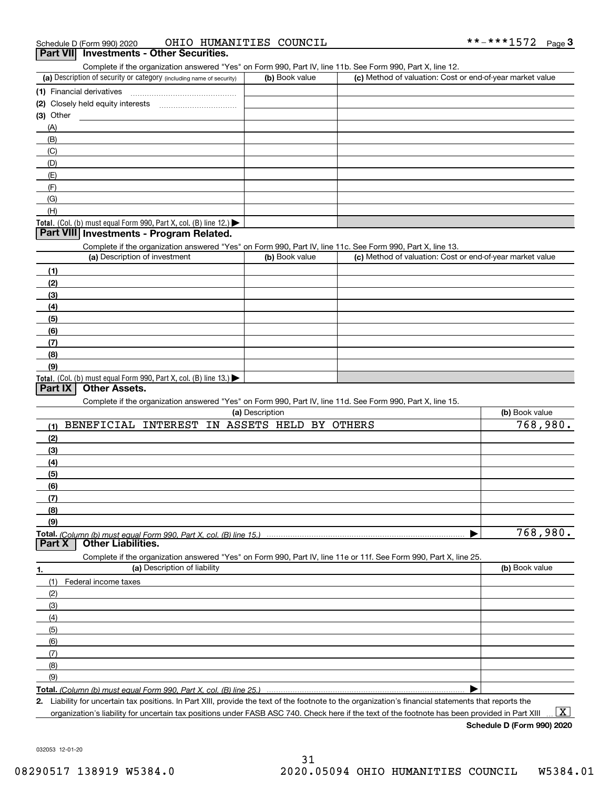| OHIO HUMANITIES COUNCIL<br>Schedule D (Form 990) 2020 |
|-------------------------------------------------------|
|-------------------------------------------------------|

| Schedule D (Form 990) 2020                                                                                        | OHIO HUMANITIES COUNCIL  |                                                           | **-***1572<br>$Page$ 3 |
|-------------------------------------------------------------------------------------------------------------------|--------------------------|-----------------------------------------------------------|------------------------|
| Part VII Investments - Other Securities.                                                                          |                          |                                                           |                        |
| Complete if the organization answered "Yes" on Form 990, Part IV, line 11b. See Form 990, Part X, line 12.        |                          |                                                           |                        |
| (a) Description of security or category (including name of security)                                              | (b) Book value           | (c) Method of valuation: Cost or end-of-year market value |                        |
| (1) Financial derivatives                                                                                         |                          |                                                           |                        |
|                                                                                                                   |                          |                                                           |                        |
| (3) Other                                                                                                         |                          |                                                           |                        |
| (A)                                                                                                               |                          |                                                           |                        |
| (B)                                                                                                               |                          |                                                           |                        |
| (C)                                                                                                               |                          |                                                           |                        |
| (D)                                                                                                               |                          |                                                           |                        |
| (E)                                                                                                               |                          |                                                           |                        |
| (F)                                                                                                               |                          |                                                           |                        |
| (G)                                                                                                               |                          |                                                           |                        |
| (H)                                                                                                               |                          |                                                           |                        |
| Total. (Col. (b) must equal Form 990, Part X, col. (B) line 12.)                                                  |                          |                                                           |                        |
| Part VIII Investments - Program Related.                                                                          |                          |                                                           |                        |
| Complete if the organization answered "Yes" on Form 990, Part IV, line 11c. See Form 990, Part X, line 13.        |                          |                                                           |                        |
| (a) Description of investment                                                                                     | (b) Book value           | (c) Method of valuation: Cost or end-of-year market value |                        |
| (1)                                                                                                               |                          |                                                           |                        |
| (2)                                                                                                               |                          |                                                           |                        |
| (3)                                                                                                               |                          |                                                           |                        |
| (4)                                                                                                               |                          |                                                           |                        |
| (5)                                                                                                               |                          |                                                           |                        |
|                                                                                                                   |                          |                                                           |                        |
| (6)                                                                                                               |                          |                                                           |                        |
| (7)                                                                                                               |                          |                                                           |                        |
| (8)                                                                                                               |                          |                                                           |                        |
| (9)                                                                                                               |                          |                                                           |                        |
| Total. (Col. (b) must equal Form 990, Part X, col. (B) line 13.)<br>Part IX<br><b>Other Assets.</b>               |                          |                                                           |                        |
|                                                                                                                   |                          |                                                           |                        |
| Complete if the organization answered "Yes" on Form 990, Part IV, line 11d. See Form 990, Part X, line 15.        | (a) Description          |                                                           | (b) Book value         |
| BENEFICIAL INTEREST                                                                                               | IN ASSETS HELD BY OTHERS |                                                           | 768,980.               |
| (1)                                                                                                               |                          |                                                           |                        |
| (2)                                                                                                               |                          |                                                           |                        |
| (3)                                                                                                               |                          |                                                           |                        |
| (4)                                                                                                               |                          |                                                           |                        |
| (5)                                                                                                               |                          |                                                           |                        |
| (6)                                                                                                               |                          |                                                           |                        |
| (7)                                                                                                               |                          |                                                           |                        |
| (8)                                                                                                               |                          |                                                           |                        |
| (9)                                                                                                               |                          |                                                           |                        |
| Total. (Column (b) must equal Form 990. Part X, col. (B) line 15.)                                                |                          |                                                           | 768,980.               |
| <b>Other Liabilities.</b><br>Part X                                                                               |                          |                                                           |                        |
| Complete if the organization answered "Yes" on Form 990, Part IV, line 11e or 11f. See Form 990, Part X, line 25. |                          |                                                           |                        |
| (a) Description of liability<br>1.                                                                                |                          |                                                           | (b) Book value         |
| (1)<br>Federal income taxes                                                                                       |                          |                                                           |                        |
| (2)                                                                                                               |                          |                                                           |                        |
| (3)                                                                                                               |                          |                                                           |                        |
| (4)                                                                                                               |                          |                                                           |                        |
| (5)                                                                                                               |                          |                                                           |                        |
| (6)                                                                                                               |                          |                                                           |                        |
| (7)                                                                                                               |                          |                                                           |                        |
| (8)                                                                                                               |                          |                                                           |                        |
| (9)                                                                                                               |                          |                                                           |                        |
| Total. (Column (b) must equal Form 990. Part X, col. (B) line 25.)                                                |                          |                                                           |                        |
|                                                                                                                   |                          |                                                           |                        |

**2.** Liability for uncertain tax positions. In Part XIII, provide the text of the footnote to the organization's financial statements that reports the organization's liability for uncertain tax positions under FASB ASC 740. Check here if the text of the footnote has been provided in Part XIII

**Schedule D (Form 990) 2020**

 $\boxed{\text{X}}$ 

032053 12-01-20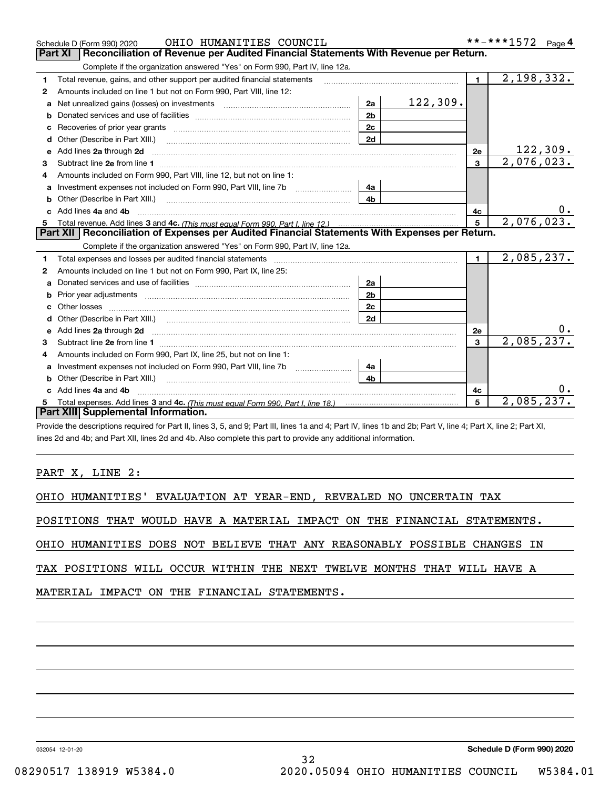|   | OHIO HUMANITIES COUNCIL<br>Schedule D (Form 990) 2020                                                                                                                                                                          |                |          |                | **-***1572 Page 4       |
|---|--------------------------------------------------------------------------------------------------------------------------------------------------------------------------------------------------------------------------------|----------------|----------|----------------|-------------------------|
|   | Reconciliation of Revenue per Audited Financial Statements With Revenue per Return.<br><b>Part XI</b>                                                                                                                          |                |          |                |                         |
|   | Complete if the organization answered "Yes" on Form 990, Part IV, line 12a.                                                                                                                                                    |                |          |                |                         |
| 1 | Total revenue, gains, and other support per audited financial statements                                                                                                                                                       |                |          | $\blacksquare$ | $\overline{2,198,332.}$ |
| 2 | Amounts included on line 1 but not on Form 990, Part VIII, line 12:                                                                                                                                                            |                |          |                |                         |
| a | Net unrealized gains (losses) on investments [11] matter contracts and the unrealized gains (losses) on investments                                                                                                            | 2a             | 122,309. |                |                         |
| b |                                                                                                                                                                                                                                | 2 <sub>b</sub> |          |                |                         |
| c |                                                                                                                                                                                                                                | 2c             |          |                |                         |
| d | Other (Describe in Part XIII.)                                                                                                                                                                                                 | 2d             |          |                |                         |
| е | Add lines 2a through 2d <b>must be a constructed as the constant of the constant of the constant of the construction</b>                                                                                                       |                |          | <b>2e</b>      | 122,309.                |
| 3 |                                                                                                                                                                                                                                |                |          | $\mathbf{3}$   | 2,076,023.              |
|   | Amounts included on Form 990, Part VIII, line 12, but not on line 1:                                                                                                                                                           |                |          |                |                         |
| a |                                                                                                                                                                                                                                | 4a             |          |                |                         |
| b | Other (Describe in Part XIII.) (2000) (2000) (2000) (2010) (2010) (2010) (2010) (2010) (2010) (2010) (2010) (20                                                                                                                | 4b             |          |                |                         |
|   | Add lines 4a and 4b                                                                                                                                                                                                            |                |          | 4c             |                         |
| 5 |                                                                                                                                                                                                                                |                |          | 5              | 2,076,023.              |
|   | Part XII   Reconciliation of Expenses per Audited Financial Statements With Expenses per Return.                                                                                                                               |                |          |                |                         |
|   | Complete if the organization answered "Yes" on Form 990, Part IV, line 12a.                                                                                                                                                    |                |          |                |                         |
| 1 | Total expenses and losses per audited financial statements [11] [12] contain an intervention and contain a statements [13] [13] and the statements [13] [13] and the statements [13] and the statements and the statements and |                |          | $\mathbf{1}$   | 2,085,237.              |
| 2 | Amounts included on line 1 but not on Form 990, Part IX, line 25:                                                                                                                                                              |                |          |                |                         |
| a |                                                                                                                                                                                                                                | 2a             |          |                |                         |
| b |                                                                                                                                                                                                                                | 2b             |          |                |                         |
|   |                                                                                                                                                                                                                                | 2 <sub>c</sub> |          |                |                         |
|   |                                                                                                                                                                                                                                | 2d             |          |                |                         |
|   |                                                                                                                                                                                                                                |                |          | 2e             |                         |
| 3 |                                                                                                                                                                                                                                |                |          | 3              | 2,085,237.              |
| 4 | Amounts included on Form 990, Part IX, line 25, but not on line 1:                                                                                                                                                             |                |          |                |                         |
| a | Investment expenses not included on Form 990, Part VIII, line 7b [11, 111, 111, 111]                                                                                                                                           | 4a             |          |                |                         |
| b |                                                                                                                                                                                                                                | 4b             |          |                |                         |
|   | Add lines 4a and 4b                                                                                                                                                                                                            |                |          | 4c             |                         |
|   |                                                                                                                                                                                                                                |                |          | 5              | 2,085,237.              |
|   | Part XIII Supplemental Information.                                                                                                                                                                                            |                |          |                |                         |

Provide the descriptions required for Part II, lines 3, 5, and 9; Part III, lines 1a and 4; Part IV, lines 1b and 2b; Part V, line 4; Part X, line 2; Part XI, lines 2d and 4b; and Part XII, lines 2d and 4b. Also complete this part to provide any additional information.

### PART X, LINE 2:

|  | OHIO HUMANITIES' EVALUATION AT YEAR-END, REVEALED NO UNCERTAIN TAX |  |  |  |  |  |  |  |
|--|--------------------------------------------------------------------|--|--|--|--|--|--|--|
|--|--------------------------------------------------------------------|--|--|--|--|--|--|--|

POSITIONS THAT WOULD HAVE A MATERIAL IMPACT ON THE FINANCIAL STATEMENTS.

OHIO HUMANITIES DOES NOT BELIEVE THAT ANY REASONABLY POSSIBLE CHANGES IN

TAX POSITIONS WILL OCCUR WITHIN THE NEXT TWELVE MONTHS THAT WILL HAVE A

MATERIAL IMPACT ON THE FINANCIAL STATEMENTS.

032054 12-01-20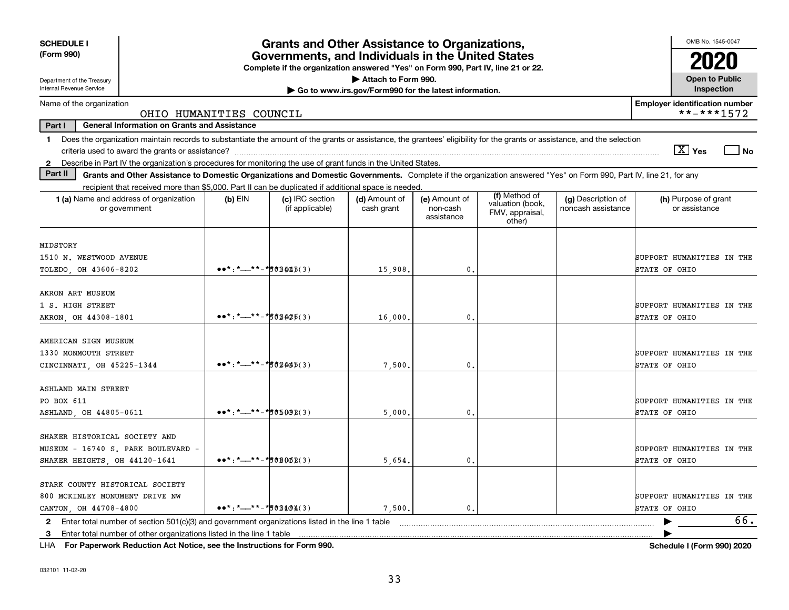| <b>SCHEDULE I</b><br>(Form 990)                                                                                                                                                                                                                                                                                                     | <b>Grants and Other Assistance to Organizations,</b><br>Governments, and Individuals in the United States<br>Complete if the organization answered "Yes" on Form 990, Part IV, line 21 or 22.<br>Attach to Form 990. |                                    |                                                       |                                         |                                                                |                                          |                                                     |  |  |  |  |
|-------------------------------------------------------------------------------------------------------------------------------------------------------------------------------------------------------------------------------------------------------------------------------------------------------------------------------------|----------------------------------------------------------------------------------------------------------------------------------------------------------------------------------------------------------------------|------------------------------------|-------------------------------------------------------|-----------------------------------------|----------------------------------------------------------------|------------------------------------------|-----------------------------------------------------|--|--|--|--|
| Department of the Treasury<br>Internal Revenue Service                                                                                                                                                                                                                                                                              |                                                                                                                                                                                                                      |                                    | Go to www.irs.gov/Form990 for the latest information. |                                         |                                                                |                                          | <b>Open to Public</b><br>Inspection                 |  |  |  |  |
| Name of the organization<br>OHIO HUMANITIES COUNCIL                                                                                                                                                                                                                                                                                 |                                                                                                                                                                                                                      |                                    |                                                       |                                         |                                                                |                                          | <b>Employer identification number</b><br>**-***1572 |  |  |  |  |
| Part I                                                                                                                                                                                                                                                                                                                              | <b>General Information on Grants and Assistance</b>                                                                                                                                                                  |                                    |                                                       |                                         |                                                                |                                          |                                                     |  |  |  |  |
| Does the organization maintain records to substantiate the amount of the grants or assistance, the grantees' eligibility for the grants or assistance, and the selection<br>1.<br>$\boxed{\text{X}}$ Yes<br>  No<br>2 Describe in Part IV the organization's procedures for monitoring the use of grant funds in the United States. |                                                                                                                                                                                                                      |                                    |                                                       |                                         |                                                                |                                          |                                                     |  |  |  |  |
| Part II<br>Grants and Other Assistance to Domestic Organizations and Domestic Governments. Complete if the organization answered "Yes" on Form 990, Part IV, line 21, for any                                                                                                                                                       |                                                                                                                                                                                                                      |                                    |                                                       |                                         |                                                                |                                          |                                                     |  |  |  |  |
| recipient that received more than \$5,000. Part II can be duplicated if additional space is needed.<br>1 (a) Name and address of organization<br>or government                                                                                                                                                                      | $(b)$ EIN                                                                                                                                                                                                            | (c) IRC section<br>(if applicable) | (d) Amount of<br>cash grant                           | (e) Amount of<br>non-cash<br>assistance | (f) Method of<br>valuation (book,<br>FMV, appraisal,<br>other) | (g) Description of<br>noncash assistance | (h) Purpose of grant<br>or assistance               |  |  |  |  |
| MIDSTORY<br>1510 N. WESTWOOD AVENUE<br>TOLEDO OH 43606-8202                                                                                                                                                                                                                                                                         | $\bullet \bullet \star : \star \_+ \star \star - \star \uparrow \star \star \downarrow \star \downarrow \star \downarrow$                                                                                            |                                    | 15,908                                                | 0.                                      |                                                                |                                          | SUPPORT HUMANITIES IN THE<br>STATE OF OHIO          |  |  |  |  |
| AKRON ART MUSEUM<br>1 S. HIGH STREET<br>AKRON, OH 44308-1801                                                                                                                                                                                                                                                                        | $\bullet\bullet^*$ : $\ast$ - $\ast\ast$ - $\ast$ 508426(3)                                                                                                                                                          |                                    | 16,000                                                | 0.                                      |                                                                |                                          | SUPPORT HUMANITIES IN THE<br>STATE OF OHIO          |  |  |  |  |
| AMERICAN SIGN MUSEUM<br>1330 MONMOUTH STREET<br>CINCINNATI, OH 45225-1344                                                                                                                                                                                                                                                           | $\bullet\bullet^*$ : *__**-* 502445(3)                                                                                                                                                                               |                                    | 7,500                                                 | $\mathbf{0}$ .                          |                                                                |                                          | SUPPORT HUMANITIES IN THE<br>STATE OF OHIO          |  |  |  |  |
| ASHLAND MAIN STREET<br>PO BOX 611<br>ASHLAND, OH 44805-0611                                                                                                                                                                                                                                                                         | $\bullet\bullet\star$ : $\star$ $\text{---}$ $\star\star$ - $\star$ 505002(3)                                                                                                                                        |                                    | 5,000                                                 | 0.                                      |                                                                |                                          | SUPPORT HUMANITIES IN THE<br>STATE OF OHIO          |  |  |  |  |
| SHAKER HISTORICAL SOCIETY AND<br>MUSEUM - 16740 S. PARK BOULEVARD -<br>SHAKER HEIGHTS, OH 44120-1641                                                                                                                                                                                                                                | $\bullet\bullet^*$ : $*$ — $*$ $*$ – $*$ 5080082(3)                                                                                                                                                                  |                                    | 5,654                                                 | 0.                                      |                                                                |                                          | SUPPORT HUMANITIES IN THE<br>STATE OF OHIO          |  |  |  |  |
| STARK COUNTY HISTORICAL SOCIETY<br>800 MCKINLEY MONUMENT DRIVE NW<br>CANTON, OH 44708-4800                                                                                                                                                                                                                                          | $\bullet \bullet^* :^* \rightarrow \bullet^* \rightarrow \bullet^* \bullet \bullet \bullet \bullet \bullet (3)$                                                                                                      |                                    | 7,500                                                 | 0.                                      |                                                                |                                          | SUPPORT HUMANITIES IN THE<br>STATE OF OHIO<br>66.   |  |  |  |  |
| Enter total number of section 501(c)(3) and government organizations listed in the line 1 table<br>$\mathbf{2}$<br>Enter total number of other organizations listed in the line 1 table<br>-3                                                                                                                                       |                                                                                                                                                                                                                      |                                    |                                                       |                                         |                                                                |                                          |                                                     |  |  |  |  |

**For Paperwork Reduction Act Notice, see the Instructions for Form 990. Schedule I (Form 990) 2020** LHA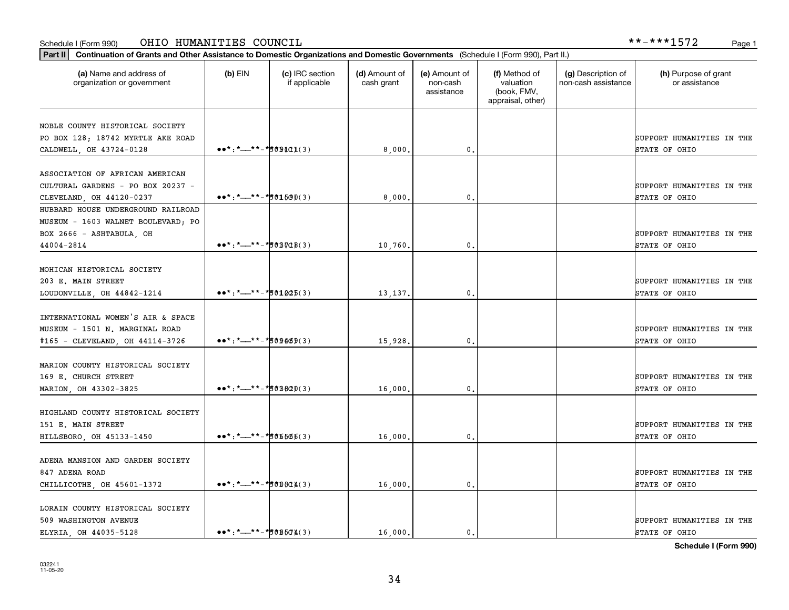### Schedule I (Form 990) OHIO HUMANITIES COUNCIL \*\*-\*\*\*1572 Page 1

| (a) Name and address of<br>organization or government                                                              | $(b)$ EIN                                                                                                                                                                                                                                                                                                                                                                                                                                                                                                                                                          | (c) IRC section<br>if applicable | (d) Amount of<br>cash grant | (e) Amount of<br>non-cash<br>assistance | (f) Method of<br>valuation<br>(book, FMV,<br>appraisal, other) | (g) Description of<br>non-cash assistance | (h) Purpose of grant<br>or assistance      |
|--------------------------------------------------------------------------------------------------------------------|--------------------------------------------------------------------------------------------------------------------------------------------------------------------------------------------------------------------------------------------------------------------------------------------------------------------------------------------------------------------------------------------------------------------------------------------------------------------------------------------------------------------------------------------------------------------|----------------------------------|-----------------------------|-----------------------------------------|----------------------------------------------------------------|-------------------------------------------|--------------------------------------------|
| NOBLE COUNTY HISTORICAL SOCIETY<br>PO BOX 128; 18742 MYRTLE AKE ROAD<br>CALDWELL, OH 43724-0128                    | $\bullet \bullet \star : \star \_ \star \_ \star \_ \star \_ \sharp \circ \mathfrak{g} \mathfrak{g} \mathfrak{g} \mathfrak{g} \mathfrak{g}$                                                                                                                                                                                                                                                                                                                                                                                                                        |                                  | 8,000,                      | $\mathbf{0}$ .                          |                                                                |                                           | SUPPORT HUMANITIES IN THE<br>STATE OF OHIO |
| ASSOCIATION OF AFRICAN AMERICAN<br>CULTURAL GARDENS - PO BOX 20237 -<br>CLEVELAND, OH 44120-0237                   | $\bullet\bullet^*$ : *__**-*s *d1500(3)                                                                                                                                                                                                                                                                                                                                                                                                                                                                                                                            |                                  | 8,000                       | 0.                                      |                                                                |                                           | SUPPORT HUMANITIES IN THE<br>STATE OF OHIO |
| HUBBARD HOUSE UNDERGROUND RAILROAD<br>MUSEUM - 1603 WALNET BOULEVARD; PO<br>BOX 2666 - ASHTABULA, OH<br>44004-2814 | $\bullet \bullet \star : \star \_ \star \star \_ \star \_ \sharp \circ \text{BQQ}(3)$                                                                                                                                                                                                                                                                                                                                                                                                                                                                              |                                  | 10,760.                     | $\mathbf{0}$ .                          |                                                                |                                           | SUPPORT HUMANITIES IN THE<br>STATE OF OHIO |
| MOHICAN HISTORICAL SOCIETY<br>203 E. MAIN STREET<br>LOUDONVILLE, OH 44842-1214                                     | $\bullet \bullet \star : \star \text{---} \star \star \text{---} \star \star \text{---} \star \text{---} \star \text{---} \star \text{---} \star \text{---} \star \text{---} \star \text{---} \star \text{---} \star \text{---} \star \text{---} \star \text{---} \star \text{---} \star \text{---} \star \text{---} \star \text{---} \star \text{---} \star \text{---} \star \text{---} \star \text{---} \star \text{---} \star \text{---} \star \text{---} \star \text{---} \star \text{---} \star \text{---} \star \text{---} \star \text{---} \star \text{---$ |                                  | 13, 137.                    | 0.                                      |                                                                |                                           | SUPPORT HUMANITIES IN THE<br>STATE OF OHIO |
| INTERNATIONAL WOMEN'S AIR & SPACE<br>MUSEUM - 1501 N. MARGINAL ROAD<br>#165 - CLEVELAND, OH 44114-3726             | $\bullet \bullet^* :^* \rightarrow \bullet^* \rightarrow \bullet \bullet \bullet \bullet \bullet$ (3)                                                                                                                                                                                                                                                                                                                                                                                                                                                              |                                  | 15,928.                     | 0.                                      |                                                                |                                           | SUPPORT HUMANITIES IN THE<br>STATE OF OHIO |
| MARION COUNTY HISTORICAL SOCIETY<br>169 E. CHURCH STREET<br>MARION, OH 43302-3825                                  | $\bullet\bullet^*$ : *__**-*s 03820(3)                                                                                                                                                                                                                                                                                                                                                                                                                                                                                                                             |                                  | 16,000.                     | 0.                                      |                                                                |                                           | SUPPORT HUMANITIES IN THE<br>STATE OF OHIO |
| HIGHLAND COUNTY HISTORICAL SOCIETY<br>151 E. MAIN STREET<br>HILLSBORO, OH 45133-1450                               | $\bullet \bullet^* :^* \rightarrow \bullet^* \bullet^* \bullet \bullet \bullet \bullet (3)$                                                                                                                                                                                                                                                                                                                                                                                                                                                                        |                                  | 16,000.                     | 0.                                      |                                                                |                                           | SUPPORT HUMANITIES IN THE<br>STATE OF OHIO |
| ADENA MANSION AND GARDEN SOCIETY<br>847 ADENA ROAD<br>CHILLICOTHE, OH 45601-1372                                   | $\bullet \bullet \star : \star \_ \star \times \star \_ \star \times \star \circ \star \circ \star \star$                                                                                                                                                                                                                                                                                                                                                                                                                                                          |                                  | 16,000.                     | $\mathbf{0}$ .                          |                                                                |                                           | SUPPORT HUMANITIES IN THE<br>STATE OF OHIO |
| LORAIN COUNTY HISTORICAL SOCIETY<br>509 WASHINGTON AVENUE<br>ELYRIA, OH 44035-5128                                 | $\bullet\bullet^*$ : *__**-*508504(3)                                                                                                                                                                                                                                                                                                                                                                                                                                                                                                                              |                                  | 16,000.                     | 0.                                      |                                                                |                                           | SUPPORT HUMANITIES IN THE<br>STATE OF OHIO |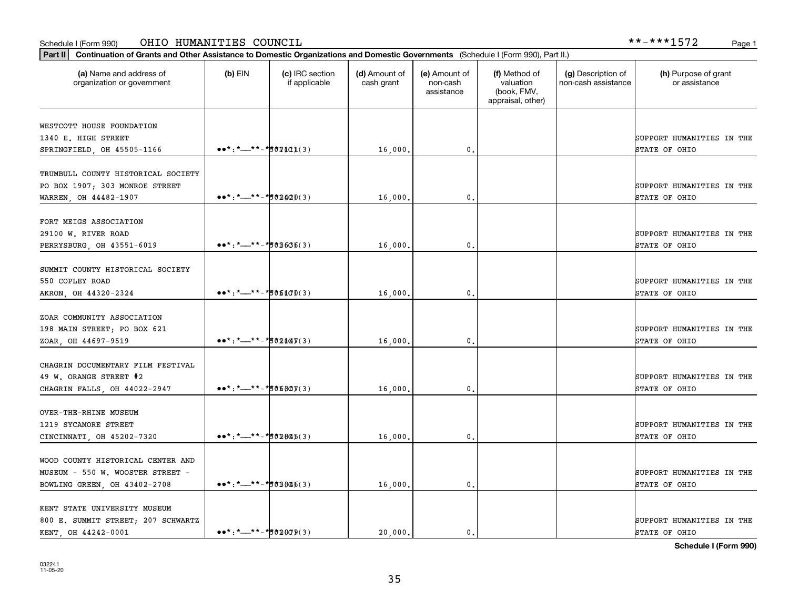### Schedule I (Form 990) Page 1 OHIO HUMANITIES COUNCIL \*\*-\*\*\*1572

| Part II   Continuation of Grants and Other Assistance to Domestic Organizations and Domestic Governments (Schedule I (Form 990), Part II.) |                                                                                                                                                                                                                                                                                                                                                                                                                                                                                                                                                                 |                                  |                             |                                         |                                                                |                                           |                                            |
|--------------------------------------------------------------------------------------------------------------------------------------------|-----------------------------------------------------------------------------------------------------------------------------------------------------------------------------------------------------------------------------------------------------------------------------------------------------------------------------------------------------------------------------------------------------------------------------------------------------------------------------------------------------------------------------------------------------------------|----------------------------------|-----------------------------|-----------------------------------------|----------------------------------------------------------------|-------------------------------------------|--------------------------------------------|
| (a) Name and address of<br>organization or government                                                                                      | $(b)$ EIN                                                                                                                                                                                                                                                                                                                                                                                                                                                                                                                                                       | (c) IRC section<br>if applicable | (d) Amount of<br>cash grant | (e) Amount of<br>non-cash<br>assistance | (f) Method of<br>valuation<br>(book, FMV,<br>appraisal, other) | (g) Description of<br>non-cash assistance | (h) Purpose of grant<br>or assistance      |
| WESTCOTT HOUSE FOUNDATION                                                                                                                  |                                                                                                                                                                                                                                                                                                                                                                                                                                                                                                                                                                 |                                  |                             |                                         |                                                                |                                           |                                            |
| 1340 E. HIGH STREET<br>SPRINGFIELD, OH 45505-1166                                                                                          | $\bullet \bullet \star : \star \_ \star \_ \star \_ \star \_ \sharp \circ \text{full}(3)$                                                                                                                                                                                                                                                                                                                                                                                                                                                                       |                                  | 16,000.                     | $\mathbf{0}$                            |                                                                |                                           | SUPPORT HUMANITIES IN THE<br>STATE OF OHIO |
| TRUMBULL COUNTY HISTORICAL SOCIETY<br>PO BOX 1907; 303 MONROE STREET                                                                       |                                                                                                                                                                                                                                                                                                                                                                                                                                                                                                                                                                 |                                  |                             |                                         |                                                                |                                           | SUPPORT HUMANITIES IN THE                  |
| WARREN, OH 44482-1907                                                                                                                      | $\bullet\bullet^*$ : *__**-*s 02420(3)                                                                                                                                                                                                                                                                                                                                                                                                                                                                                                                          |                                  | 16,000                      | 0                                       |                                                                |                                           | STATE OF OHIO                              |
| FORT MEIGS ASSOCIATION<br>29100 W. RIVER ROAD<br>PERRYSBURG, OH 43551-6019                                                                 | $\bullet \bullet \star : \star \text{---} \star \star \text{---} \star \text{---} \star \text{---} \star \text{---} \star \text{---} \star \text{---} \star \text{---} \star \text{---} \star \text{---} \star \text{---} \star \text{---} \star \text{---} \star \text{---} \star \text{---} \star \text{---} \star \text{---} \star \text{---} \star \text{---} \star \text{---} \star \text{---} \star \text{---} \star \text{---} \star \text{---} \star \text{---} \star \text{---} \star \text{---} \star \text{---} \star \text{---} \star \text{---} \$ |                                  | 16,000                      | $\mathbf{0}$ .                          |                                                                |                                           | SUPPORT HUMANITIES IN THE<br>STATE OF OHIO |
| SUMMIT COUNTY HISTORICAL SOCIETY<br>550 COPLEY ROAD<br>AKRON, OH 44320-2324                                                                | $\bullet \bullet^* : \star \_ \ast \ast \_ \ast \sharp \bullet \bot \Box \emptyset (3)$                                                                                                                                                                                                                                                                                                                                                                                                                                                                         |                                  | 16,000                      | $\mathbf{0}$                            |                                                                |                                           | SUPPORT HUMANITIES IN THE<br>STATE OF OHIO |
| ZOAR COMMUNITY ASSOCIATION<br>198 MAIN STREET; PO BOX 621<br>ZOAR, OH 44697-9519                                                           | $\bullet \bullet^* :^* \rightarrow \bullet^* \bullet^* \bullet \bullet \bullet \bullet \bullet \bullet$                                                                                                                                                                                                                                                                                                                                                                                                                                                         |                                  | 16,000                      | 0                                       |                                                                |                                           | SUPPORT HUMANITIES IN THE<br>STATE OF OHIO |
| CHAGRIN DOCUMENTARY FILM FESTIVAL<br>49 W. ORANGE STREET #2<br>CHAGRIN FALLS, OH 44022-2947                                                | $\bullet\bullet^*$ : *__**-*s66807(3)                                                                                                                                                                                                                                                                                                                                                                                                                                                                                                                           |                                  | 16,000                      | 0                                       |                                                                |                                           | SUPPORT HUMANITIES IN THE<br>STATE OF OHIO |
| <b>OVER-THE-RHINE MUSEUM</b><br>1219 SYCAMORE STREET<br>CINCINNATI, OH 45202-7320                                                          | $\bullet \bullet^* : \star \_+ \star \_+ \star \underline{\bullet} \bullet \underline{\bullet} \underline{\bullet} \underline{\bullet} \underline{\bullet}$                                                                                                                                                                                                                                                                                                                                                                                                     |                                  | 16,000                      | $\mathbf{0}$                            |                                                                |                                           | SUPPORT HUMANITIES IN THE<br>STATE OF OHIO |
| WOOD COUNTY HISTORICAL CENTER AND<br>MUSEUM - 550 W. WOOSTER STREET -<br>BOWLING GREEN, OH 43402-2708                                      | $\bullet \bullet^* :^* \rightarrow \bullet^* \bullet^* \bullet \bullet \bullet \bullet (3)$                                                                                                                                                                                                                                                                                                                                                                                                                                                                     |                                  | 16,000.                     | $\mathfrak{o}$ .                        |                                                                |                                           | SUPPORT HUMANITIES IN THE<br>STATE OF OHIO |
| KENT STATE UNIVERSITY MUSEUM<br>800 E. SUMMIT STREET; 207 SCHWARTZ<br>KENT OH 44242-0001                                                   | $\bullet\bullet^*$ : *__**-*502009(3)                                                                                                                                                                                                                                                                                                                                                                                                                                                                                                                           |                                  | 20,000.                     | 0                                       |                                                                |                                           | SUPPORT HUMANITIES IN THE<br>STATE OF OHIO |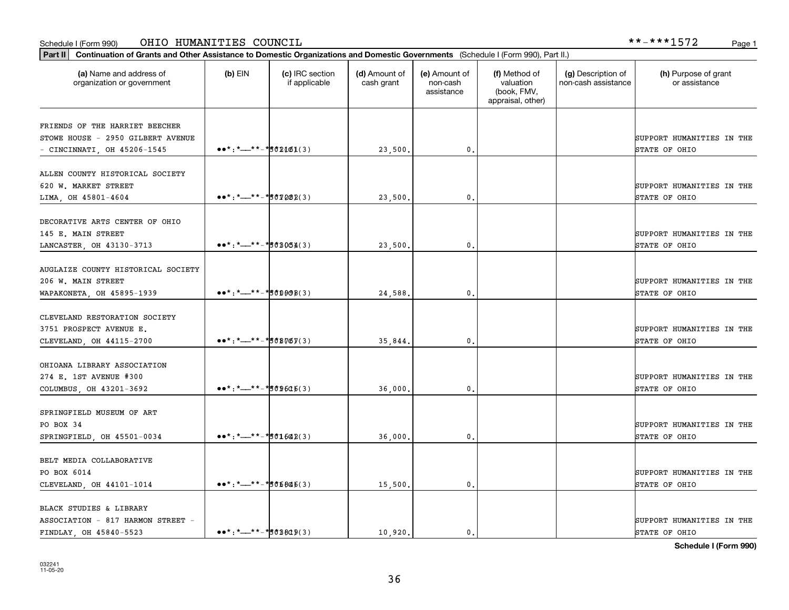### Schedule I (Form 990) OHIO HUMANITIES COUNCIL \*\*-\*\*\*1572 Page 1

| Part II   Continuation of Grants and Other Assistance to Domestic Organizations and Domestic Governments (Schedule I (Form 990), Part II.) |                                                                                                                                                         |                                  |                             |                                         |                                                                |                                           |                                       |
|--------------------------------------------------------------------------------------------------------------------------------------------|---------------------------------------------------------------------------------------------------------------------------------------------------------|----------------------------------|-----------------------------|-----------------------------------------|----------------------------------------------------------------|-------------------------------------------|---------------------------------------|
| (a) Name and address of<br>organization or government                                                                                      | $(b)$ EIN                                                                                                                                               | (c) IRC section<br>if applicable | (d) Amount of<br>cash grant | (e) Amount of<br>non-cash<br>assistance | (f) Method of<br>valuation<br>(book, FMV,<br>appraisal, other) | (g) Description of<br>non-cash assistance | (h) Purpose of grant<br>or assistance |
| FRIENDS OF THE HARRIET BEECHER                                                                                                             |                                                                                                                                                         |                                  |                             |                                         |                                                                |                                           |                                       |
| STOWE HOUSE - 2950 GILBERT AVENUE                                                                                                          |                                                                                                                                                         |                                  |                             |                                         |                                                                |                                           | SUPPORT HUMANITIES IN THE             |
| - CINCINNATI, OH 45206-1545                                                                                                                | $\bullet \bullet \star : \star \rightarrow \star \to \star \bullet \circ 2461(3)$                                                                       |                                  | 23,500.                     | 0.                                      |                                                                |                                           | STATE OF OHIO                         |
| ALLEN COUNTY HISTORICAL SOCIETY                                                                                                            |                                                                                                                                                         |                                  |                             |                                         |                                                                |                                           |                                       |
| 620 W. MARKET STREET                                                                                                                       |                                                                                                                                                         |                                  |                             |                                         |                                                                |                                           | SUPPORT HUMANITIES IN THE             |
| LIMA, OH 45801-4604                                                                                                                        | $\bullet \bullet \star : \star \_ \star \_ \star \_ \star \_ \sharp \circ \text{true}$                                                                  |                                  | 23,500.                     | 0.                                      |                                                                |                                           | STATE OF OHIO                         |
| DECORATIVE ARTS CENTER OF OHIO                                                                                                             |                                                                                                                                                         |                                  |                             |                                         |                                                                |                                           |                                       |
| 145 E. MAIN STREET                                                                                                                         |                                                                                                                                                         |                                  |                             |                                         |                                                                |                                           | SUPPORT HUMANITIES IN THE             |
| LANCASTER, OH 43130-3713                                                                                                                   | $\bullet \bullet^* : \star \_** - \star \bullet \bullet \bullet \bullet \bullet \bullet$                                                                |                                  | 23,500.                     | 0.                                      |                                                                |                                           | STATE OF OHIO                         |
|                                                                                                                                            |                                                                                                                                                         |                                  |                             |                                         |                                                                |                                           |                                       |
| AUGLAIZE COUNTY HISTORICAL SOCIETY                                                                                                         |                                                                                                                                                         |                                  |                             |                                         |                                                                |                                           |                                       |
| 206 W. MAIN STREET                                                                                                                         |                                                                                                                                                         |                                  |                             |                                         |                                                                |                                           | SUPPORT HUMANITIES IN THE             |
| WAPAKONETA, OH 45895-1939                                                                                                                  | $\bullet\bullet^*$ : *__**-*sope8(3)                                                                                                                    |                                  | 24,588.                     | 0.                                      |                                                                |                                           | STATE OF OHIO                         |
|                                                                                                                                            |                                                                                                                                                         |                                  |                             |                                         |                                                                |                                           |                                       |
| CLEVELAND RESTORATION SOCIETY<br>3751 PROSPECT AVENUE E.                                                                                   |                                                                                                                                                         |                                  |                             |                                         |                                                                |                                           | SUPPORT HUMANITIES IN THE             |
| CLEVELAND, OH 44115-2700                                                                                                                   | $\bullet \bullet^* :^* \rightarrow \bullet^* \bullet^* \bullet \mathcal{B} \mathcal{B} \mathcal{B} \mathcal{B} \mathcal{C} \mathcal{B} \mathcal{C}$ (3) |                                  | 35,844.                     | 0.                                      |                                                                |                                           | STATE OF OHIO                         |
|                                                                                                                                            |                                                                                                                                                         |                                  |                             |                                         |                                                                |                                           |                                       |
| OHIOANA LIBRARY ASSOCIATION                                                                                                                |                                                                                                                                                         |                                  |                             |                                         |                                                                |                                           |                                       |
| 274 E. 1ST AVENUE #300                                                                                                                     |                                                                                                                                                         |                                  |                             |                                         |                                                                |                                           | SUPPORT HUMANITIES IN THE             |
| COLUMBUS, OH 43201-3692                                                                                                                    | $\bullet\bullet^*$ : *__**-*s 09605(3)                                                                                                                  |                                  | 36,000.                     | 0.                                      |                                                                |                                           | STATE OF OHIO                         |
|                                                                                                                                            |                                                                                                                                                         |                                  |                             |                                         |                                                                |                                           |                                       |
| SPRINGFIELD MUSEUM OF ART<br>PO BOX 34                                                                                                     |                                                                                                                                                         |                                  |                             |                                         |                                                                |                                           | SUPPORT HUMANITIES IN THE             |
| SPRINGFIELD, OH 45501-0034                                                                                                                 | $\bullet \bullet^* :^* \rightarrow \bullet^* \bullet^* \bullet 1642(3)$                                                                                 |                                  | 36,000.                     | 0.                                      |                                                                |                                           | STATE OF OHIO                         |
|                                                                                                                                            |                                                                                                                                                         |                                  |                             |                                         |                                                                |                                           |                                       |
| BELT MEDIA COLLABORATIVE                                                                                                                   |                                                                                                                                                         |                                  |                             |                                         |                                                                |                                           |                                       |
| PO BOX 6014                                                                                                                                |                                                                                                                                                         |                                  |                             |                                         |                                                                |                                           | SUPPORT HUMANITIES IN THE             |
| CLEVELAND, OH 44101-1014                                                                                                                   | $\bullet\bullet^*$ : *__**-*s05846(3)                                                                                                                   |                                  | 15,500.                     | 0.                                      |                                                                |                                           | STATE OF OHIO                         |
| BLACK STUDIES & LIBRARY                                                                                                                    |                                                                                                                                                         |                                  |                             |                                         |                                                                |                                           |                                       |
| ASSOCIATION - 817 HARMON STREET -                                                                                                          |                                                                                                                                                         |                                  |                             |                                         |                                                                |                                           | SUPPORT HUMANITIES IN THE             |
| FINDLAY OH 45840-5523                                                                                                                      | $\bullet\bullet^*$ : *__**-* \$0B809(3)                                                                                                                 |                                  | 10.920.                     | $\mathbf{0}$ .                          |                                                                |                                           | STATE OF OHIO                         |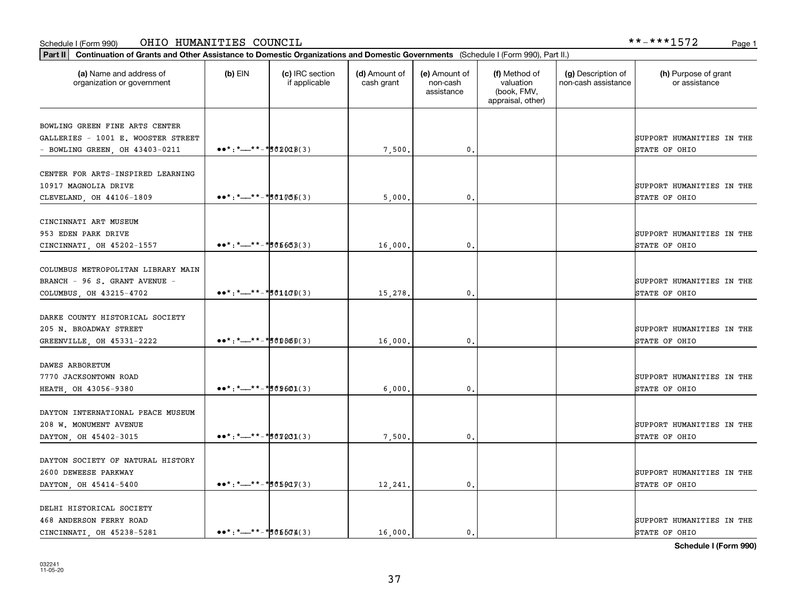### Schedule I (Form 990) Page 1 OHIO HUMANITIES COUNCIL \*\*-\*\*\*1572

| Part II   Continuation of Grants and Other Assistance to Domestic Organizations and Domestic Governments (Schedule I (Form 990), Part II.) |                                                                                                                                                                     |                                  |                             |                                         |                                                                |                                           |                                       |
|--------------------------------------------------------------------------------------------------------------------------------------------|---------------------------------------------------------------------------------------------------------------------------------------------------------------------|----------------------------------|-----------------------------|-----------------------------------------|----------------------------------------------------------------|-------------------------------------------|---------------------------------------|
| (a) Name and address of<br>organization or government                                                                                      | $(b)$ EIN                                                                                                                                                           | (c) IRC section<br>if applicable | (d) Amount of<br>cash grant | (e) Amount of<br>non-cash<br>assistance | (f) Method of<br>valuation<br>(book, FMV,<br>appraisal, other) | (g) Description of<br>non-cash assistance | (h) Purpose of grant<br>or assistance |
| BOWLING GREEN FINE ARTS CENTER                                                                                                             |                                                                                                                                                                     |                                  |                             |                                         |                                                                |                                           |                                       |
| GALLERIES - 1001 E. WOOSTER STREET                                                                                                         |                                                                                                                                                                     |                                  |                             |                                         |                                                                |                                           | SUPPORT HUMANITIES IN THE             |
| $-$ BOWLING GREEN, OH 43403-0211                                                                                                           | $\bullet \bullet \ast : \ast \rightleftharpoons \ast \ast \ast \ast \ast \ast \ast \ast \ast \ast \ast$                                                             |                                  | 7,500.                      | $\mathbf 0$ .                           |                                                                |                                           | STATE OF OHIO                         |
|                                                                                                                                            |                                                                                                                                                                     |                                  |                             |                                         |                                                                |                                           |                                       |
| CENTER FOR ARTS-INSPIRED LEARNING                                                                                                          |                                                                                                                                                                     |                                  |                             |                                         |                                                                |                                           |                                       |
| 10917 MAGNOLIA DRIVE                                                                                                                       |                                                                                                                                                                     |                                  |                             |                                         |                                                                |                                           | SUPPORT HUMANITIES IN THE             |
| CLEVELAND, OH 44106-1809                                                                                                                   | $\bullet \bullet^* : \underline{\ast} \underline{\phantom{0}} \underline{\ast} \underline{\ast} \underline{\phantom{0}} \underline{\phantom{0}}$                    |                                  | 5,000                       | 0                                       |                                                                |                                           | STATE OF OHIO                         |
|                                                                                                                                            |                                                                                                                                                                     |                                  |                             |                                         |                                                                |                                           |                                       |
| CINCINNATI ART MUSEUM                                                                                                                      |                                                                                                                                                                     |                                  |                             |                                         |                                                                |                                           |                                       |
| 953 EDEN PARK DRIVE                                                                                                                        |                                                                                                                                                                     |                                  |                             |                                         |                                                                |                                           | SUPPORT HUMANITIES IN THE             |
| CINCINNATI, OH 45202-1557                                                                                                                  | $\bullet \bullet \star : \star \_ \star \star \_ \star \star \_ \sharp \circ \sharp \circ \sharp \circ \sharp$                                                      |                                  | 16,000.                     | 0.                                      |                                                                |                                           | STATE OF OHIO                         |
| COLUMBUS METROPOLITAN LIBRARY MAIN                                                                                                         |                                                                                                                                                                     |                                  |                             |                                         |                                                                |                                           |                                       |
| BRANCH - 96 S. GRANT AVENUE -                                                                                                              |                                                                                                                                                                     |                                  |                             |                                         |                                                                |                                           | SUPPORT HUMANITIES IN THE             |
| COLUMBUS, OH 43215-4702                                                                                                                    | $\bullet \bullet^* :^* \rightarrow^{*} \rightarrow^* \circ 1100(3)$                                                                                                 |                                  | 15,278                      | 0                                       |                                                                |                                           | STATE OF OHIO                         |
|                                                                                                                                            |                                                                                                                                                                     |                                  |                             |                                         |                                                                |                                           |                                       |
| DARKE COUNTY HISTORICAL SOCIETY                                                                                                            |                                                                                                                                                                     |                                  |                             |                                         |                                                                |                                           |                                       |
| 205 N. BROADWAY STREET                                                                                                                     |                                                                                                                                                                     |                                  |                             |                                         |                                                                |                                           | SUPPORT HUMANITIES IN THE             |
| GREENVILLE, OH 45331-2222                                                                                                                  | $\bullet \bullet^* : \underline{\ast} \underline{\phantom{0}} \underline{\ast} \underline{\ast} \underline{\phantom{0}} \underline{\phantom{0}}$                    |                                  | 16,000                      | $\mathbf{0}$                            |                                                                |                                           | STATE OF OHIO                         |
|                                                                                                                                            |                                                                                                                                                                     |                                  |                             |                                         |                                                                |                                           |                                       |
| DAWES ARBORETUM                                                                                                                            |                                                                                                                                                                     |                                  |                             |                                         |                                                                |                                           |                                       |
| 7770 JACKSONTOWN ROAD                                                                                                                      |                                                                                                                                                                     |                                  |                             |                                         |                                                                |                                           | SUPPORT HUMANITIES IN THE             |
| HEATH, OH 43056-9380                                                                                                                       | $\bullet \bullet \star : \star \_ \star \star \_ \star \_ \sharp \circ \theta \circ \phi(1)$                                                                        |                                  | 6,000                       | $\mathbf{0}$                            |                                                                |                                           | STATE OF OHIO                         |
|                                                                                                                                            |                                                                                                                                                                     |                                  |                             |                                         |                                                                |                                           |                                       |
| DAYTON INTERNATIONAL PEACE MUSEUM                                                                                                          |                                                                                                                                                                     |                                  |                             |                                         |                                                                |                                           |                                       |
| 208 W. MONUMENT AVENUE                                                                                                                     |                                                                                                                                                                     |                                  |                             |                                         |                                                                |                                           | SUPPORT HUMANITIES IN THE             |
| DAYTON, OH 45402-3015                                                                                                                      | $\bullet \bullet \star : \star \_ \star \star \_ \star \_ \sharp \circ \text{tr} \, \text{L} \, \text{L} \, \text{L} \, \text{L} \, \text{L}$                       |                                  | 7,500                       | 0.                                      |                                                                |                                           | STATE OF OHIO                         |
|                                                                                                                                            |                                                                                                                                                                     |                                  |                             |                                         |                                                                |                                           |                                       |
| DAYTON SOCIETY OF NATURAL HISTORY<br>2600 DEWEESE PARKWAY                                                                                  |                                                                                                                                                                     |                                  |                             |                                         |                                                                |                                           | SUPPORT HUMANITIES IN THE             |
| DAYTON, OH 45414-5400                                                                                                                      | $\bullet \bullet^* :^* \rightarrow \bullet^* \bullet^* \bullet \bullet \bullet \bullet \bullet \bullet \bullet$                                                     |                                  | 12,241                      | $\mathbf{0}$                            |                                                                |                                           | STATE OF OHIO                         |
|                                                                                                                                            |                                                                                                                                                                     |                                  |                             |                                         |                                                                |                                           |                                       |
| DELHI HISTORICAL SOCIETY                                                                                                                   |                                                                                                                                                                     |                                  |                             |                                         |                                                                |                                           |                                       |
| 468 ANDERSON FERRY ROAD                                                                                                                    |                                                                                                                                                                     |                                  |                             |                                         |                                                                |                                           | SUPPORT HUMANITIES IN THE             |
| CINCINNATI OH 45238-5281                                                                                                                   | $\bullet \bullet^* : \star \_+ \star \_+ \star \underline{\bullet} \bullet \underline{\bullet} \bullet \underline{\bullet} \underline{\bullet} \underline{\bullet}$ |                                  | 16,000.                     | $\mathbf{0}$ .                          |                                                                |                                           | STATE OF OHIO                         |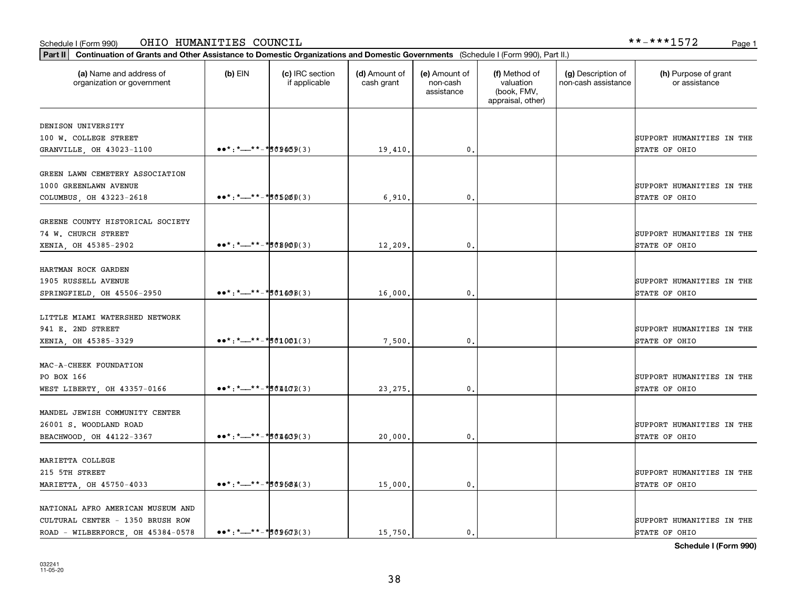### Schedule I (Form 990) OHIO HUMANITIES COUNCIL \*\*-\*\*\*1572 Page 1

| Part II   Continuation of Grants and Other Assistance to Domestic Organizations and Domestic Governments (Schedule I (Form 990), Part II.) |                                                                                                                                                         |                                  |                             |                                         |                                                                |                                           |                                            |
|--------------------------------------------------------------------------------------------------------------------------------------------|---------------------------------------------------------------------------------------------------------------------------------------------------------|----------------------------------|-----------------------------|-----------------------------------------|----------------------------------------------------------------|-------------------------------------------|--------------------------------------------|
| (a) Name and address of<br>organization or government                                                                                      | $(b)$ EIN                                                                                                                                               | (c) IRC section<br>if applicable | (d) Amount of<br>cash grant | (e) Amount of<br>non-cash<br>assistance | (f) Method of<br>valuation<br>(book, FMV,<br>appraisal, other) | (g) Description of<br>non-cash assistance | (h) Purpose of grant<br>or assistance      |
| DENISON UNIVERSITY                                                                                                                         |                                                                                                                                                         |                                  |                             |                                         |                                                                |                                           |                                            |
| 100 W. COLLEGE STREET                                                                                                                      |                                                                                                                                                         |                                  |                             |                                         |                                                                |                                           | SUPPORT HUMANITIES IN THE                  |
| GRANVILLE, OH 43023-1100                                                                                                                   | $\bullet \bullet \star : \star \rightarrow \star \bullet \star \star \star \star \star \star \star \star \star \star \star$                             |                                  | 19,410.                     | $\mathbf{0}$                            |                                                                |                                           | STATE OF OHIO                              |
|                                                                                                                                            |                                                                                                                                                         |                                  |                             |                                         |                                                                |                                           |                                            |
| GREEN LAWN CEMETERY ASSOCIATION                                                                                                            |                                                                                                                                                         |                                  |                             |                                         |                                                                |                                           |                                            |
| 1000 GREENLAWN AVENUE                                                                                                                      |                                                                                                                                                         |                                  |                             |                                         |                                                                |                                           | SUPPORT HUMANITIES IN THE                  |
| COLUMBUS, OH 43223-2618                                                                                                                    | $\bullet\bullet^*$ : *__**-*s65260(3)                                                                                                                   |                                  | 6,910                       | 0                                       |                                                                |                                           | STATE OF OHIO                              |
| GREENE COUNTY HISTORICAL SOCIETY                                                                                                           |                                                                                                                                                         |                                  |                             |                                         |                                                                |                                           |                                            |
| 74 W. CHURCH STREET                                                                                                                        |                                                                                                                                                         |                                  |                             |                                         |                                                                |                                           | SUPPORT HUMANITIES IN THE                  |
| XENIA, OH 45385-2902                                                                                                                       | $\bullet \bullet \star : \star \_ \star \star \_ \star \_ \sharp \circ \sharp \circ \sharp \circ \mathfrak{g} \circ \mathfrak{g}$                       |                                  | 12,209                      | $\mathbf{0}$ .                          |                                                                |                                           | STATE OF OHIO                              |
|                                                                                                                                            |                                                                                                                                                         |                                  |                             |                                         |                                                                |                                           |                                            |
| HARTMAN ROCK GARDEN                                                                                                                        |                                                                                                                                                         |                                  |                             |                                         |                                                                |                                           |                                            |
| 1905 RUSSELL AVENUE                                                                                                                        |                                                                                                                                                         |                                  |                             |                                         |                                                                |                                           | SUPPORT HUMANITIES IN THE                  |
| SPRINGFIELD, OH 45506-2950                                                                                                                 | $\bullet \bullet^* : \star \_ \star \_ \star \_ \star \_ \sharp \circ \bullet \bullet \circ \bullet$                                                    |                                  | 16,000                      | $\mathbf{0}$                            |                                                                |                                           | STATE OF OHIO                              |
|                                                                                                                                            |                                                                                                                                                         |                                  |                             |                                         |                                                                |                                           |                                            |
| LITTLE MIAMI WATERSHED NETWORK                                                                                                             |                                                                                                                                                         |                                  |                             |                                         |                                                                |                                           |                                            |
| 941 E. 2ND STREET                                                                                                                          | $\bullet \bullet^* :^* \rightarrow \bullet^* \bullet^* \bullet \bullet \bullet \bullet \bullet \bullet$                                                 |                                  |                             | 0                                       |                                                                |                                           | SUPPORT HUMANITIES IN THE<br>STATE OF OHIO |
| XENIA, OH 45385-3329                                                                                                                       |                                                                                                                                                         |                                  | 7,500                       |                                         |                                                                |                                           |                                            |
| MAC-A-CHEEK FOUNDATION                                                                                                                     |                                                                                                                                                         |                                  |                             |                                         |                                                                |                                           |                                            |
| PO BOX 166                                                                                                                                 |                                                                                                                                                         |                                  |                             |                                         |                                                                |                                           | SUPPORT HUMANITIES IN THE                  |
| WEST LIBERTY, OH 43357-0166                                                                                                                | $\bullet\bullet^*$ : *__**-*s61102(3)                                                                                                                   |                                  | 23, 275                     | 0                                       |                                                                |                                           | STATE OF OHIO                              |
|                                                                                                                                            |                                                                                                                                                         |                                  |                             |                                         |                                                                |                                           |                                            |
| MANDEL JEWISH COMMUNITY CENTER                                                                                                             |                                                                                                                                                         |                                  |                             |                                         |                                                                |                                           |                                            |
| 26001 S. WOODLAND ROAD                                                                                                                     |                                                                                                                                                         |                                  |                             |                                         |                                                                |                                           | SUPPORT HUMANITIES IN THE                  |
| BEACHWOOD, OH 44122-3367                                                                                                                   |                                                                                                                                                         |                                  | 20,000                      | $\mathbf{0}$                            |                                                                |                                           | STATE OF OHIO                              |
|                                                                                                                                            |                                                                                                                                                         |                                  |                             |                                         |                                                                |                                           |                                            |
| MARIETTA COLLEGE                                                                                                                           |                                                                                                                                                         |                                  |                             |                                         |                                                                |                                           |                                            |
| 215 5TH STREET                                                                                                                             |                                                                                                                                                         |                                  |                             |                                         |                                                                |                                           | SUPPORT HUMANITIES IN THE                  |
| MARIETTA, OH 45750-4033                                                                                                                    | $\bullet\bullet^*$ : *__**-*509584(3)                                                                                                                   |                                  | 15,000.                     | $\mathfrak{o}$ .                        |                                                                |                                           | STATE OF OHIO                              |
| NATIONAL AFRO AMERICAN MUSEUM AND                                                                                                          |                                                                                                                                                         |                                  |                             |                                         |                                                                |                                           |                                            |
| CULTURAL CENTER - 1350 BRUSH ROW                                                                                                           |                                                                                                                                                         |                                  |                             |                                         |                                                                |                                           | SUPPORT HUMANITIES IN THE                  |
| ROAD - WILBERFORCE, OH 45384-0578                                                                                                          | $\bullet \bullet^* : \star \_+ \star \_+ \star \underline{\bullet} \bullet \underline{\bullet} \bullet \underline{\bullet} \otimes \underline{\bullet}$ |                                  | 15.750.                     | 0                                       |                                                                |                                           | STATE OF OHIO                              |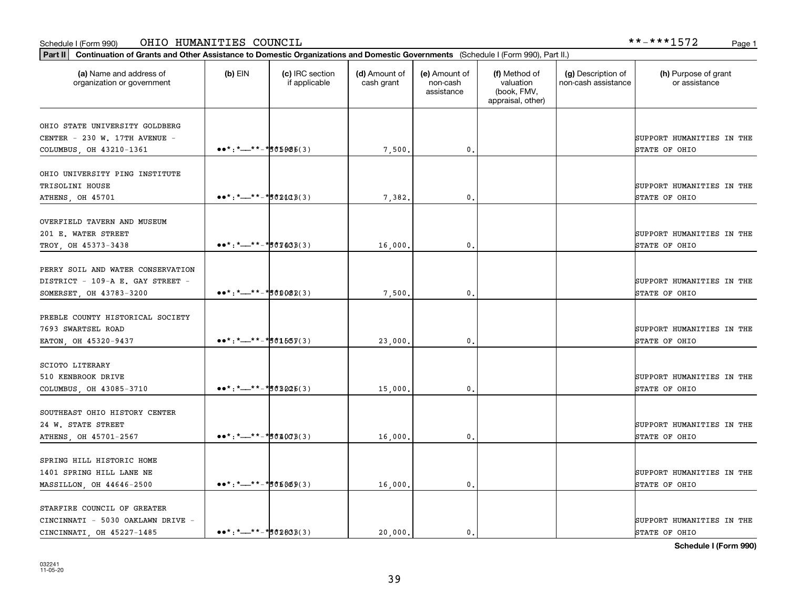### Schedule I (Form 990) Page 1 OHIO HUMANITIES COUNCIL \*\*-\*\*\*1572

| (a) Name and address of<br>organization or government                                            | $(b)$ EIN                                                                                                                                                                                                                                                                                                                                                                                                                                                                                                                                                       | (c) IRC section<br>if applicable | (d) Amount of<br>cash grant | (e) Amount of<br>non-cash<br>assistance | (f) Method of<br>valuation<br>(book, FMV,<br>appraisal, other) | (g) Description of<br>non-cash assistance | (h) Purpose of grant<br>or assistance      |
|--------------------------------------------------------------------------------------------------|-----------------------------------------------------------------------------------------------------------------------------------------------------------------------------------------------------------------------------------------------------------------------------------------------------------------------------------------------------------------------------------------------------------------------------------------------------------------------------------------------------------------------------------------------------------------|----------------------------------|-----------------------------|-----------------------------------------|----------------------------------------------------------------|-------------------------------------------|--------------------------------------------|
| OHIO STATE UNIVERSITY GOLDBERG<br>CENTER - 230 W. 17TH AVENUE -<br>COLUMBUS, OH 43210-1361       | $\bullet \bullet \star : \star \text{---} \star \star \text{---} \star \text{---} \star \text{---} \star \text{---} \star \text{---} \star \text{---} \star \text{---} \star \text{---} \star \text{---} \star \text{---} \star \text{---} \star \text{---} \star \text{---} \star \text{---} \star \text{---} \star \text{---} \star \text{---} \star \text{---} \star \text{---} \star \text{---} \star \text{---} \star \text{---} \star \text{---} \star \text{---} \star \text{---} \star \text{---} \star \text{---} \star \text{---} \star \text{---} \$ |                                  | 7,500.                      | $\mathbf{0}$ .                          |                                                                |                                           | SUPPORT HUMANITIES IN THE<br>STATE OF OHIO |
| OHIO UNIVERSITY PING INSTITUTE<br>TRISOLINI HOUSE<br>ATHENS, OH 45701                            | $\bullet \bullet \star : \star \_ \star \star \_ \star \_ \sharp \circ \texttt{2108(3)}$                                                                                                                                                                                                                                                                                                                                                                                                                                                                        |                                  | 7,382.                      | 0.                                      |                                                                |                                           | SUPPORT HUMANITIES IN THE<br>STATE OF OHIO |
| OVERFIELD TAVERN AND MUSEUM<br>201 E. WATER STREET<br>TROY, OH 45373-3438                        | $\bullet \bullet \star : \star \_ \star \star \_ \star \_ \sharp \circ \Psi \sharp \circ \Psi$                                                                                                                                                                                                                                                                                                                                                                                                                                                                  |                                  | 16,000.                     | $\mathbf{0}$ .                          |                                                                |                                           | SUPPORT HUMANITIES IN THE<br>STATE OF OHIO |
| PERRY SOIL AND WATER CONSERVATION<br>DISTRICT - 109-A E. GAY STREET -<br>SOMERSET, OH 43783-3200 | $\bullet \bullet \star : \star \text{---} \star \star \text{---} \star \text{---} \star \text{---} \star \text{---} \star \text{---} \star \text{---} \star \text{---} \star \text{---} \star \text{---} \star \text{---} \star \text{---} \star \text{---} \star \text{---} \star \text{---} \star \text{---} \star \text{---} \star \text{---} \star \text{---} \star \text{---} \star \text{---} \star \text{---} \star \text{---} \star \text{---} \star \text{---} \star \text{---} \star \text{---} \star \text{---} \star \text{---} \star \text{---} \$ |                                  | 7,500                       | 0.                                      |                                                                |                                           | SUPPORT HUMANITIES IN THE<br>STATE OF OHIO |
| PREBLE COUNTY HISTORICAL SOCIETY<br>7693 SWARTSEL ROAD<br>EATON, OH 45320-9437                   | $\bullet \bullet \star : \star \text{---} \star \star \text{---} \star \text{---} \star \text{---} \star \text{---} \star \text{---} \star \text{---} \star \text{---} \star \text{---} \star \text{---} \star \text{---} \star \text{---} \star \text{---} \star \text{---} \star \text{---} \star \text{---} \star \text{---} \star \text{---} \star \text{---} \star \text{---} \star \text{---} \star \text{---} \star \text{---} \star \text{---} \star \text{---} \star \text{---} \star \text{---} \star \text{---} \star \text{---} \star \text{---} \$ |                                  | 23,000                      | 0.                                      |                                                                |                                           | SUPPORT HUMANITIES IN THE<br>STATE OF OHIO |
| <b>SCIOTO LITERARY</b><br>510 KENBROOK DRIVE<br>COLUMBUS, OH 43085-3710                          |                                                                                                                                                                                                                                                                                                                                                                                                                                                                                                                                                                 |                                  | 15,000                      | 0.                                      |                                                                |                                           | SUPPORT HUMANITIES IN THE<br>STATE OF OHIO |
| SOUTHEAST OHIO HISTORY CENTER<br>24 W. STATE STREET<br>ATHENS, OH 45701-2567                     | $\bullet \bullet \star : \star \_ \star \times \star \_ \star \times \star \circ \star \circ \star \circ \star$                                                                                                                                                                                                                                                                                                                                                                                                                                                 |                                  | 16,000,                     | 0.                                      |                                                                |                                           | SUPPORT HUMANITIES IN THE<br>STATE OF OHIO |
| SPRING HILL HISTORIC HOME<br>1401 SPRING HILL LANE NE<br>MASSILLON, OH 44646-2500                | $\bullet \bullet^* :^* \rightarrow \bullet^* \bullet^* \bullet \bullet \bullet \bullet \bullet (3)$                                                                                                                                                                                                                                                                                                                                                                                                                                                             |                                  | 16,000.                     | $\mathbf{0}$ .                          |                                                                |                                           | SUPPORT HUMANITIES IN THE<br>STATE OF OHIO |
| STARFIRE COUNCIL OF GREATER<br>CINCINNATI - 5030 OAKLAWN DRIVE -<br>CINCINNATI, OH 45227-1485    | $\bullet\bullet^* : \star\_\text{--}^* * - \star\text{50283}(3)$                                                                                                                                                                                                                                                                                                                                                                                                                                                                                                |                                  | 20,000.                     | 0.                                      |                                                                |                                           | SUPPORT HUMANITIES IN THE<br>STATE OF OHIO |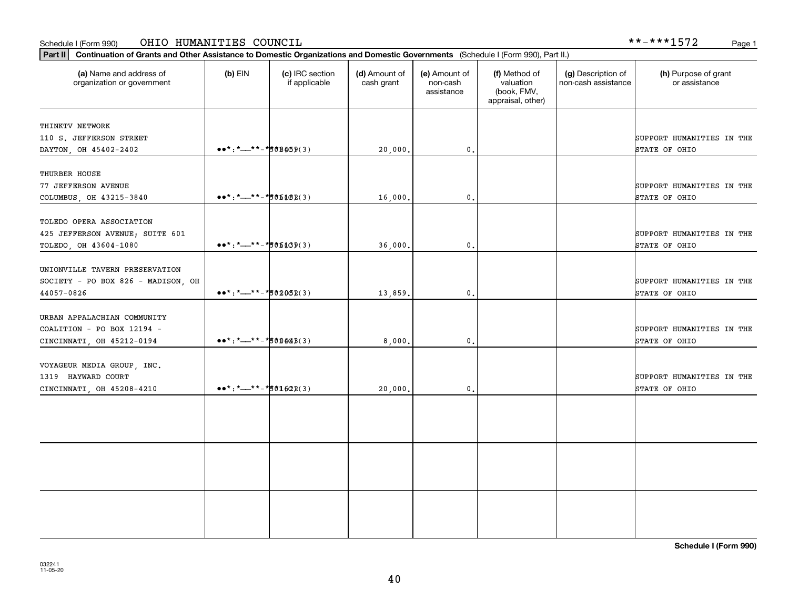### Schedule I (Form 990) Page 1 OHIO HUMANITIES COUNCIL

| (a) Name and address of<br>organization or government                                  | $(b)$ EIN                                                                                                                                                                                 | (c) IRC section<br>if applicable | (d) Amount of<br>cash grant | (e) Amount of<br>non-cash<br>assistance | (f) Method of<br>valuation<br>(book, FMV,<br>appraisal, other) | (g) Description of<br>non-cash assistance | (h) Purpose of grant<br>or assistance      |
|----------------------------------------------------------------------------------------|-------------------------------------------------------------------------------------------------------------------------------------------------------------------------------------------|----------------------------------|-----------------------------|-----------------------------------------|----------------------------------------------------------------|-------------------------------------------|--------------------------------------------|
| THINKTV NETWORK<br>110 S. JEFFERSON STREET<br>DAYTON, OH 45402-2402                    | $\bullet \bullet^* :^* \rightarrow \bullet^* \bullet^* \bullet \bullet \bullet \bullet \bullet$                                                                                           |                                  | 20,000                      | $\mathbf{0}$                            |                                                                |                                           | SUPPORT HUMANITIES IN THE<br>STATE OF OHIO |
| THURBER HOUSE<br>77 JEFFERSON AVENUE<br>COLUMBUS, OH 43215-3840                        | $\bullet \bullet^* : \underline{\ast} \underline{\phantom{0}} \underline{\ast} \underline{\ast} \underline{\phantom{0}} \underline{\phantom{0}}$                                          |                                  | 16,000                      | $\mathbf{0}$                            |                                                                |                                           | SUPPORT HUMANITIES IN THE<br>STATE OF OHIO |
| TOLEDO OPERA ASSOCIATION<br>425 JEFFERSON AVENUE; SUITE 601<br>TOLEDO, OH 43604-1080   | $\bullet \bullet^* : \underline{\ast} \underline{\phantom{0}} \underline{\ast} \underline{\ast} \underline{\phantom{0}} \underline{\ast} \underline{\phantom{0}} \underline{\phantom{0}}$ |                                  | 36,000.                     | $\mathbf 0$ .                           |                                                                |                                           | SUPPORT HUMANITIES IN THE<br>STATE OF OHIO |
| UNIONVILLE TAVERN PRESERVATION<br>SOCIETY - PO BOX 826 - MADISON, OH<br>44057-0826     | $\bullet \bullet^* :^* \rightarrow \bullet^* \bullet^* \bullet \bullet \bullet \bullet \bullet \bullet$                                                                                   |                                  | 13,859.                     | 0.                                      |                                                                |                                           | SUPPORT HUMANITIES IN THE<br>STATE OF OHIO |
| URBAN APPALACHIAN COMMUNITY<br>COALITION - PO BOX 12194 -<br>CINCINNATI, OH 45212-0194 | $\bullet\bullet^*$ : *__**-*500448(3)                                                                                                                                                     |                                  | 8,000.                      | 0.                                      |                                                                |                                           | SUPPORT HUMANITIES IN THE<br>STATE OF OHIO |
| VOYAGEUR MEDIA GROUP, INC.<br>1319 HAYWARD COURT<br>CINCINNATI, OH 45208-4210          |                                                                                                                                                                                           |                                  | 20,000.                     | 0.                                      |                                                                |                                           | SUPPORT HUMANITIES IN THE<br>STATE OF OHIO |
|                                                                                        |                                                                                                                                                                                           |                                  |                             |                                         |                                                                |                                           |                                            |
|                                                                                        |                                                                                                                                                                                           |                                  |                             |                                         |                                                                |                                           |                                            |
|                                                                                        |                                                                                                                                                                                           |                                  |                             |                                         |                                                                |                                           |                                            |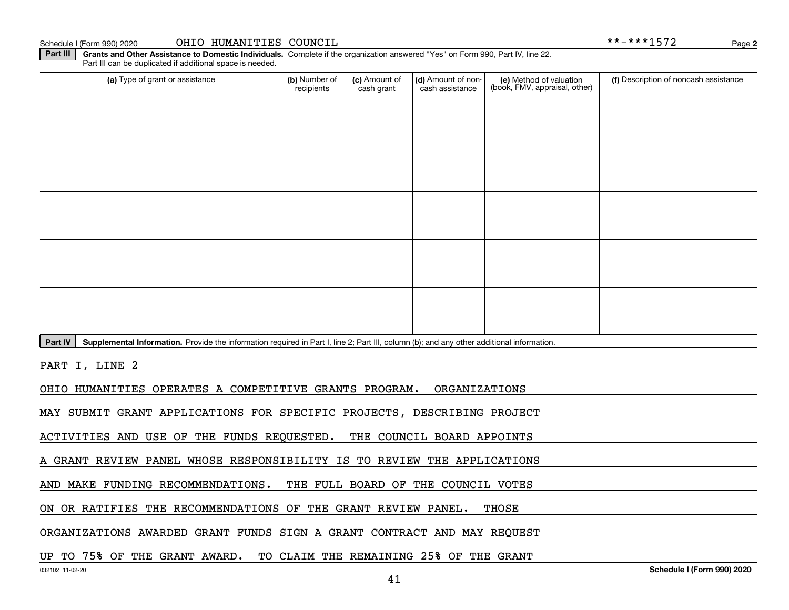Schedule I (Form 990) 2020 OHIO HUMANITIES COUNCIL \* \* - \* \* \* 1572 Page

**2**

**Part III | Grants and Other Assistance to Domestic Individuals. Complete if the organization answered "Yes" on Form 990, Part IV, line 22.** Part III can be duplicated if additional space is needed.

| (a) Type of grant or assistance                                                                                                                      | (b) Number of<br>recipients | (c) Amount of<br>cash grant | (d) Amount of non-<br>cash assistance | (e) Method of valuation<br>(book, FMV, appraisal, other) | (f) Description of noncash assistance |  |  |  |  |  |
|------------------------------------------------------------------------------------------------------------------------------------------------------|-----------------------------|-----------------------------|---------------------------------------|----------------------------------------------------------|---------------------------------------|--|--|--|--|--|
|                                                                                                                                                      |                             |                             |                                       |                                                          |                                       |  |  |  |  |  |
|                                                                                                                                                      |                             |                             |                                       |                                                          |                                       |  |  |  |  |  |
|                                                                                                                                                      |                             |                             |                                       |                                                          |                                       |  |  |  |  |  |
|                                                                                                                                                      |                             |                             |                                       |                                                          |                                       |  |  |  |  |  |
|                                                                                                                                                      |                             |                             |                                       |                                                          |                                       |  |  |  |  |  |
|                                                                                                                                                      |                             |                             |                                       |                                                          |                                       |  |  |  |  |  |
|                                                                                                                                                      |                             |                             |                                       |                                                          |                                       |  |  |  |  |  |
|                                                                                                                                                      |                             |                             |                                       |                                                          |                                       |  |  |  |  |  |
|                                                                                                                                                      |                             |                             |                                       |                                                          |                                       |  |  |  |  |  |
|                                                                                                                                                      |                             |                             |                                       |                                                          |                                       |  |  |  |  |  |
|                                                                                                                                                      |                             |                             |                                       |                                                          |                                       |  |  |  |  |  |
|                                                                                                                                                      |                             |                             |                                       |                                                          |                                       |  |  |  |  |  |
|                                                                                                                                                      |                             |                             |                                       |                                                          |                                       |  |  |  |  |  |
|                                                                                                                                                      |                             |                             |                                       |                                                          |                                       |  |  |  |  |  |
|                                                                                                                                                      |                             |                             |                                       |                                                          |                                       |  |  |  |  |  |
| Part IV<br>Supplemental Information. Provide the information required in Part I, line 2; Part III, column (b); and any other additional information. |                             |                             |                                       |                                                          |                                       |  |  |  |  |  |
|                                                                                                                                                      |                             |                             |                                       |                                                          |                                       |  |  |  |  |  |

PART I, LINE 2

OHIO HUMANITIES OPERATES A COMPETITIVE GRANTS PROGRAM. ORGANIZATIONS

MAY SUBMIT GRANT APPLICATIONS FOR SPECIFIC PROJECTS, DESCRIBING PROJECT

ACTIVITIES AND USE OF THE FUNDS REQUESTED. THE COUNCIL BOARD APPOINTS

A GRANT REVIEW PANEL WHOSE RESPONSIBILITY IS TO REVIEW THE APPLICATIONS

AND MAKE FUNDING RECOMMENDATIONS. THE FULL BOARD OF THE COUNCIL VOTES

ON OR RATIFIES THE RECOMMENDATIONS OF THE GRANT REVIEW PANEL. THOSE

ORGANIZATIONS AWARDED GRANT FUNDS SIGN A GRANT CONTRACT AND MAY REQUEST

### UP TO 75% OF THE GRANT AWARD. TO CLAIM THE REMAINING 25% OF THE GRANT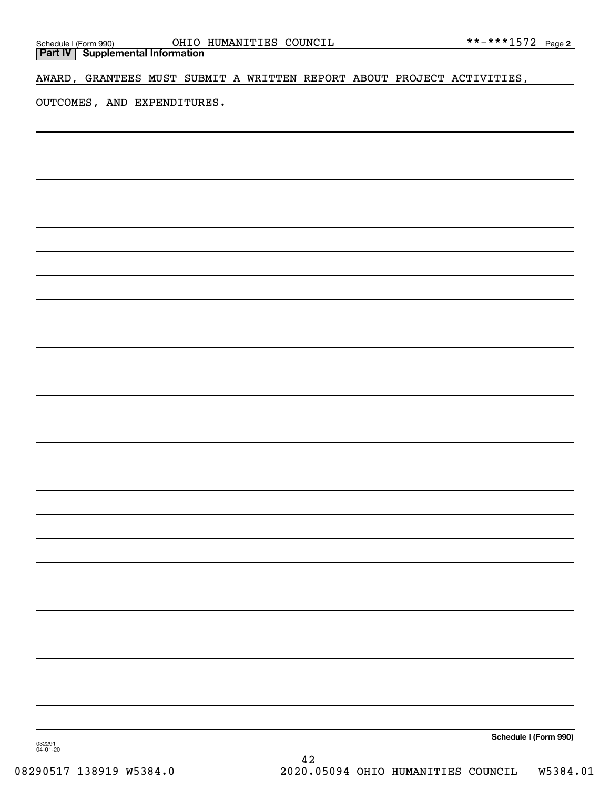**Part IV Supplemental Information**

AWARD, GRANTEES MUST SUBMIT A WRITTEN REPORT ABOUT PROJECT ACTIVITIES,

OUTCOMES, AND EXPENDITURES.

**Schedule I (Form 990)**

032291 04-01-20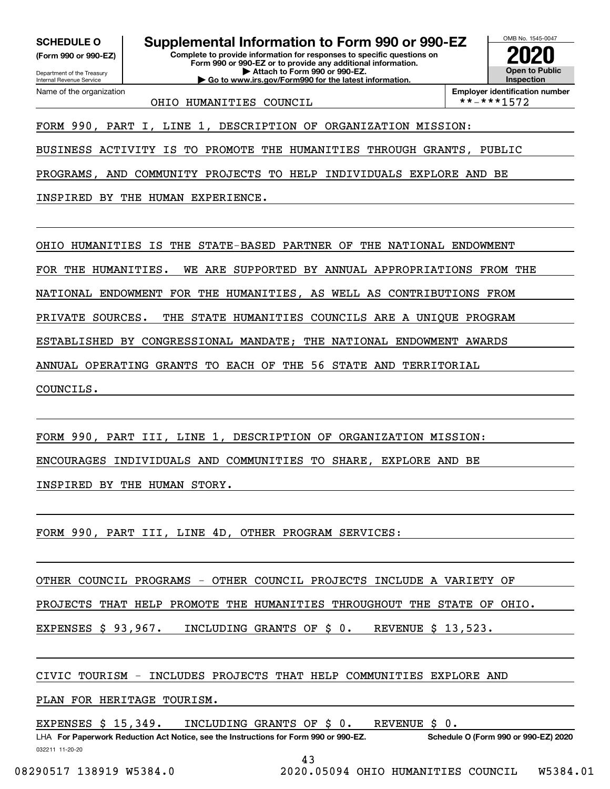**(Form 990 or 990-EZ)**

Department of the Treasury Internal Revenue Service Name of the organization

**Complete to provide information for responses to specific questions on Form 990 or 990-EZ or to provide any additional information. SCHEDULE O Supplemental Information to Form 990 or 990-EZ**

**| Attach to Form 990 or 990-EZ. | Go to www.irs.gov/Form990 for the latest information.**



OHIO HUMANITIES COUNCIL \*\*-\*\*\*1572

**Employer identification number**

FORM 990, PART I, LINE 1, DESCRIPTION OF ORGANIZATION MISSION:

BUSINESS ACTIVITY IS TO PROMOTE THE HUMANITIES THROUGH GRANTS, PUBLIC

PROGRAMS, AND COMMUNITY PROJECTS TO HELP INDIVIDUALS EXPLORE AND BE

INSPIRED BY THE HUMAN EXPERIENCE.

OHIO HUMANITIES IS THE STATE-BASED PARTNER OF THE NATIONAL ENDOWMENT

FOR THE HUMANITIES. WE ARE SUPPORTED BY ANNUAL APPROPRIATIONS FROM THE

NATIONAL ENDOWMENT FOR THE HUMANITIES, AS WELL AS CONTRIBUTIONS FROM

PRIVATE SOURCES. THE STATE HUMANITIES COUNCILS ARE A UNIQUE PROGRAM

ESTABLISHED BY CONGRESSIONAL MANDATE; THE NATIONAL ENDOWMENT AWARDS

ANNUAL OPERATING GRANTS TO EACH OF THE 56 STATE AND TERRITORIAL

COUNCILS.

FORM 990, PART III, LINE 1, DESCRIPTION OF ORGANIZATION MISSION:

ENCOURAGES INDIVIDUALS AND COMMUNITIES TO SHARE, EXPLORE AND BE

INSPIRED BY THE HUMAN STORY.

FORM 990, PART III, LINE 4D, OTHER PROGRAM SERVICES:

OTHER COUNCIL PROGRAMS - OTHER COUNCIL PROJECTS INCLUDE A VARIETY OF

PROJECTS THAT HELP PROMOTE THE HUMANITIES THROUGHOUT THE STATE OF OHIO.

EXPENSES \$ 93,967. INCLUDING GRANTS OF \$ 0. REVENUE \$ 13,523.

CIVIC TOURISM - INCLUDES PROJECTS THAT HELP COMMUNITIES EXPLORE AND

PLAN FOR HERITAGE TOURISM.

EXPENSES \$ 15,349. INCLUDING GRANTS OF \$ 0. REVENUE \$ 0.

032211 11-20-20 LHA For Paperwork Reduction Act Notice, see the Instructions for Form 990 or 990-EZ. Schedule O (Form 990 or 990-EZ) 2020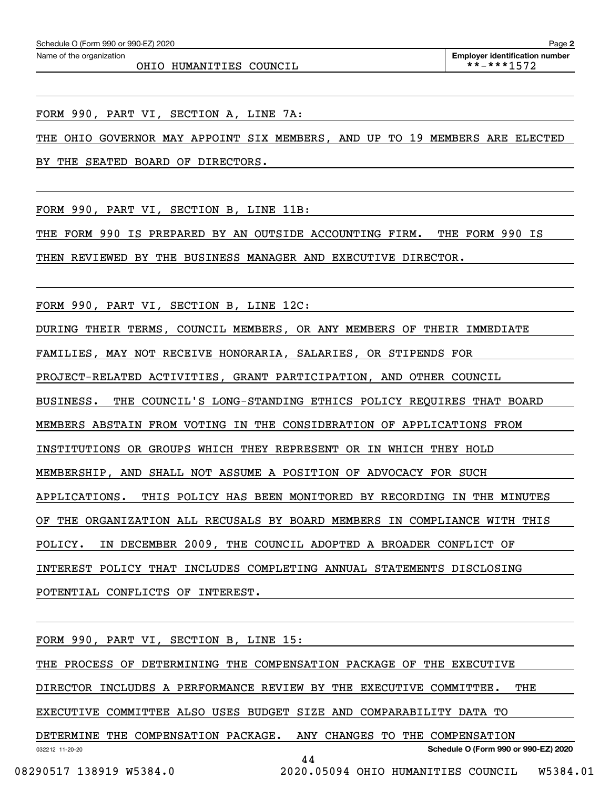OHIO HUMANITIES COUNCIL  $\qquad \qquad |$  \*\*-\*\*\*1572

FORM 990, PART VI, SECTION A, LINE 7A:

THE OHIO GOVERNOR MAY APPOINT SIX MEMBERS, AND UP TO 19 MEMBERS ARE ELECTED

BY THE SEATED BOARD OF DIRECTORS.

FORM 990, PART VI, SECTION B, LINE 11B:

THE FORM 990 IS PREPARED BY AN OUTSIDE ACCOUNTING FIRM. THE FORM 990 IS

THEN REVIEWED BY THE BUSINESS MANAGER AND EXECUTIVE DIRECTOR.

FORM 990, PART VI, SECTION B, LINE 12C:

DURING THEIR TERMS, COUNCIL MEMBERS, OR ANY MEMBERS OF THEIR IMMEDIATE

FAMILIES, MAY NOT RECEIVE HONORARIA, SALARIES, OR STIPENDS FOR

PROJECT-RELATED ACTIVITIES, GRANT PARTICIPATION, AND OTHER COUNCIL

BUSINESS. THE COUNCIL'S LONG-STANDING ETHICS POLICY REQUIRES THAT BOARD

MEMBERS ABSTAIN FROM VOTING IN THE CONSIDERATION OF APPLICATIONS FROM

INSTITUTIONS OR GROUPS WHICH THEY REPRESENT OR IN WHICH THEY HOLD

MEMBERSHIP, AND SHALL NOT ASSUME A POSITION OF ADVOCACY FOR SUCH

APPLICATIONS. THIS POLICY HAS BEEN MONITORED BY RECORDING IN THE MINUTES

OF THE ORGANIZATION ALL RECUSALS BY BOARD MEMBERS IN COMPLIANCE WITH THIS

POLICY. IN DECEMBER 2009, THE COUNCIL ADOPTED A BROADER CONFLICT OF

INTEREST POLICY THAT INCLUDES COMPLETING ANNUAL STATEMENTS DISCLOSING

POTENTIAL CONFLICTS OF INTEREST.

032212 11-20-20 **Schedule O (Form 990 or 990-EZ) 2020** FORM 990, PART VI, SECTION B, LINE 15: THE PROCESS OF DETERMINING THE COMPENSATION PACKAGE OF THE EXECUTIVE DIRECTOR INCLUDES A PERFORMANCE REVIEW BY THE EXECUTIVE COMMITTEE. THE EXECUTIVE COMMITTEE ALSO USES BUDGET SIZE AND COMPARABILITY DATA TO DETERMINE THE COMPENSATION PACKAGE. ANY CHANGES TO THE COMPENSATION 44

08290517 138919 W5384.0 2020.05094 OHIO HUMANITIES COUNCIL W5384.01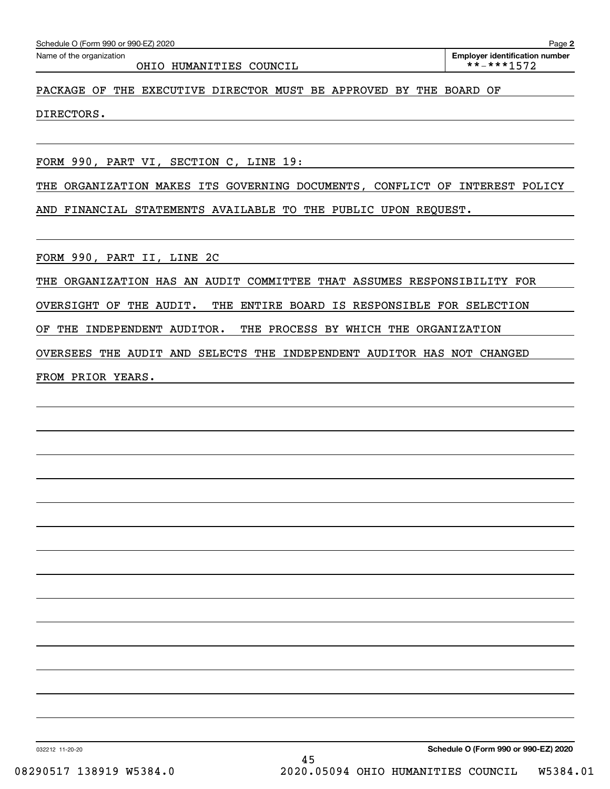### OHIO HUMANITIES COUNCIL \*\*-\*\*\*1572

**2** Echedule O (Form 990 or 990-EZ) 2020<br>Name of the organization **number** Name of the organization **number** 

### PACKAGE OF THE EXECUTIVE DIRECTOR MUST BE APPROVED BY THE BOARD OF

DIRECTORS.

FORM 990, PART VI, SECTION C, LINE 19:

THE ORGANIZATION MAKES ITS GOVERNING DOCUMENTS, CONFLICT OF INTEREST POLICY AND FINANCIAL STATEMENTS AVAILABLE TO THE PUBLIC UPON REQUEST.

FORM 990, PART II, LINE 2C

THE ORGANIZATION HAS AN AUDIT COMMITTEE THAT ASSUMES RESPONSIBILITY FOR

OVERSIGHT OF THE AUDIT. THE ENTIRE BOARD IS RESPONSIBLE FOR SELECTION

OF THE INDEPENDENT AUDITOR. THE PROCESS BY WHICH THE ORGANIZATION

OVERSEES THE AUDIT AND SELECTS THE INDEPENDENT AUDITOR HAS NOT CHANGED

FROM PRIOR YEARS.

032212 11-20-20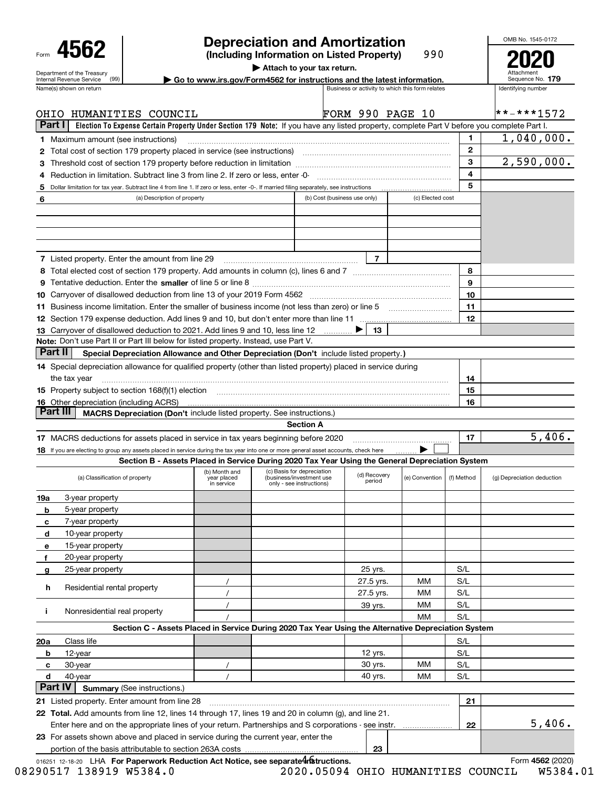| Form |                                                        |  |
|------|--------------------------------------------------------|--|
|      | Department of the Treasury<br>Internal Revenue Service |  |

## **Depreciation and Amortization**

**(Including Information on Listed Property)** 990 OMB No. 1545-0172 **2020**

**| Attach to your tax return.**

Name(s) shown on return and the state of the state of the state of the state of the state is number of the state of the state of the state of the state of the state of the state of the state of the state of the state of th **| Go to www.irs.gov/Form4562 for instructions and the latest information. <sup>179</sup>**

| Attachment<br>Sequence No. 179 |  |
|--------------------------------|--|
| Identifving number             |  |

|                 | OHIO HUMANITIES COUNCIL                                                                                                                   |                                            |                                                                                    | <b>FORM 990 PAGE 10</b>      |                  |              | $* * * * * 1572$           |
|-----------------|-------------------------------------------------------------------------------------------------------------------------------------------|--------------------------------------------|------------------------------------------------------------------------------------|------------------------------|------------------|--------------|----------------------------|
| <b>Part I</b>   | Election To Expense Certain Property Under Section 179 Note: If you have any listed property, complete Part V before you complete Part I. |                                            |                                                                                    |                              |                  |              |                            |
|                 | <b>1</b> Maximum amount (see instructions)                                                                                                |                                            |                                                                                    |                              |                  | 1            | 1,040,000.                 |
|                 | 2 Total cost of section 179 property placed in service (see instructions)                                                                 |                                            |                                                                                    |                              |                  | $\mathbf{2}$ |                            |
| З               | Threshold cost of section 179 property before reduction in limitation                                                                     |                                            |                                                                                    |                              |                  | 3            | 2,590,000.                 |
| 4               | Reduction in limitation. Subtract line 3 from line 2. If zero or less, enter -0-                                                          |                                            |                                                                                    |                              |                  | 4            |                            |
| 5               | Dollar limitation for tax year. Subtract line 4 from line 1. If zero or less, enter -0-. If married filing separately, see instructions   |                                            |                                                                                    |                              |                  | 5            |                            |
| 6               | (a) Description of property                                                                                                               |                                            |                                                                                    | (b) Cost (business use only) | (c) Elected cost |              |                            |
|                 |                                                                                                                                           |                                            |                                                                                    |                              |                  |              |                            |
|                 |                                                                                                                                           |                                            |                                                                                    |                              |                  |              |                            |
|                 |                                                                                                                                           |                                            |                                                                                    |                              |                  |              |                            |
|                 |                                                                                                                                           |                                            |                                                                                    |                              |                  |              |                            |
|                 | 7 Listed property. Enter the amount from line 29                                                                                          |                                            |                                                                                    | $\overline{7}$               |                  |              |                            |
|                 |                                                                                                                                           |                                            |                                                                                    |                              |                  | 8            |                            |
|                 |                                                                                                                                           |                                            |                                                                                    |                              |                  | 9            |                            |
|                 |                                                                                                                                           |                                            |                                                                                    |                              |                  | 10           |                            |
|                 | 11 Business income limitation. Enter the smaller of business income (not less than zero) or line 5                                        |                                            |                                                                                    |                              |                  | 11           |                            |
|                 |                                                                                                                                           |                                            |                                                                                    |                              |                  | 12           |                            |
|                 | 13 Carryover of disallowed deduction to 2021. Add lines 9 and 10, less line 12                                                            |                                            | $\ldots \ldots \ldots$                                                             | 13                           |                  |              |                            |
|                 | Note: Don't use Part II or Part III below for listed property. Instead, use Part V.                                                       |                                            |                                                                                    |                              |                  |              |                            |
| Part II         | Special Depreciation Allowance and Other Depreciation (Don't include listed property.)                                                    |                                            |                                                                                    |                              |                  |              |                            |
|                 | 14 Special depreciation allowance for qualified property (other than listed property) placed in service during                            |                                            |                                                                                    |                              |                  |              |                            |
|                 | the tax year                                                                                                                              |                                            |                                                                                    |                              |                  | 14           |                            |
|                 | <b>15</b> Property subject to section 168(f)(1) election                                                                                  | 15                                         |                                                                                    |                              |                  |              |                            |
|                 | <b>16</b> Other depreciation (including ACRS)                                                                                             |                                            |                                                                                    |                              |                  | 16           |                            |
| <b>Part III</b> | <b>MACRS Depreciation (Don't include listed property. See instructions.)</b>                                                              |                                            |                                                                                    |                              |                  |              |                            |
|                 |                                                                                                                                           |                                            | <b>Section A</b>                                                                   |                              |                  |              |                            |
|                 | 17 MACRS deductions for assets placed in service in tax years beginning before 2020                                                       |                                            |                                                                                    |                              |                  | 17           | 5,406.                     |
|                 | 18 If you are electing to group any assets placed in service during the tax year into one or more general asset accounts, check here      |                                            |                                                                                    |                              |                  |              |                            |
|                 | Section B - Assets Placed in Service During 2020 Tax Year Using the General Depreciation System                                           |                                            |                                                                                    |                              |                  |              |                            |
|                 | (a) Classification of property                                                                                                            | (b) Month and<br>year placed<br>in service | (c) Basis for depreciation<br>(business/investment use<br>only - see instructions) | (d) Recovery<br>period       | (e) Convention   | (f) Method   | (g) Depreciation deduction |
| 19a             | 3-year property                                                                                                                           |                                            |                                                                                    |                              |                  |              |                            |
| b               | 5-year property                                                                                                                           |                                            |                                                                                    |                              |                  |              |                            |
| c               | 7-year property                                                                                                                           |                                            |                                                                                    |                              |                  |              |                            |
| d               | 10-year property                                                                                                                          |                                            |                                                                                    |                              |                  |              |                            |
| е               | 15-year property                                                                                                                          |                                            |                                                                                    |                              |                  |              |                            |
| f               | 20-year property                                                                                                                          |                                            |                                                                                    |                              |                  |              |                            |
| g               | 25-year property                                                                                                                          |                                            |                                                                                    | 25 yrs.                      |                  | S/L          |                            |
|                 |                                                                                                                                           |                                            |                                                                                    | 27.5 yrs.                    | MМ               | S/L          |                            |
| h               | Residential rental property                                                                                                               | $\prime$                                   |                                                                                    | 27.5 yrs.                    | MМ               | S/L          |                            |
|                 |                                                                                                                                           |                                            |                                                                                    | 39 yrs.                      | мм               | S/L          |                            |
| j.              | Nonresidential real property                                                                                                              |                                            |                                                                                    |                              | MМ               | S/L          |                            |
|                 | Section C - Assets Placed in Service During 2020 Tax Year Using the Alternative Depreciation System                                       |                                            |                                                                                    |                              |                  |              |                            |
| 20a             | Class life                                                                                                                                |                                            |                                                                                    |                              |                  | S/L          |                            |
| b               | 12-year                                                                                                                                   |                                            |                                                                                    | 12 yrs.                      |                  | S/L          |                            |
| с               | 30-year                                                                                                                                   |                                            |                                                                                    | 30 yrs.                      | МM               | S/L          |                            |
| d               | 40-year                                                                                                                                   | $\prime$                                   |                                                                                    | 40 yrs.                      | MМ               | S/L          |                            |
| <b>Part IV</b>  | <b>Summary (See instructions.)</b>                                                                                                        |                                            |                                                                                    |                              |                  |              |                            |
|                 | 21 Listed property. Enter amount from line 28                                                                                             |                                            |                                                                                    |                              |                  | 21           |                            |
|                 | 22 Total. Add amounts from line 12, lines 14 through 17, lines 19 and 20 in column (g), and line 21.                                      |                                            |                                                                                    |                              |                  |              |                            |
|                 | Enter here and on the appropriate lines of your return. Partnerships and S corporations - see instr.                                      |                                            |                                                                                    |                              |                  | 22           | 5,406.                     |
|                 | 23 For assets shown above and placed in service during the current year, enter the                                                        |                                            |                                                                                    |                              |                  |              |                            |
|                 |                                                                                                                                           |                                            |                                                                                    | 23                           |                  |              |                            |